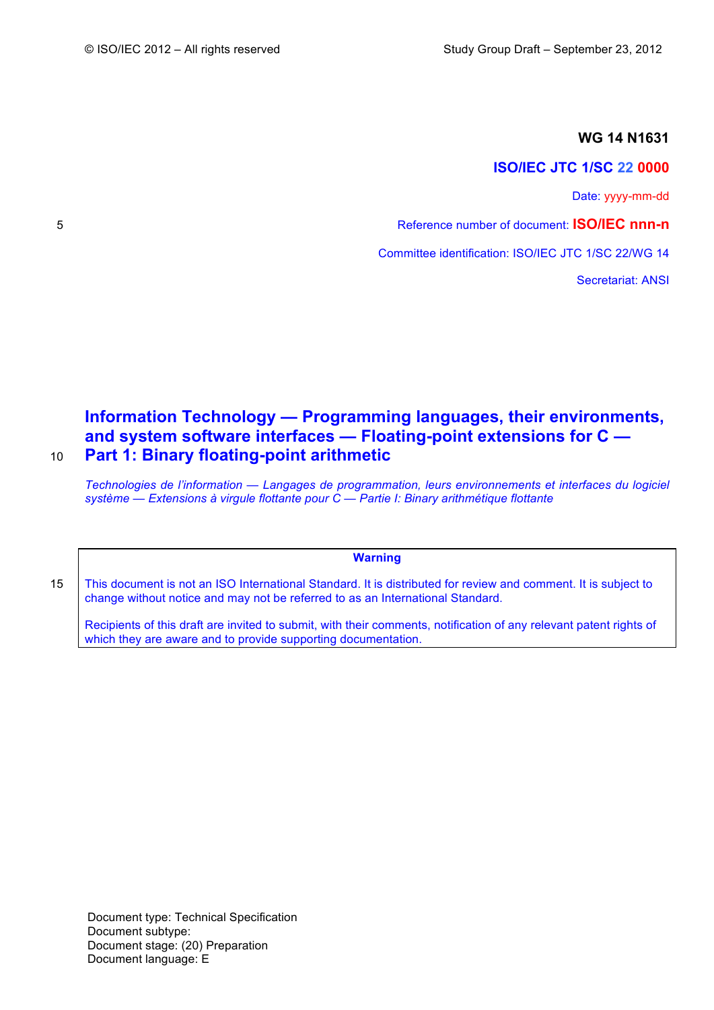## **WG 14 N1631**

## **ISO/IEC JTC 1/SC 22 0000**

Date: yyyy-mm-dd

5 Reference number of document: **ISO/IEC nnn-n**

Committee identification: ISO/IEC JTC 1/SC 22/WG 14

Secretariat: ANSI

# **Information Technology — Programming languages, their environments, and system software interfaces — Floating-point extensions for C —** 10 **Part 1: Binary floating-point arithmetic**

*Technologies de l'information — Langages de programmation, leurs environnements et interfaces du logiciel système — Extensions à virgule flottante pour C — Partie I: Binary arithmétique flottante*

**Warning**

15 | This document is not an ISO International Standard. It is distributed for review and comment. It is subject to change without notice and may not be referred to as an International Standard.

Recipients of this draft are invited to submit, with their comments, notification of any relevant patent rights of which they are aware and to provide supporting documentation.

Document type: Technical Specification Document subtype: Document stage: (20) Preparation Document language: E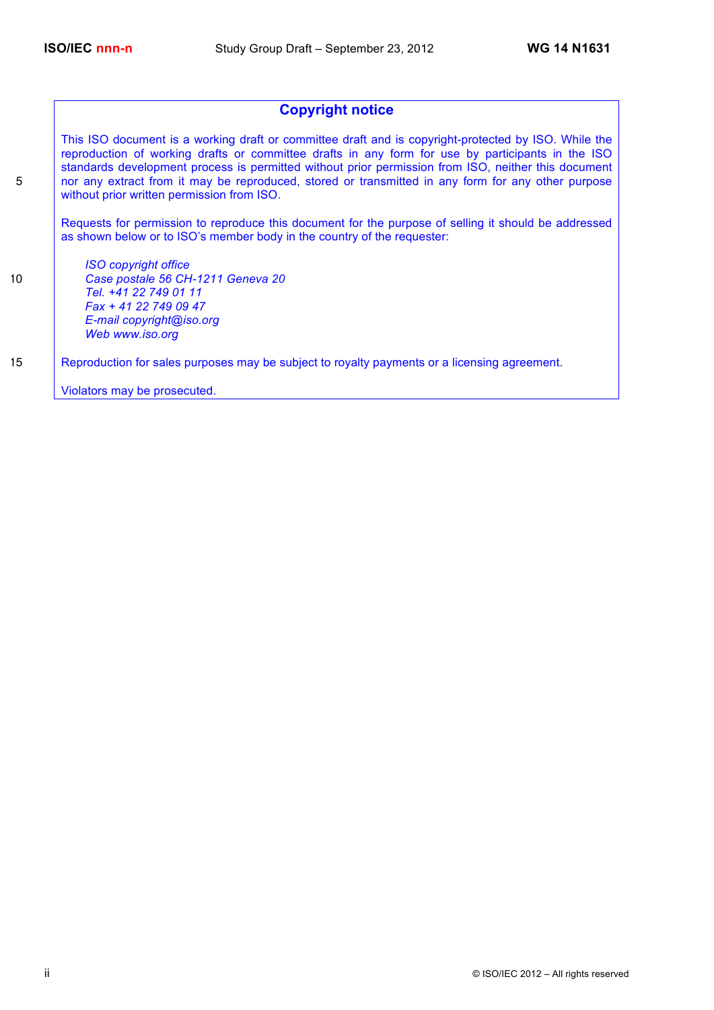## **Copyright notice**

This ISO document is a working draft or committee draft and is copyright-protected by ISO. While the reproduction of working drafts or committee drafts in any form for use by participants in the ISO standards development process is permitted without prior permission from ISO, neither this document 5 nor any extract from it may be reproduced, stored or transmitted in any form for any other purpose without prior written permission from ISO.

Requests for permission to reproduce this document for the purpose of selling it should be addressed as shown below or to ISO's member body in the country of the requester:

*ISO copyright office* 10 *Case postale 56 CH-1211 Geneva 20 Tel. +41 22 749 01 11 Fax + 41 22 749 09 47 E-mail copyright@iso.org Web www.iso.org*

15 Reproduction for sales purposes may be subject to royalty payments or a licensing agreement.

Violators may be prosecuted.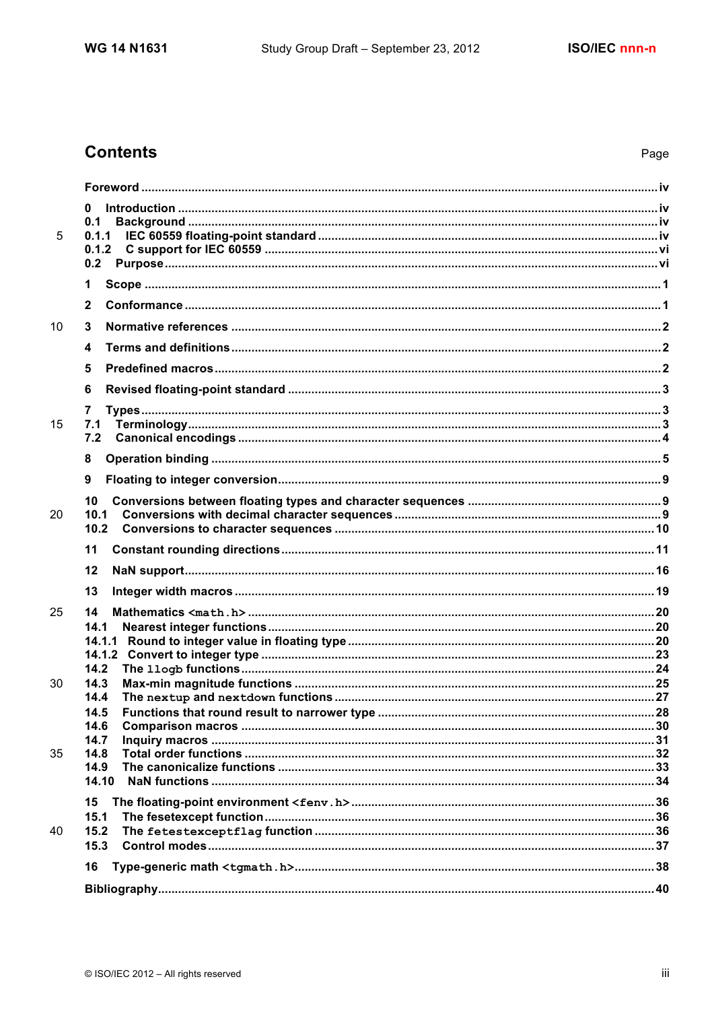# **Contents**

|    | 0            |  |
|----|--------------|--|
|    | 0.1          |  |
| 5  | 0.1.1        |  |
|    | 0.1.2        |  |
|    | 0.2          |  |
|    | 1            |  |
|    | $\mathbf{2}$ |  |
| 10 | 3            |  |
|    | 4            |  |
|    | 5            |  |
|    | 6            |  |
|    | 7            |  |
| 15 | 7.1          |  |
|    | 7.2          |  |
|    | 8            |  |
|    | 9            |  |
|    | 10           |  |
| 20 | 10.1         |  |
|    | 10.2         |  |
|    | 11           |  |
|    |              |  |
|    | 12           |  |
|    | 13           |  |
| 25 | 14           |  |
|    | 14.1         |  |
|    |              |  |
|    |              |  |
| 30 | 14.2<br>14.3 |  |
|    | 14.4         |  |
|    | 14.5         |  |
|    | 14.6         |  |
|    | 14.7         |  |
| 35 | 14.8<br>14.9 |  |
|    | 14.10        |  |
|    | 15           |  |
|    | 15.1         |  |
| 40 | 15.2         |  |
|    | 15.3         |  |
|    | 16           |  |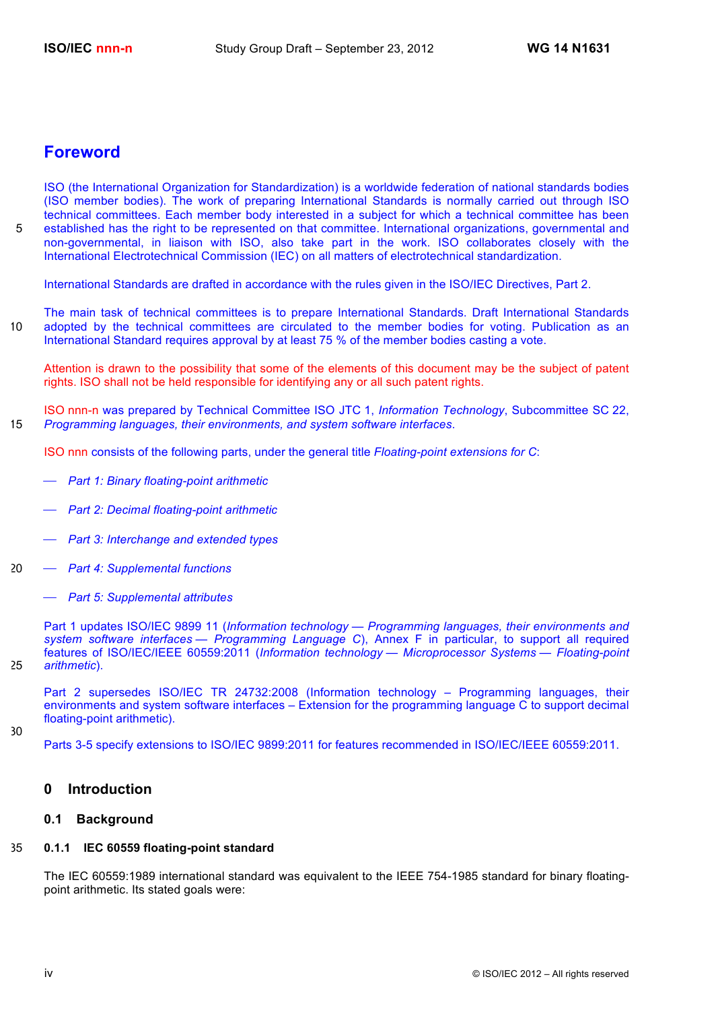## **Foreword**

ISO (the International Organization for Standardization) is a worldwide federation of national standards bodies (ISO member bodies). The work of preparing International Standards is normally carried out through ISO technical committees. Each member body interested in a subject for which a technical committee has been 5 established has the right to be represented on that committee. International organizations, governmental and non-governmental, in liaison with ISO, also take part in the work. ISO collaborates closely with the International Electrotechnical Commission (IEC) on all matters of electrotechnical standardization.

International Standards are drafted in accordance with the rules given in the ISO/IEC Directives, Part 2.

The main task of technical committees is to prepare International Standards. Draft International Standards 10 adopted by the technical committees are circulated to the member bodies for voting. Publication as an International Standard requires approval by at least 75 % of the member bodies casting a vote.

Attention is drawn to the possibility that some of the elements of this document may be the subject of patent rights. ISO shall not be held responsible for identifying any or all such patent rights.

ISO nnn-n was prepared by Technical Committee ISO JTC 1, *Information Technology*, Subcommittee SC 22, 15 *Programming languages, their environments, and system software interfaces*.

ISO nnn consists of the following parts, under the general title *Floating-point extensions for C*:

- ⎯ *Part 1: Binary floating-point arithmetic*
- ⎯ *Part 2: Decimal floating-point arithmetic*
- ⎯ *Part 3: Interchange and extended types*
- 20 ⎯ *Part 4: Supplemental functions*
	- ⎯ *Part 5: Supplemental attributes*

Part 1 updates ISO/IEC 9899 11 (*Information technology — Programming languages, their environments and system software interfaces — Programming Language C*), Annex F in particular, to support all required features of ISO/IEC/IEEE 60559:2011 (*Information technology — Microprocessor Systems — Floating-point*  25 *arithmetic*).

Part 2 supersedes ISO/IEC TR 24732:2008 (Information technology – Programming languages, their environments and system software interfaces – Extension for the programming language C to support decimal floating-point arithmetic).

30

Parts 3-5 specify extensions to ISO/IEC 9899:2011 for features recommended in ISO/IEC/IEEE 60559:2011.

## **0 Introduction**

## **0.1 Background**

## 35 **0.1.1 IEC 60559 floating-point standard**

The IEC 60559:1989 international standard was equivalent to the IEEE 754-1985 standard for binary floatingpoint arithmetic. Its stated goals were: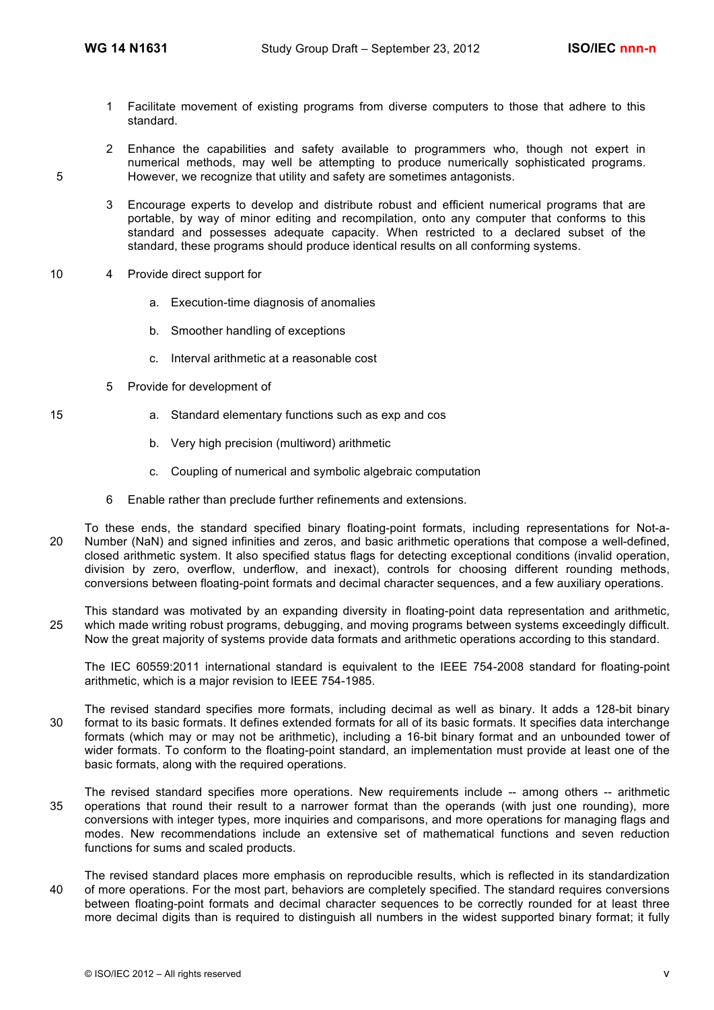- 1 Facilitate movement of existing programs from diverse computers to those that adhere to this standard.
- 2 Enhance the capabilities and safety available to programmers who, though not expert in numerical methods, may well be attempting to produce numerically sophisticated programs. 5 However, we recognize that utility and safety are sometimes antagonists.
	- 3 Encourage experts to develop and distribute robust and efficient numerical programs that are portable, by way of minor editing and recompilation, onto any computer that conforms to this standard and possesses adequate capacity. When restricted to a declared subset of the standard, these programs should produce identical results on all conforming systems.
- 10 4 Provide direct support for
	- a. Execution-time diagnosis of anomalies
	- b. Smoother handling of exceptions
	- c. Interval arithmetic at a reasonable cost
	- 5 Provide for development of
- 
- 
- 15 a. Standard elementary functions such as exp and cos
	- b. Very high precision (multiword) arithmetic
	- c. Coupling of numerical and symbolic algebraic computation
	- 6 Enable rather than preclude further refinements and extensions.
- To these ends, the standard specified binary floating-point formats, including representations for Not-a-20 Number (NaN) and signed infinities and zeros, and basic arithmetic operations that compose a well-defined, closed arithmetic system. It also specified status flags for detecting exceptional conditions (invalid operation, division by zero, overflow, underflow, and inexact), controls for choosing different rounding methods, conversions between floating-point formats and decimal character sequences, and a few auxiliary operations.

This standard was motivated by an expanding diversity in floating-point data representation and arithmetic, 25 which made writing robust programs, debugging, and moving programs between systems exceedingly difficult. Now the great majority of systems provide data formats and arithmetic operations according to this standard.

The IEC 60559:2011 international standard is equivalent to the IEEE 754-2008 standard for floating-point arithmetic, which is a major revision to IEEE 754-1985.

- The revised standard specifies more formats, including decimal as well as binary. It adds a 128-bit binary 30 format to its basic formats. It defines extended formats for all of its basic formats. It specifies data interchange formats (which may or may not be arithmetic), including a 16-bit binary format and an unbounded tower of wider formats. To conform to the floating-point standard, an implementation must provide at least one of the basic formats, along with the required operations.
- The revised standard specifies more operations. New requirements include -- among others -- arithmetic 35 operations that round their result to a narrower format than the operands (with just one rounding), more conversions with integer types, more inquiries and comparisons, and more operations for managing flags and modes. New recommendations include an extensive set of mathematical functions and seven reduction functions for sums and scaled products.
- The revised standard places more emphasis on reproducible results, which is reflected in its standardization 40 of more operations. For the most part, behaviors are completely specified. The standard requires conversions between floating-point formats and decimal character sequences to be correctly rounded for at least three more decimal digits than is required to distinguish all numbers in the widest supported binary format; it fully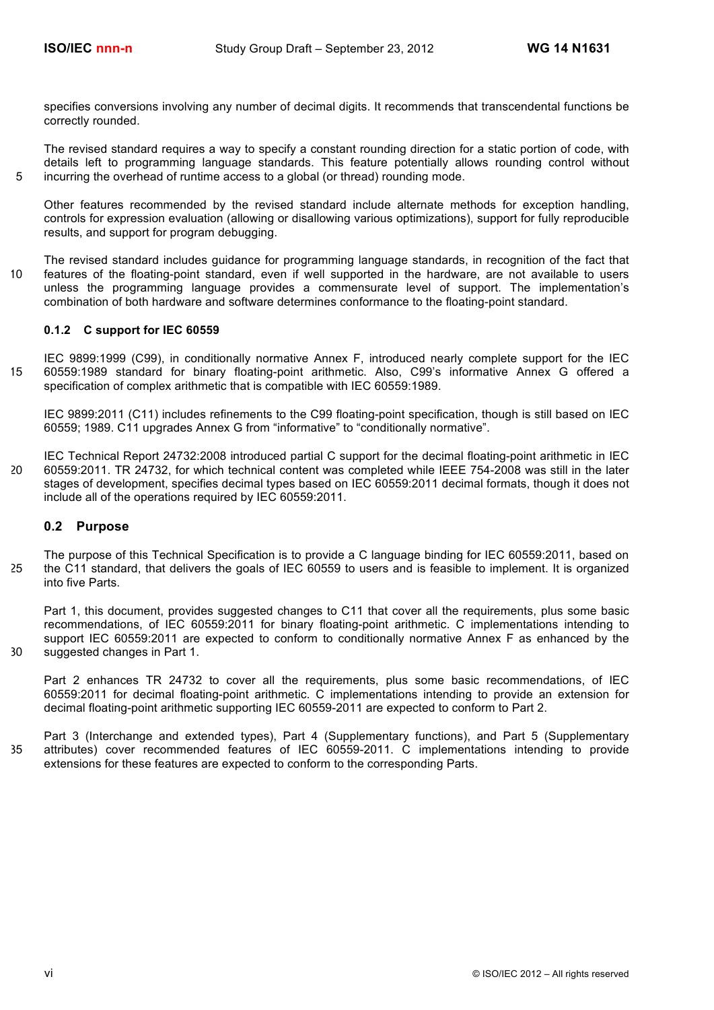specifies conversions involving any number of decimal digits. It recommends that transcendental functions be correctly rounded.

The revised standard requires a way to specify a constant rounding direction for a static portion of code, with details left to programming language standards. This feature potentially allows rounding control without 5 incurring the overhead of runtime access to a global (or thread) rounding mode.

Other features recommended by the revised standard include alternate methods for exception handling, controls for expression evaluation (allowing or disallowing various optimizations), support for fully reproducible results, and support for program debugging.

The revised standard includes guidance for programming language standards, in recognition of the fact that 10 features of the floating-point standard, even if well supported in the hardware, are not available to users unless the programming language provides a commensurate level of support. The implementation's combination of both hardware and software determines conformance to the floating-point standard.

#### **0.1.2 C support for IEC 60559**

IEC 9899:1999 (C99), in conditionally normative Annex F, introduced nearly complete support for the IEC 15 60559:1989 standard for binary floating-point arithmetic. Also, C99's informative Annex G offered a specification of complex arithmetic that is compatible with IEC 60559:1989.

IEC 9899:2011 (C11) includes refinements to the C99 floating-point specification, though is still based on IEC 60559; 1989. C11 upgrades Annex G from "informative" to "conditionally normative".

IEC Technical Report 24732:2008 introduced partial C support for the decimal floating-point arithmetic in IEC 20 60559:2011. TR 24732, for which technical content was completed while IEEE 754-2008 was still in the later stages of development, specifies decimal types based on IEC 60559:2011 decimal formats, though it does not include all of the operations required by IEC 60559:2011.

#### **0.2 Purpose**

The purpose of this Technical Specification is to provide a C language binding for IEC 60559:2011, based on 25 the C11 standard, that delivers the goals of IEC 60559 to users and is feasible to implement. It is organized into five Parts.

Part 1, this document, provides suggested changes to C11 that cover all the requirements, plus some basic recommendations, of IEC 60559:2011 for binary floating-point arithmetic. C implementations intending to support IEC 60559:2011 are expected to conform to conditionally normative Annex F as enhanced by the 30 suggested changes in Part 1.

Part 2 enhances TR 24732 to cover all the requirements, plus some basic recommendations, of IEC 60559:2011 for decimal floating-point arithmetic. C implementations intending to provide an extension for decimal floating-point arithmetic supporting IEC 60559-2011 are expected to conform to Part 2.

Part 3 (Interchange and extended types), Part 4 (Supplementary functions), and Part 5 (Supplementary 35 attributes) cover recommended features of IEC 60559-2011. C implementations intending to provide extensions for these features are expected to conform to the corresponding Parts.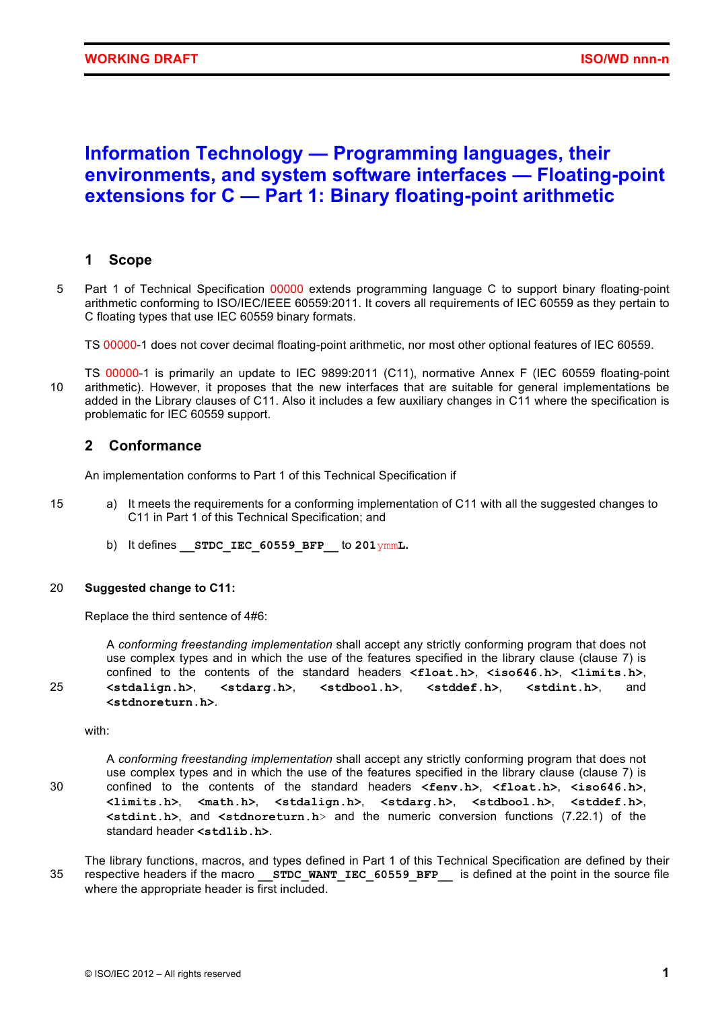# **Information Technology — Programming languages, their environments, and system software interfaces — Floating-point extensions for C — Part 1: Binary floating-point arithmetic**

## **1 Scope**

5 Part 1 of Technical Specification 00000 extends programming language C to support binary floating-point arithmetic conforming to ISO/IEC/IEEE 60559:2011. It covers all requirements of IEC 60559 as they pertain to C floating types that use IEC 60559 binary formats.

TS 00000-1 does not cover decimal floating-point arithmetic, nor most other optional features of IEC 60559.

TS 00000-1 is primarily an update to IEC 9899:2011 (C11), normative Annex F (IEC 60559 floating-point 10 arithmetic). However, it proposes that the new interfaces that are suitable for general implementations be added in the Library clauses of C11. Also it includes a few auxiliary changes in C11 where the specification is problematic for IEC 60559 support.

## **2 Conformance**

An implementation conforms to Part 1 of this Technical Specification if

- 15 a) It meets the requirements for a conforming implementation of C11 with all the suggested changes to C11 in Part 1 of this Technical Specification; and
	- b) It defines **\_\_STDC\_IEC\_60559\_BFP\_\_** to **201**ymm**L.**

## 20 **Suggested change to C11:**

Replace the third sentence of 4#6:

A *conforming freestanding implementation* shall accept any strictly conforming program that does not use complex types and in which the use of the features specified in the library clause (clause 7) is confined to the contents of the standard headers **<float.h>**, **<iso646.h>**, **<limits.h>**, 25 **<stdalign.h>**, **<stdarg.h>**, **<stdbool.h>**, **<stddef.h>**, **<stdint.h>**, and **<stdnoreturn.h>**.

with:

A *conforming freestanding implementation* shall accept any strictly conforming program that does not use complex types and in which the use of the features specified in the library clause (clause 7) is 30 confined to the contents of the standard headers **<fenv.h>**, **<float.h>**, **<iso646.h>**, **<limits.h>**, **<math.h>**, **<stdalign.h>**, **<stdarg.h>**, **<stdbool.h>**, **<stddef.h>**, **<stdint.h>**, and **<stdnoreturn.h**> and the numeric conversion functions (7.22.1) of the standard header **<stdlib.h>**.

The library functions, macros, and types defined in Part 1 of this Technical Specification are defined by their 35 respective headers if the macro **STDC WANT IEC 60559 BFP** is defined at the point in the source file where the appropriate header is first included.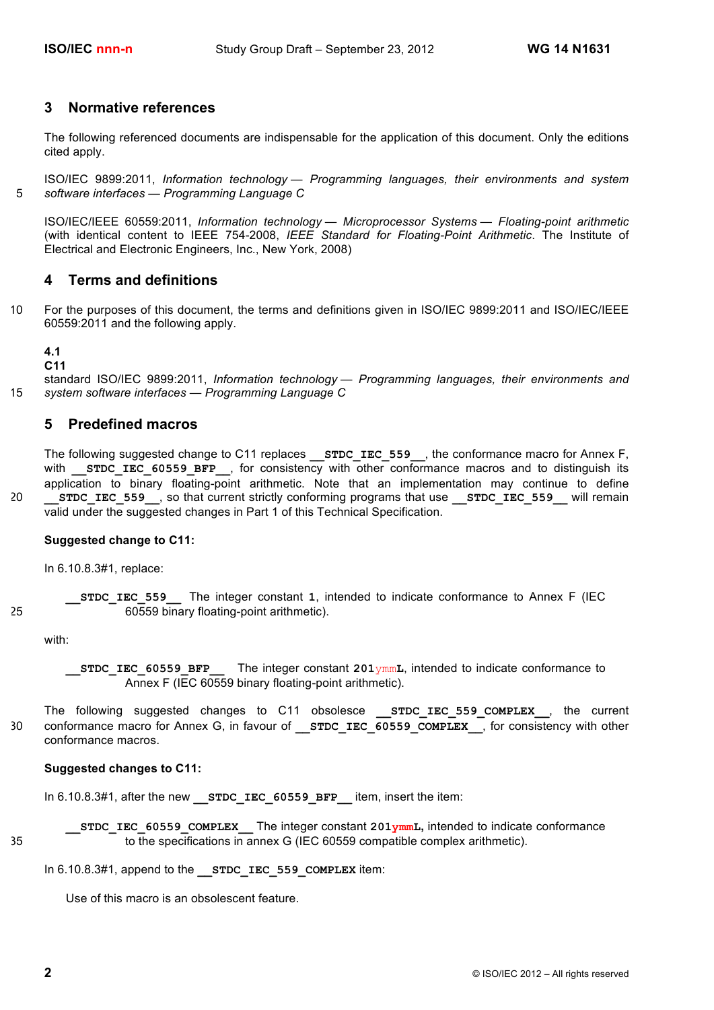## **3 Normative references**

The following referenced documents are indispensable for the application of this document. Only the editions cited apply.

ISO/IEC 9899:2011, *Information technology — Programming languages, their environments and system*  5 *software interfaces — Programming Language C*

ISO/IEC/IEEE 60559:2011, *Information technology — Microprocessor Systems — Floating-point arithmetic* (with identical content to IEEE 754-2008, *IEEE Standard for Floating-Point Arithmetic*. The Institute of Electrical and Electronic Engineers, Inc., New York, 2008)

## **4 Terms and definitions**

10 For the purposes of this document, the terms and definitions given in ISO/IEC 9899:2011 and ISO/IEC/IEEE 60559:2011 and the following apply.

#### **4.1**

**C11**

standard ISO/IEC 9899:2011, *Information technology — Programming languages, their environments and*  15 *system software interfaces — Programming Language C*

## **5 Predefined macros**

The following suggested change to C11 replaces **STDC\_IEC\_559**, the conformance macro for Annex F, with **STDC IEC 60559 BFP**, for consistency with other conformance macros and to distinguish its application to binary floating-point arithmetic. Note that an implementation may continue to define <sup>20</sup> **EXTIGLER** STDC IEC 559 , so that current strictly conforming programs that use **STDC** IEC 559 will remain valid under the suggested changes in Part 1 of this Technical Specification.

## **Suggested change to C11:**

In 6.10.8.3#1, replace:

**\_\_STDC\_IEC\_559\_\_** The integer constant **1**, intended to indicate conformance to Annex F (IEC 25 60559 binary floating-point arithmetic).

with:

**\_\_STDC\_IEC\_60559\_BFP\_\_** The integer constant **201**ymm**L**, intended to indicate conformance to Annex F (IEC 60559 binary floating-point arithmetic).

The following suggested changes to C11 obsolesce **STDC IEC 559 COMPLEX**, the current 30 conformance macro for Annex G, in favour of **STDC\_IEC\_60559\_COMPLEX**, for consistency with other conformance macros.

#### **Suggested changes to C11:**

In 6.10.8.3#1, after the new **STDC IEC 60559 BFP** item, insert the item:

**\_\_STDC\_IEC\_60559\_COMPLEX\_\_** The integer constant **201ymmL,** intended to indicate conformance 35 to the specifications in annex G (IEC 60559 compatible complex arithmetic).

In 6.10.8.3#1, append to the **STDC IEC 559 COMPLEX** item:

Use of this macro is an obsolescent feature.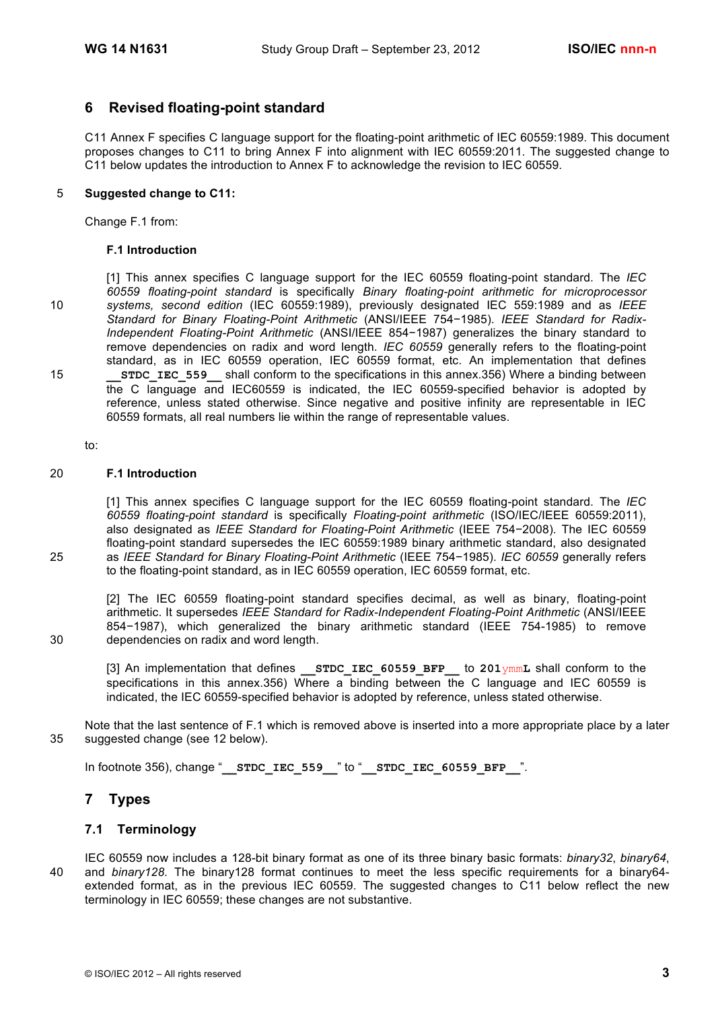## **6 Revised floating-point standard**

C11 Annex F specifies C language support for the floating-point arithmetic of IEC 60559:1989. This document proposes changes to C11 to bring Annex F into alignment with IEC 60559:2011. The suggested change to C11 below updates the introduction to Annex F to acknowledge the revision to IEC 60559.

### 5 **Suggested change to C11:**

Change F.1 from:

#### **F.1 Introduction**

[1] This annex specifies C language support for the IEC 60559 floating-point standard. The *IEC 60559 floating-point standard* is specifically *Binary floating-point arithmetic for microprocessor*  10 *systems, second edition* (IEC 60559:1989), previously designated IEC 559:1989 and as *IEEE Standard for Binary Floating-Point Arithmetic* (ANSI/IEEE 754−1985). *IEEE Standard for Radix-Independent Floating-Point Arithmetic* (ANSI/IEEE 854−1987) generalizes the binary standard to remove dependencies on radix and word length. *IEC 60559* generally refers to the floating-point standard, as in IEC 60559 operation, IEC 60559 format, etc. An implementation that defines 15 **\_\_STDC\_IEC\_559\_\_** shall conform to the specifications in this annex.356) Where a binding between the C language and IEC60559 is indicated, the IEC 60559-specified behavior is adopted by reference, unless stated otherwise. Since negative and positive infinity are representable in IEC 60559 formats, all real numbers lie within the range of representable values.

#### to:

#### 20 **F.1 Introduction**

[1] This annex specifies C language support for the IEC 60559 floating-point standard. The *IEC 60559 floating-point standard* is specifically *Floating-point arithmetic* (ISO/IEC/IEEE 60559:2011), also designated as *IEEE Standard for Floating-Point Arithmetic* (IEEE 754−2008). The IEC 60559 floating-point standard supersedes the IEC 60559:1989 binary arithmetic standard, also designated 25 as *IEEE Standard for Binary Floating-Point Arithmetic* (IEEE 754−1985). *IEC 60559* generally refers to the floating-point standard, as in IEC 60559 operation, IEC 60559 format, etc.

[2] The IEC 60559 floating-point standard specifies decimal, as well as binary, floating-point arithmetic. It supersedes *IEEE Standard for Radix-Independent Floating-Point Arithmetic* (ANSI/IEEE 854−1987), which generalized the binary arithmetic standard (IEEE 754-1985) to remove 30 dependencies on radix and word length.

[3] An implementation that defines **STDC IEC 60559 BFP** to 201<sub>ymm</sub>L shall conform to the specifications in this annex.356) Where a binding between the C language and IEC 60559 is indicated, the IEC 60559-specified behavior is adopted by reference, unless stated otherwise.

Note that the last sentence of F.1 which is removed above is inserted into a more appropriate place by a later 35 suggested change (see 12 below).

In footnote 356), change "**\_\_STDC\_IEC\_559\_\_**" to "**\_\_STDC\_IEC\_60559\_BFP\_\_**".

## **7 Types**

## **7.1 Terminology**

IEC 60559 now includes a 128-bit binary format as one of its three binary basic formats: *binary32*, *binary64*, 40 and *binary128*. The binary128 format continues to meet the less specific requirements for a binary64 extended format, as in the previous IEC 60559. The suggested changes to C11 below reflect the new terminology in IEC 60559; these changes are not substantive.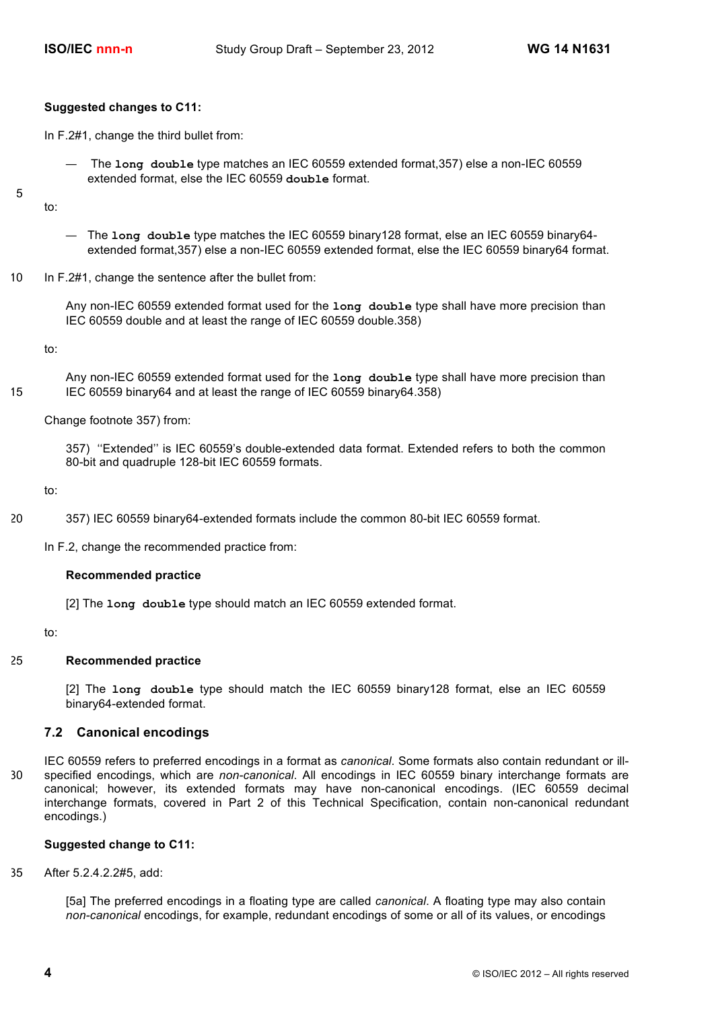#### **Suggested changes to C11:**

In F.2#1, change the third bullet from:

— The **long double** type matches an IEC 60559 extended format,357) else a non-IEC 60559 extended format, else the IEC 60559 **double** format.

5

- The **long double** type matches the IEC 60559 binary128 format, else an IEC 60559 binary64 extended format,357) else a non-IEC 60559 extended format, else the IEC 60559 binary64 format.
- 10 In F.2#1, change the sentence after the bullet from:

Any non-IEC 60559 extended format used for the **long double** type shall have more precision than IEC 60559 double and at least the range of IEC 60559 double.358)

to:

to:

Any non-IEC 60559 extended format used for the **long double** type shall have more precision than 15 IEC 60559 binary64 and at least the range of IEC 60559 binary64.358)

Change footnote 357) from:

357) ''Extended'' is IEC 60559's double-extended data format. Extended refers to both the common 80-bit and quadruple 128-bit IEC 60559 formats.

to:

20 357) IEC 60559 binary64-extended formats include the common 80-bit IEC 60559 format.

In F.2, change the recommended practice from:

#### **Recommended practice**

[2] The **long double** type should match an IEC 60559 extended format.

to:

#### 25 **Recommended practice**

[2] The **long double** type should match the IEC 60559 binary128 format, else an IEC 60559 binary64-extended format.

#### **7.2 Canonical encodings**

IEC 60559 refers to preferred encodings in a format as *canonical*. Some formats also contain redundant or ill-30 specified encodings, which are *non-canonical*. All encodings in IEC 60559 binary interchange formats are canonical; however, its extended formats may have non-canonical encodings. (IEC 60559 decimal interchange formats, covered in Part 2 of this Technical Specification, contain non-canonical redundant encodings.)

### **Suggested change to C11:**

35 After 5.2.4.2.2#5, add:

[5a] The preferred encodings in a floating type are called *canonical*. A floating type may also contain *non-canonical* encodings, for example, redundant encodings of some or all of its values, or encodings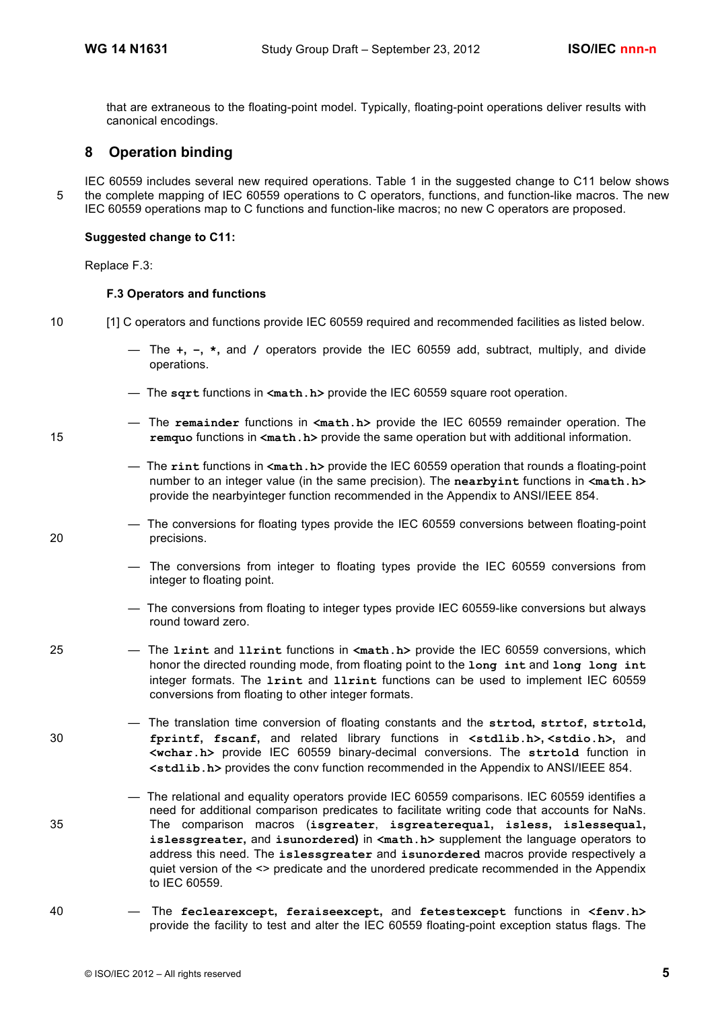that are extraneous to the floating-point model. Typically, floating-point operations deliver results with canonical encodings.

## **8 Operation binding**

IEC 60559 includes several new required operations. Table 1 in the suggested change to C11 below shows 5 the complete mapping of IEC 60559 operations to C operators, functions, and function-like macros. The new IEC 60559 operations map to C functions and function-like macros; no new C operators are proposed.

#### **Suggested change to C11:**

Replace F.3:

#### **F.3 Operators and functions**

- 
- 10 [1] C operators and functions provide IEC 60559 required and recommended facilities as listed below.
	- The **+, −, \*,** and **/** operators provide the IEC 60559 add, subtract, multiply, and divide operations.
	- The **sqrt** functions in **<math.h>** provide the IEC 60559 square root operation.
- The **remainder** functions in **<math.h>** provide the IEC 60559 remainder operation. The 15 **remquo** functions in **<math.h>** provide the same operation but with additional information.
	- The **rint** functions in **<math.h>** provide the IEC 60559 operation that rounds a floating-point number to an integer value (in the same precision). The **nearbyint** functions in **<math.h>** provide the nearbyinteger function recommended in the Appendix to ANSI/IEEE 854.
- The conversions for floating types provide the IEC 60559 conversions between floating-point 20 precisions.
	- The conversions from integer to floating types provide the IEC 60559 conversions from integer to floating point.
	- The conversions from floating to integer types provide IEC 60559-like conversions but always round toward zero.
- 25 The **lrint** and **llrint** functions in **<math.h>** provide the IEC 60559 conversions, which honor the directed rounding mode, from floating point to the **long int** and **long long int** integer formats. The **lrint** and **llrint** functions can be used to implement IEC 60559 conversions from floating to other integer formats.
- The translation time conversion of floating constants and the **strtod, strtof, strtold,**  30 **fprintf, fscanf,** and related library functions in **<stdlib.h>, <stdio.h>,** and **<wchar.h>** provide IEC 60559 binary-decimal conversions. The **strtold** function in **<stdlib.h>** provides the conv function recommended in the Appendix to ANSI/IEEE 854.
- The relational and equality operators provide IEC 60559 comparisons. IEC 60559 identifies a need for additional comparison predicates to facilitate writing code that accounts for NaNs. 35 The comparison macros (**isgreater**, **isgreaterequal, isless, islessequal, islessgreater,** and **isunordered)** in **<math.h>** supplement the language operators to address this need. The **islessgreater** and **isunordered** macros provide respectively a quiet version of the <> predicate and the unordered predicate recommended in the Appendix to IEC 60559.
- 40 The **feclearexcept, feraiseexcept,** and **fetestexcept** functions in **<fenv.h>** provide the facility to test and alter the IEC 60559 floating-point exception status flags. The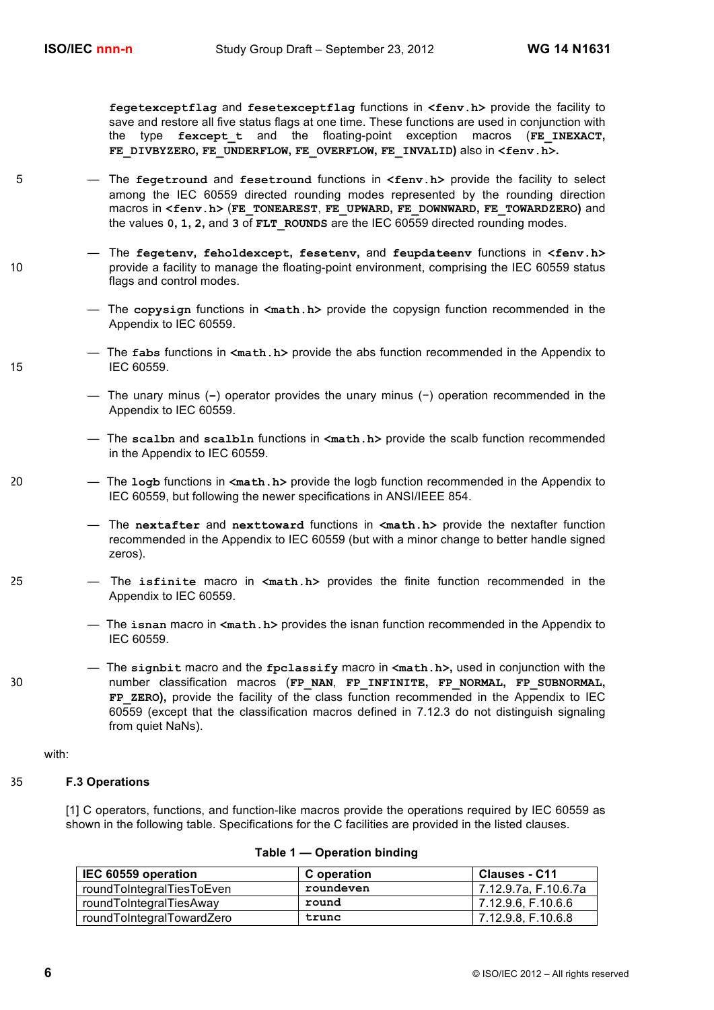**fegetexceptflag** and **fesetexceptflag** functions in **<fenv.h>** provide the facility to save and restore all five status flags at one time. These functions are used in conjunction with the type **fexcept\_t** and the floating-point exception macros (**FE\_INEXACT, FE\_DIVBYZERO, FE\_UNDERFLOW, FE\_OVERFLOW, FE\_INVALID)** also in **<fenv.h>.** 

- 5 The **fegetround** and **fesetround** functions in **<fenv.h>** provide the facility to select among the IEC 60559 directed rounding modes represented by the rounding direction macros in **<fenv.h>** (**FE\_TONEAREST**, **FE\_UPWARD, FE\_DOWNWARD, FE\_TOWARDZERO)** and the values **0, 1, 2,** and **3** of **FLT\_ROUNDS** are the IEC 60559 directed rounding modes.
- The **fegetenv, feholdexcept, fesetenv,** and **feupdateenv** functions in **<fenv.h>** 10 provide a facility to manage the floating-point environment, comprising the IEC 60559 status flags and control modes.
	- The **copysign** functions in **<math.h>** provide the copysign function recommended in the Appendix to IEC 60559.
- The **fabs** functions in **<math.h>** provide the abs function recommended in the Appendix to 15 IEC 60559.
	- The unary minus (**−**) operator provides the unary minus (−) operation recommended in the Appendix to IEC 60559.
	- The **scalbn** and **scalbln** functions in **<math.h>** provide the scalb function recommended in the Appendix to IEC 60559.
- 20 The **logb** functions in **<math.h>** provide the logb function recommended in the Appendix to IEC 60559, but following the newer specifications in ANSI/IEEE 854.
	- The **nextafter** and **nexttoward** functions in **<math.h>** provide the nextafter function recommended in the Appendix to IEC 60559 (but with a minor change to better handle signed zeros).
- 25 The **isfinite** macro in **<math.h>** provides the finite function recommended in the Appendix to IEC 60559.
	- The **isnan** macro in **<math.h>** provides the isnan function recommended in the Appendix to IEC 60559.
- The **signbit** macro and the **fpclassify** macro in **<math.h>,** used in conjunction with the 30 number classification macros (**FP\_NAN**, **FP\_INFINITE, FP\_NORMAL, FP\_SUBNORMAL, FP\_ZERO),** provide the facility of the class function recommended in the Appendix to IEC 60559 (except that the classification macros defined in 7.12.3 do not distinguish signaling from quiet NaNs).

with:

#### 35 **F.3 Operations**

[1] C operators, functions, and function-like macros provide the operations required by IEC 60559 as shown in the following table. Specifications for the C facilities are provided in the listed clauses.

| IEC 60559 operation       | C operation | Clauses - C11        |
|---------------------------|-------------|----------------------|
| roundToIntegralTiesToEven | roundeven   | 7.12.9.7a. F.10.6.7a |
| roundToIntegralTiesAway   | round       | 7.12.9.6. F.10.6.6   |
| roundToIntegralTowardZero | trunc       | 7.12.9.8. F.10.6.8   |

#### **Table 1 — Operation binding**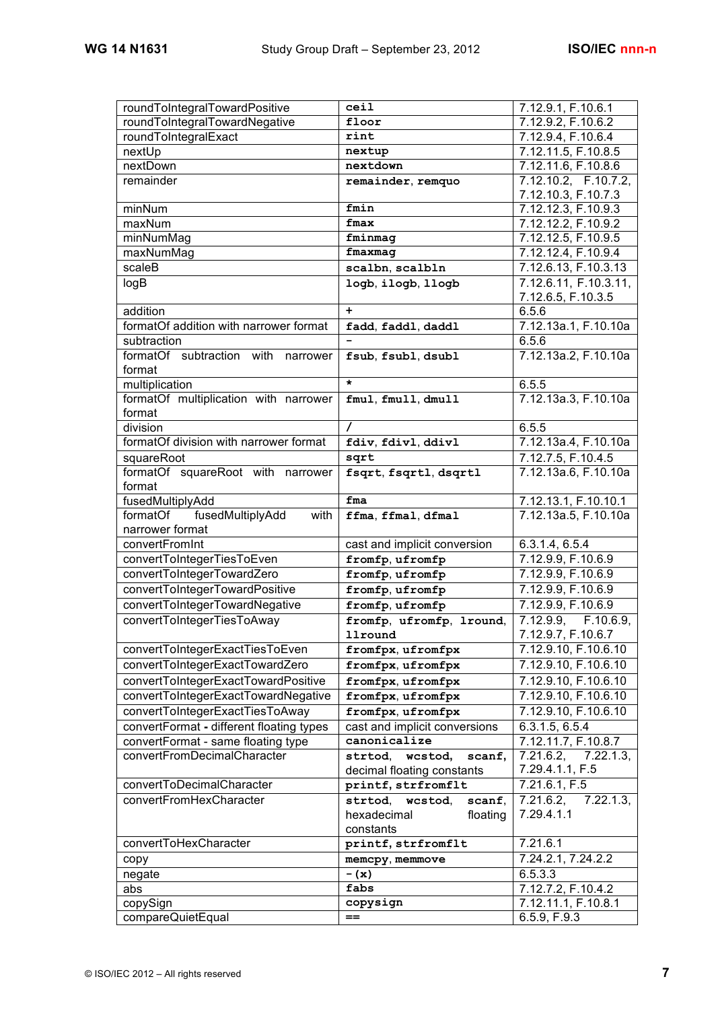| roundToIntegralTowardNegative<br>floor<br>7.12.9.2, F.10.6.2<br>roundToIntegralExact<br>rint<br>7.12.9.4, F.10.6.4<br>7.12.11.5, F.10.8.5<br>nextUp<br>nextup<br>nextdown<br>nextDown<br>7.12.11.6, F.10.8.6<br>remainder<br>7.12.10.2, F.10.7.2,<br>remainder, remquo<br>7.12.10.3, F.10.7.3<br>fmin<br>7.12.12.3, F.10.9.3<br>minNum<br>maxNum<br>fmax<br>7.12.12.2, F.10.9.2<br>minNumMag<br>fminmag<br>7.12.12.5, F.10.9.5<br>maxNumMag<br>fmaxmag<br>7.12.12.4, F.10.9.4<br>scaleB<br>7.12.6.13, F.10.3.13<br>scalbn, scalbln<br>7.12.6.11, F.10.3.11,<br>logB<br>logb, ilogb, llogb<br>7.12.6.5, F.10.3.5<br>addition<br>6.5.6<br>$\ddot{}$<br>formatOf addition with narrower format<br>7.12.13a.1, F.10.10a<br>fadd, faddl, daddl<br>subtraction<br>6.5.6<br>formatOf subtraction with narrower<br>7.12.13a.2, F.10.10a<br>fsub, fsubl, dsubl<br>format<br>$\star$<br>multiplication<br>6.5.5<br>formatOf multiplication with narrower<br>7.12.13a.3, F.10.10a<br>fmul, fmull, dmull<br>format<br>division<br>6.5.5<br>formatOf division with narrower format<br>7.12.13a.4, F.10.10a<br>fdiv, fdivl, ddivl<br>7.12.7.5, F.10.4.5<br>squareRoot<br>sqrt<br>formatOf squareRoot with narrower<br>7.12.13a.6, F.10.10a<br>fsqrt, fsqrtl, dsqrtl<br>format<br>fusedMultiplyAdd<br>7.12.13.1, F.10.10.1<br>fma<br>fusedMultiplyAdd<br>7.12.13a.5, F.10.10a<br>formatOf<br>with<br>ffma, ffmal, dfmal<br>narrower format<br>convertFromInt<br>cast and implicit conversion<br>6.3.1.4, 6.5.4<br>7.12.9.9, F.10.6.9<br>convertToIntegerTiesToEven<br>fromfp, ufromfp<br>convertToIntegerTowardZero<br>7.12.9.9, F.10.6.9<br>fromfp, ufromfp<br>convertToIntegerTowardPositive<br>7.12.9.9, F.10.6.9<br>fromfp, ufromfp<br>convertToIntegerTowardNegative<br>7.12.9.9, F.10.6.9<br>fromfp, ufromfp<br>convertToIntegerTiesToAway<br>7.12.9.9,<br>F.10.6.9,<br>fromfp, ufromfp, lround,<br>7.12.9.7, F.10.6.7<br>llround<br>convertToIntegerExactTiesToEven<br>7.12.9.10, F.10.6.10<br>fromfpx, ufromfpx<br>7.12.9.10, F.10.6.10<br>convertToIntegerExactTowardZero<br>fromfpx, ufromfpx<br>convertToIntegerExactTowardPositive<br>7.12.9.10, F.10.6.10<br>fromfpx, ufromfpx<br>convertToIntegerExactTowardNegative<br>7.12.9.10, F.10.6.10<br>fromfpx, ufromfpx<br>convertToIntegerExactTiesToAway<br>7.12.9.10, F.10.6.10<br>fromfpx, ufromfpx<br>convertFormat - different floating types<br>cast and implicit conversions<br>6.3.1.5, 6.5.4<br>canonicalize<br>convertFormat - same floating type<br>7.12.11.7, F.10.8.7<br>convertFromDecimalCharacter<br>7.21.6.2,<br>7.22.1.3<br>strtod,<br>wcstod,<br>scanf,<br>7.29.4.1.1, F.5<br>decimal floating constants<br>convertToDecimalCharacter<br>7.21.6.1, F.5<br>printf, strfromflt<br>convertFromHexCharacter<br>7.21.6.2,<br>$7.22.1.3$ ,<br>strtod,<br>scanf,<br>wcstod,<br>7.29.4.1.1<br>hexadecimal<br>floating<br>constants<br>convertToHexCharacter<br>7.21.6.1<br>printf, strfromflt<br>7.24.2.1, 7.24.2.2<br>memcpy, memmove<br>copy<br>6.5.3.3<br>$-$ (x)<br>negate<br>fabs<br>7.12.7.2, F.10.4.2<br>abs<br>7.12.11.1, F.10.8.1<br>copySign<br>copysign<br>6.5.9, F.9.3<br>$==$ | roundToIntegralTowardPositive | ceil | 7.12.9.1, F.10.6.1 |
|-------------------------------------------------------------------------------------------------------------------------------------------------------------------------------------------------------------------------------------------------------------------------------------------------------------------------------------------------------------------------------------------------------------------------------------------------------------------------------------------------------------------------------------------------------------------------------------------------------------------------------------------------------------------------------------------------------------------------------------------------------------------------------------------------------------------------------------------------------------------------------------------------------------------------------------------------------------------------------------------------------------------------------------------------------------------------------------------------------------------------------------------------------------------------------------------------------------------------------------------------------------------------------------------------------------------------------------------------------------------------------------------------------------------------------------------------------------------------------------------------------------------------------------------------------------------------------------------------------------------------------------------------------------------------------------------------------------------------------------------------------------------------------------------------------------------------------------------------------------------------------------------------------------------------------------------------------------------------------------------------------------------------------------------------------------------------------------------------------------------------------------------------------------------------------------------------------------------------------------------------------------------------------------------------------------------------------------------------------------------------------------------------------------------------------------------------------------------------------------------------------------------------------------------------------------------------------------------------------------------------------------------------------------------------------------------------------------------------------------------------------------------------------------------------------------------------------------------------------------------------------------------------------------------------------------------------------------------------------------------------------------------------------------------------------------------------------------------------------------------------------------------------|-------------------------------|------|--------------------|
|                                                                                                                                                                                                                                                                                                                                                                                                                                                                                                                                                                                                                                                                                                                                                                                                                                                                                                                                                                                                                                                                                                                                                                                                                                                                                                                                                                                                                                                                                                                                                                                                                                                                                                                                                                                                                                                                                                                                                                                                                                                                                                                                                                                                                                                                                                                                                                                                                                                                                                                                                                                                                                                                                                                                                                                                                                                                                                                                                                                                                                                                                                                                                 |                               |      |                    |
|                                                                                                                                                                                                                                                                                                                                                                                                                                                                                                                                                                                                                                                                                                                                                                                                                                                                                                                                                                                                                                                                                                                                                                                                                                                                                                                                                                                                                                                                                                                                                                                                                                                                                                                                                                                                                                                                                                                                                                                                                                                                                                                                                                                                                                                                                                                                                                                                                                                                                                                                                                                                                                                                                                                                                                                                                                                                                                                                                                                                                                                                                                                                                 |                               |      |                    |
|                                                                                                                                                                                                                                                                                                                                                                                                                                                                                                                                                                                                                                                                                                                                                                                                                                                                                                                                                                                                                                                                                                                                                                                                                                                                                                                                                                                                                                                                                                                                                                                                                                                                                                                                                                                                                                                                                                                                                                                                                                                                                                                                                                                                                                                                                                                                                                                                                                                                                                                                                                                                                                                                                                                                                                                                                                                                                                                                                                                                                                                                                                                                                 |                               |      |                    |
|                                                                                                                                                                                                                                                                                                                                                                                                                                                                                                                                                                                                                                                                                                                                                                                                                                                                                                                                                                                                                                                                                                                                                                                                                                                                                                                                                                                                                                                                                                                                                                                                                                                                                                                                                                                                                                                                                                                                                                                                                                                                                                                                                                                                                                                                                                                                                                                                                                                                                                                                                                                                                                                                                                                                                                                                                                                                                                                                                                                                                                                                                                                                                 |                               |      |                    |
|                                                                                                                                                                                                                                                                                                                                                                                                                                                                                                                                                                                                                                                                                                                                                                                                                                                                                                                                                                                                                                                                                                                                                                                                                                                                                                                                                                                                                                                                                                                                                                                                                                                                                                                                                                                                                                                                                                                                                                                                                                                                                                                                                                                                                                                                                                                                                                                                                                                                                                                                                                                                                                                                                                                                                                                                                                                                                                                                                                                                                                                                                                                                                 |                               |      |                    |
|                                                                                                                                                                                                                                                                                                                                                                                                                                                                                                                                                                                                                                                                                                                                                                                                                                                                                                                                                                                                                                                                                                                                                                                                                                                                                                                                                                                                                                                                                                                                                                                                                                                                                                                                                                                                                                                                                                                                                                                                                                                                                                                                                                                                                                                                                                                                                                                                                                                                                                                                                                                                                                                                                                                                                                                                                                                                                                                                                                                                                                                                                                                                                 |                               |      |                    |
|                                                                                                                                                                                                                                                                                                                                                                                                                                                                                                                                                                                                                                                                                                                                                                                                                                                                                                                                                                                                                                                                                                                                                                                                                                                                                                                                                                                                                                                                                                                                                                                                                                                                                                                                                                                                                                                                                                                                                                                                                                                                                                                                                                                                                                                                                                                                                                                                                                                                                                                                                                                                                                                                                                                                                                                                                                                                                                                                                                                                                                                                                                                                                 |                               |      |                    |
|                                                                                                                                                                                                                                                                                                                                                                                                                                                                                                                                                                                                                                                                                                                                                                                                                                                                                                                                                                                                                                                                                                                                                                                                                                                                                                                                                                                                                                                                                                                                                                                                                                                                                                                                                                                                                                                                                                                                                                                                                                                                                                                                                                                                                                                                                                                                                                                                                                                                                                                                                                                                                                                                                                                                                                                                                                                                                                                                                                                                                                                                                                                                                 |                               |      |                    |
|                                                                                                                                                                                                                                                                                                                                                                                                                                                                                                                                                                                                                                                                                                                                                                                                                                                                                                                                                                                                                                                                                                                                                                                                                                                                                                                                                                                                                                                                                                                                                                                                                                                                                                                                                                                                                                                                                                                                                                                                                                                                                                                                                                                                                                                                                                                                                                                                                                                                                                                                                                                                                                                                                                                                                                                                                                                                                                                                                                                                                                                                                                                                                 |                               |      |                    |
|                                                                                                                                                                                                                                                                                                                                                                                                                                                                                                                                                                                                                                                                                                                                                                                                                                                                                                                                                                                                                                                                                                                                                                                                                                                                                                                                                                                                                                                                                                                                                                                                                                                                                                                                                                                                                                                                                                                                                                                                                                                                                                                                                                                                                                                                                                                                                                                                                                                                                                                                                                                                                                                                                                                                                                                                                                                                                                                                                                                                                                                                                                                                                 |                               |      |                    |
|                                                                                                                                                                                                                                                                                                                                                                                                                                                                                                                                                                                                                                                                                                                                                                                                                                                                                                                                                                                                                                                                                                                                                                                                                                                                                                                                                                                                                                                                                                                                                                                                                                                                                                                                                                                                                                                                                                                                                                                                                                                                                                                                                                                                                                                                                                                                                                                                                                                                                                                                                                                                                                                                                                                                                                                                                                                                                                                                                                                                                                                                                                                                                 |                               |      |                    |
|                                                                                                                                                                                                                                                                                                                                                                                                                                                                                                                                                                                                                                                                                                                                                                                                                                                                                                                                                                                                                                                                                                                                                                                                                                                                                                                                                                                                                                                                                                                                                                                                                                                                                                                                                                                                                                                                                                                                                                                                                                                                                                                                                                                                                                                                                                                                                                                                                                                                                                                                                                                                                                                                                                                                                                                                                                                                                                                                                                                                                                                                                                                                                 |                               |      |                    |
|                                                                                                                                                                                                                                                                                                                                                                                                                                                                                                                                                                                                                                                                                                                                                                                                                                                                                                                                                                                                                                                                                                                                                                                                                                                                                                                                                                                                                                                                                                                                                                                                                                                                                                                                                                                                                                                                                                                                                                                                                                                                                                                                                                                                                                                                                                                                                                                                                                                                                                                                                                                                                                                                                                                                                                                                                                                                                                                                                                                                                                                                                                                                                 |                               |      |                    |
|                                                                                                                                                                                                                                                                                                                                                                                                                                                                                                                                                                                                                                                                                                                                                                                                                                                                                                                                                                                                                                                                                                                                                                                                                                                                                                                                                                                                                                                                                                                                                                                                                                                                                                                                                                                                                                                                                                                                                                                                                                                                                                                                                                                                                                                                                                                                                                                                                                                                                                                                                                                                                                                                                                                                                                                                                                                                                                                                                                                                                                                                                                                                                 |                               |      |                    |
|                                                                                                                                                                                                                                                                                                                                                                                                                                                                                                                                                                                                                                                                                                                                                                                                                                                                                                                                                                                                                                                                                                                                                                                                                                                                                                                                                                                                                                                                                                                                                                                                                                                                                                                                                                                                                                                                                                                                                                                                                                                                                                                                                                                                                                                                                                                                                                                                                                                                                                                                                                                                                                                                                                                                                                                                                                                                                                                                                                                                                                                                                                                                                 |                               |      |                    |
|                                                                                                                                                                                                                                                                                                                                                                                                                                                                                                                                                                                                                                                                                                                                                                                                                                                                                                                                                                                                                                                                                                                                                                                                                                                                                                                                                                                                                                                                                                                                                                                                                                                                                                                                                                                                                                                                                                                                                                                                                                                                                                                                                                                                                                                                                                                                                                                                                                                                                                                                                                                                                                                                                                                                                                                                                                                                                                                                                                                                                                                                                                                                                 |                               |      |                    |
|                                                                                                                                                                                                                                                                                                                                                                                                                                                                                                                                                                                                                                                                                                                                                                                                                                                                                                                                                                                                                                                                                                                                                                                                                                                                                                                                                                                                                                                                                                                                                                                                                                                                                                                                                                                                                                                                                                                                                                                                                                                                                                                                                                                                                                                                                                                                                                                                                                                                                                                                                                                                                                                                                                                                                                                                                                                                                                                                                                                                                                                                                                                                                 |                               |      |                    |
|                                                                                                                                                                                                                                                                                                                                                                                                                                                                                                                                                                                                                                                                                                                                                                                                                                                                                                                                                                                                                                                                                                                                                                                                                                                                                                                                                                                                                                                                                                                                                                                                                                                                                                                                                                                                                                                                                                                                                                                                                                                                                                                                                                                                                                                                                                                                                                                                                                                                                                                                                                                                                                                                                                                                                                                                                                                                                                                                                                                                                                                                                                                                                 |                               |      |                    |
|                                                                                                                                                                                                                                                                                                                                                                                                                                                                                                                                                                                                                                                                                                                                                                                                                                                                                                                                                                                                                                                                                                                                                                                                                                                                                                                                                                                                                                                                                                                                                                                                                                                                                                                                                                                                                                                                                                                                                                                                                                                                                                                                                                                                                                                                                                                                                                                                                                                                                                                                                                                                                                                                                                                                                                                                                                                                                                                                                                                                                                                                                                                                                 |                               |      |                    |
|                                                                                                                                                                                                                                                                                                                                                                                                                                                                                                                                                                                                                                                                                                                                                                                                                                                                                                                                                                                                                                                                                                                                                                                                                                                                                                                                                                                                                                                                                                                                                                                                                                                                                                                                                                                                                                                                                                                                                                                                                                                                                                                                                                                                                                                                                                                                                                                                                                                                                                                                                                                                                                                                                                                                                                                                                                                                                                                                                                                                                                                                                                                                                 |                               |      |                    |
|                                                                                                                                                                                                                                                                                                                                                                                                                                                                                                                                                                                                                                                                                                                                                                                                                                                                                                                                                                                                                                                                                                                                                                                                                                                                                                                                                                                                                                                                                                                                                                                                                                                                                                                                                                                                                                                                                                                                                                                                                                                                                                                                                                                                                                                                                                                                                                                                                                                                                                                                                                                                                                                                                                                                                                                                                                                                                                                                                                                                                                                                                                                                                 |                               |      |                    |
|                                                                                                                                                                                                                                                                                                                                                                                                                                                                                                                                                                                                                                                                                                                                                                                                                                                                                                                                                                                                                                                                                                                                                                                                                                                                                                                                                                                                                                                                                                                                                                                                                                                                                                                                                                                                                                                                                                                                                                                                                                                                                                                                                                                                                                                                                                                                                                                                                                                                                                                                                                                                                                                                                                                                                                                                                                                                                                                                                                                                                                                                                                                                                 |                               |      |                    |
|                                                                                                                                                                                                                                                                                                                                                                                                                                                                                                                                                                                                                                                                                                                                                                                                                                                                                                                                                                                                                                                                                                                                                                                                                                                                                                                                                                                                                                                                                                                                                                                                                                                                                                                                                                                                                                                                                                                                                                                                                                                                                                                                                                                                                                                                                                                                                                                                                                                                                                                                                                                                                                                                                                                                                                                                                                                                                                                                                                                                                                                                                                                                                 |                               |      |                    |
|                                                                                                                                                                                                                                                                                                                                                                                                                                                                                                                                                                                                                                                                                                                                                                                                                                                                                                                                                                                                                                                                                                                                                                                                                                                                                                                                                                                                                                                                                                                                                                                                                                                                                                                                                                                                                                                                                                                                                                                                                                                                                                                                                                                                                                                                                                                                                                                                                                                                                                                                                                                                                                                                                                                                                                                                                                                                                                                                                                                                                                                                                                                                                 |                               |      |                    |
|                                                                                                                                                                                                                                                                                                                                                                                                                                                                                                                                                                                                                                                                                                                                                                                                                                                                                                                                                                                                                                                                                                                                                                                                                                                                                                                                                                                                                                                                                                                                                                                                                                                                                                                                                                                                                                                                                                                                                                                                                                                                                                                                                                                                                                                                                                                                                                                                                                                                                                                                                                                                                                                                                                                                                                                                                                                                                                                                                                                                                                                                                                                                                 |                               |      |                    |
|                                                                                                                                                                                                                                                                                                                                                                                                                                                                                                                                                                                                                                                                                                                                                                                                                                                                                                                                                                                                                                                                                                                                                                                                                                                                                                                                                                                                                                                                                                                                                                                                                                                                                                                                                                                                                                                                                                                                                                                                                                                                                                                                                                                                                                                                                                                                                                                                                                                                                                                                                                                                                                                                                                                                                                                                                                                                                                                                                                                                                                                                                                                                                 |                               |      |                    |
|                                                                                                                                                                                                                                                                                                                                                                                                                                                                                                                                                                                                                                                                                                                                                                                                                                                                                                                                                                                                                                                                                                                                                                                                                                                                                                                                                                                                                                                                                                                                                                                                                                                                                                                                                                                                                                                                                                                                                                                                                                                                                                                                                                                                                                                                                                                                                                                                                                                                                                                                                                                                                                                                                                                                                                                                                                                                                                                                                                                                                                                                                                                                                 |                               |      |                    |
|                                                                                                                                                                                                                                                                                                                                                                                                                                                                                                                                                                                                                                                                                                                                                                                                                                                                                                                                                                                                                                                                                                                                                                                                                                                                                                                                                                                                                                                                                                                                                                                                                                                                                                                                                                                                                                                                                                                                                                                                                                                                                                                                                                                                                                                                                                                                                                                                                                                                                                                                                                                                                                                                                                                                                                                                                                                                                                                                                                                                                                                                                                                                                 |                               |      |                    |
|                                                                                                                                                                                                                                                                                                                                                                                                                                                                                                                                                                                                                                                                                                                                                                                                                                                                                                                                                                                                                                                                                                                                                                                                                                                                                                                                                                                                                                                                                                                                                                                                                                                                                                                                                                                                                                                                                                                                                                                                                                                                                                                                                                                                                                                                                                                                                                                                                                                                                                                                                                                                                                                                                                                                                                                                                                                                                                                                                                                                                                                                                                                                                 |                               |      |                    |
|                                                                                                                                                                                                                                                                                                                                                                                                                                                                                                                                                                                                                                                                                                                                                                                                                                                                                                                                                                                                                                                                                                                                                                                                                                                                                                                                                                                                                                                                                                                                                                                                                                                                                                                                                                                                                                                                                                                                                                                                                                                                                                                                                                                                                                                                                                                                                                                                                                                                                                                                                                                                                                                                                                                                                                                                                                                                                                                                                                                                                                                                                                                                                 |                               |      |                    |
|                                                                                                                                                                                                                                                                                                                                                                                                                                                                                                                                                                                                                                                                                                                                                                                                                                                                                                                                                                                                                                                                                                                                                                                                                                                                                                                                                                                                                                                                                                                                                                                                                                                                                                                                                                                                                                                                                                                                                                                                                                                                                                                                                                                                                                                                                                                                                                                                                                                                                                                                                                                                                                                                                                                                                                                                                                                                                                                                                                                                                                                                                                                                                 |                               |      |                    |
|                                                                                                                                                                                                                                                                                                                                                                                                                                                                                                                                                                                                                                                                                                                                                                                                                                                                                                                                                                                                                                                                                                                                                                                                                                                                                                                                                                                                                                                                                                                                                                                                                                                                                                                                                                                                                                                                                                                                                                                                                                                                                                                                                                                                                                                                                                                                                                                                                                                                                                                                                                                                                                                                                                                                                                                                                                                                                                                                                                                                                                                                                                                                                 |                               |      |                    |
|                                                                                                                                                                                                                                                                                                                                                                                                                                                                                                                                                                                                                                                                                                                                                                                                                                                                                                                                                                                                                                                                                                                                                                                                                                                                                                                                                                                                                                                                                                                                                                                                                                                                                                                                                                                                                                                                                                                                                                                                                                                                                                                                                                                                                                                                                                                                                                                                                                                                                                                                                                                                                                                                                                                                                                                                                                                                                                                                                                                                                                                                                                                                                 |                               |      |                    |
|                                                                                                                                                                                                                                                                                                                                                                                                                                                                                                                                                                                                                                                                                                                                                                                                                                                                                                                                                                                                                                                                                                                                                                                                                                                                                                                                                                                                                                                                                                                                                                                                                                                                                                                                                                                                                                                                                                                                                                                                                                                                                                                                                                                                                                                                                                                                                                                                                                                                                                                                                                                                                                                                                                                                                                                                                                                                                                                                                                                                                                                                                                                                                 |                               |      |                    |
|                                                                                                                                                                                                                                                                                                                                                                                                                                                                                                                                                                                                                                                                                                                                                                                                                                                                                                                                                                                                                                                                                                                                                                                                                                                                                                                                                                                                                                                                                                                                                                                                                                                                                                                                                                                                                                                                                                                                                                                                                                                                                                                                                                                                                                                                                                                                                                                                                                                                                                                                                                                                                                                                                                                                                                                                                                                                                                                                                                                                                                                                                                                                                 |                               |      |                    |
|                                                                                                                                                                                                                                                                                                                                                                                                                                                                                                                                                                                                                                                                                                                                                                                                                                                                                                                                                                                                                                                                                                                                                                                                                                                                                                                                                                                                                                                                                                                                                                                                                                                                                                                                                                                                                                                                                                                                                                                                                                                                                                                                                                                                                                                                                                                                                                                                                                                                                                                                                                                                                                                                                                                                                                                                                                                                                                                                                                                                                                                                                                                                                 |                               |      |                    |
|                                                                                                                                                                                                                                                                                                                                                                                                                                                                                                                                                                                                                                                                                                                                                                                                                                                                                                                                                                                                                                                                                                                                                                                                                                                                                                                                                                                                                                                                                                                                                                                                                                                                                                                                                                                                                                                                                                                                                                                                                                                                                                                                                                                                                                                                                                                                                                                                                                                                                                                                                                                                                                                                                                                                                                                                                                                                                                                                                                                                                                                                                                                                                 |                               |      |                    |
|                                                                                                                                                                                                                                                                                                                                                                                                                                                                                                                                                                                                                                                                                                                                                                                                                                                                                                                                                                                                                                                                                                                                                                                                                                                                                                                                                                                                                                                                                                                                                                                                                                                                                                                                                                                                                                                                                                                                                                                                                                                                                                                                                                                                                                                                                                                                                                                                                                                                                                                                                                                                                                                                                                                                                                                                                                                                                                                                                                                                                                                                                                                                                 |                               |      |                    |
|                                                                                                                                                                                                                                                                                                                                                                                                                                                                                                                                                                                                                                                                                                                                                                                                                                                                                                                                                                                                                                                                                                                                                                                                                                                                                                                                                                                                                                                                                                                                                                                                                                                                                                                                                                                                                                                                                                                                                                                                                                                                                                                                                                                                                                                                                                                                                                                                                                                                                                                                                                                                                                                                                                                                                                                                                                                                                                                                                                                                                                                                                                                                                 |                               |      |                    |
|                                                                                                                                                                                                                                                                                                                                                                                                                                                                                                                                                                                                                                                                                                                                                                                                                                                                                                                                                                                                                                                                                                                                                                                                                                                                                                                                                                                                                                                                                                                                                                                                                                                                                                                                                                                                                                                                                                                                                                                                                                                                                                                                                                                                                                                                                                                                                                                                                                                                                                                                                                                                                                                                                                                                                                                                                                                                                                                                                                                                                                                                                                                                                 |                               |      |                    |
|                                                                                                                                                                                                                                                                                                                                                                                                                                                                                                                                                                                                                                                                                                                                                                                                                                                                                                                                                                                                                                                                                                                                                                                                                                                                                                                                                                                                                                                                                                                                                                                                                                                                                                                                                                                                                                                                                                                                                                                                                                                                                                                                                                                                                                                                                                                                                                                                                                                                                                                                                                                                                                                                                                                                                                                                                                                                                                                                                                                                                                                                                                                                                 |                               |      |                    |
|                                                                                                                                                                                                                                                                                                                                                                                                                                                                                                                                                                                                                                                                                                                                                                                                                                                                                                                                                                                                                                                                                                                                                                                                                                                                                                                                                                                                                                                                                                                                                                                                                                                                                                                                                                                                                                                                                                                                                                                                                                                                                                                                                                                                                                                                                                                                                                                                                                                                                                                                                                                                                                                                                                                                                                                                                                                                                                                                                                                                                                                                                                                                                 |                               |      |                    |
|                                                                                                                                                                                                                                                                                                                                                                                                                                                                                                                                                                                                                                                                                                                                                                                                                                                                                                                                                                                                                                                                                                                                                                                                                                                                                                                                                                                                                                                                                                                                                                                                                                                                                                                                                                                                                                                                                                                                                                                                                                                                                                                                                                                                                                                                                                                                                                                                                                                                                                                                                                                                                                                                                                                                                                                                                                                                                                                                                                                                                                                                                                                                                 |                               |      |                    |
|                                                                                                                                                                                                                                                                                                                                                                                                                                                                                                                                                                                                                                                                                                                                                                                                                                                                                                                                                                                                                                                                                                                                                                                                                                                                                                                                                                                                                                                                                                                                                                                                                                                                                                                                                                                                                                                                                                                                                                                                                                                                                                                                                                                                                                                                                                                                                                                                                                                                                                                                                                                                                                                                                                                                                                                                                                                                                                                                                                                                                                                                                                                                                 |                               |      |                    |
|                                                                                                                                                                                                                                                                                                                                                                                                                                                                                                                                                                                                                                                                                                                                                                                                                                                                                                                                                                                                                                                                                                                                                                                                                                                                                                                                                                                                                                                                                                                                                                                                                                                                                                                                                                                                                                                                                                                                                                                                                                                                                                                                                                                                                                                                                                                                                                                                                                                                                                                                                                                                                                                                                                                                                                                                                                                                                                                                                                                                                                                                                                                                                 |                               |      |                    |
|                                                                                                                                                                                                                                                                                                                                                                                                                                                                                                                                                                                                                                                                                                                                                                                                                                                                                                                                                                                                                                                                                                                                                                                                                                                                                                                                                                                                                                                                                                                                                                                                                                                                                                                                                                                                                                                                                                                                                                                                                                                                                                                                                                                                                                                                                                                                                                                                                                                                                                                                                                                                                                                                                                                                                                                                                                                                                                                                                                                                                                                                                                                                                 |                               |      |                    |
|                                                                                                                                                                                                                                                                                                                                                                                                                                                                                                                                                                                                                                                                                                                                                                                                                                                                                                                                                                                                                                                                                                                                                                                                                                                                                                                                                                                                                                                                                                                                                                                                                                                                                                                                                                                                                                                                                                                                                                                                                                                                                                                                                                                                                                                                                                                                                                                                                                                                                                                                                                                                                                                                                                                                                                                                                                                                                                                                                                                                                                                                                                                                                 |                               |      |                    |
|                                                                                                                                                                                                                                                                                                                                                                                                                                                                                                                                                                                                                                                                                                                                                                                                                                                                                                                                                                                                                                                                                                                                                                                                                                                                                                                                                                                                                                                                                                                                                                                                                                                                                                                                                                                                                                                                                                                                                                                                                                                                                                                                                                                                                                                                                                                                                                                                                                                                                                                                                                                                                                                                                                                                                                                                                                                                                                                                                                                                                                                                                                                                                 |                               |      |                    |
|                                                                                                                                                                                                                                                                                                                                                                                                                                                                                                                                                                                                                                                                                                                                                                                                                                                                                                                                                                                                                                                                                                                                                                                                                                                                                                                                                                                                                                                                                                                                                                                                                                                                                                                                                                                                                                                                                                                                                                                                                                                                                                                                                                                                                                                                                                                                                                                                                                                                                                                                                                                                                                                                                                                                                                                                                                                                                                                                                                                                                                                                                                                                                 |                               |      |                    |
|                                                                                                                                                                                                                                                                                                                                                                                                                                                                                                                                                                                                                                                                                                                                                                                                                                                                                                                                                                                                                                                                                                                                                                                                                                                                                                                                                                                                                                                                                                                                                                                                                                                                                                                                                                                                                                                                                                                                                                                                                                                                                                                                                                                                                                                                                                                                                                                                                                                                                                                                                                                                                                                                                                                                                                                                                                                                                                                                                                                                                                                                                                                                                 |                               |      |                    |
|                                                                                                                                                                                                                                                                                                                                                                                                                                                                                                                                                                                                                                                                                                                                                                                                                                                                                                                                                                                                                                                                                                                                                                                                                                                                                                                                                                                                                                                                                                                                                                                                                                                                                                                                                                                                                                                                                                                                                                                                                                                                                                                                                                                                                                                                                                                                                                                                                                                                                                                                                                                                                                                                                                                                                                                                                                                                                                                                                                                                                                                                                                                                                 |                               |      |                    |
|                                                                                                                                                                                                                                                                                                                                                                                                                                                                                                                                                                                                                                                                                                                                                                                                                                                                                                                                                                                                                                                                                                                                                                                                                                                                                                                                                                                                                                                                                                                                                                                                                                                                                                                                                                                                                                                                                                                                                                                                                                                                                                                                                                                                                                                                                                                                                                                                                                                                                                                                                                                                                                                                                                                                                                                                                                                                                                                                                                                                                                                                                                                                                 |                               |      |                    |
|                                                                                                                                                                                                                                                                                                                                                                                                                                                                                                                                                                                                                                                                                                                                                                                                                                                                                                                                                                                                                                                                                                                                                                                                                                                                                                                                                                                                                                                                                                                                                                                                                                                                                                                                                                                                                                                                                                                                                                                                                                                                                                                                                                                                                                                                                                                                                                                                                                                                                                                                                                                                                                                                                                                                                                                                                                                                                                                                                                                                                                                                                                                                                 | compareQuietEqual             |      |                    |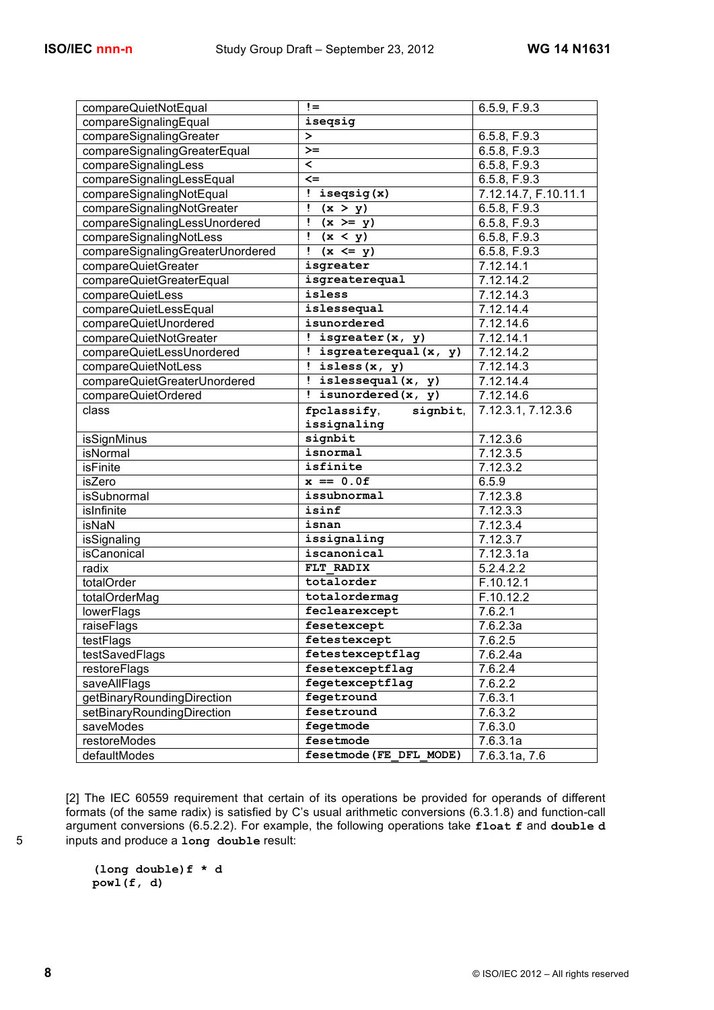| compareQuietNotEqual             | $!=$                      | 6.5.9. F.9.3           |
|----------------------------------|---------------------------|------------------------|
| compareSignalingEqual            | iseqsig                   |                        |
| compareSignalingGreater          | ≻                         | 6.5.8, F.9.3           |
| compareSignalingGreaterEqual     | $>=$                      | 6.5.8, F.9.3           |
| compareSignalingLess             | $\overline{\phantom{a}}$  | 6.5.8, F.9.3           |
| compareSignalingLessEqual        | $\leq$                    | 6.5.8, F.9.3           |
| compareSignalingNotEqual         | : isegsig(x)              | 7.12.14.7, F.10.11.1   |
| compareSignalingNotGreater       | $\frac{1}{1}$ (x > y)     | 6.5.8, F.9.3           |
| compareSignalingLessUnordered    | $\frac{1}{1}$ (x >= y)    | 6.5.8, F.9.3           |
| compareSignalingNotLess          | $\frac{1}{x} < y$         | 6.5.8, F.9.3           |
| compareSignalingGreaterUnordered | $(x \leq y)$              | 6.5.8, F.9.3           |
| compareQuietGreater              | isgreater                 | $7.12.\overline{14.1}$ |
| compareQuietGreaterEqual         | isgreaterequal            | 7.12.14.2              |
| compareQuietLess                 | isless                    | 7.12.14.3              |
| compareQuietLessEqual            | islessequal               | 7.12.14.4              |
| compareQuietUnordered            | isunordered               | 7.12.14.6              |
| compareQuietNotGreater           | ! isgreater $(x, y)$      | 7.12.14.1              |
| compareQuietLessUnordered        | ! isgreaterequal $(x, y)$ | 7.12.14.2              |
| compareQuietNotLess              | $!$ isless $(x, y)$       | 7.12.14.3              |
| compareQuietGreaterUnordered     | ! islessequal(x, y)       | 7.12.14.4              |
| compareQuietOrdered              | $!$ isunordered(x, y)     | 7.12.14.6              |
| class                            | fpclassify,<br>signbit,   | 7.12.3.1, 7.12.3.6     |
|                                  | issignaling               |                        |
| isSignMinus                      | signbit                   | 7.12.3.6               |
| isNormal                         | isnormal                  | 7.12.3.5               |
| <b>isFinite</b>                  | isfinite                  | 7.12.3.2               |
| isZero                           | $x == 0.0f$               | 6.5.9                  |
| isSubnormal                      | issubnormal               | 7.12.3.8               |
| isInfinite                       | isinf                     | 7.12.3.3               |
| isNaN                            | isnan                     | $7.12.3.\overline{4}$  |
| isSignaling                      | issignaling               | 7.12.3.7               |
| isCanonical                      | iscanonical               | 7.12.3.1a              |
| radix                            | FLT RADIX                 | 5.2.4.2.2              |
| totalOrder                       | totalorder                | F.10.12.1              |
| totalOrderMag                    | totalordermag             | F.10.12.2              |
| lowerFlags                       | feclearexcept             | 7.6.2.1                |
| raiseFlags                       | fesetexcept               | 7.6.2.3a               |
| testFlags                        | fetestexcept              | 7.6.2.5                |
| testSavedFlags                   | fetestexceptflag          | 7.6.2.4a               |
| restoreFlags                     | fesetexceptflag           | 7.6.2.4                |
| saveAllFlags                     | fegetexceptflag           | 7.6.2.2                |
| getBinaryRoundingDirection       | fegetround                | 7.6.3.1                |
| setBinaryRoundingDirection       | fesetround                | 7.6.3.2                |
| saveModes                        | fegetmode                 | 7.6.3.0                |
| restoreModes                     | fesetmode                 | 7.6.3.1a               |
| defaultModes                     | fesetmode (FE DFL MODE)   | 7.6.3.1a, 7.6          |
|                                  |                           |                        |

[2] The IEC 60559 requirement that certain of its operations be provided for operands of different formats (of the same radix) is satisfied by C's usual arithmetic conversions (6.3.1.8) and function-call argument conversions (6.5.2.2). For example, the following operations take **float f** and **double d** 5 inputs and produce a **long double** result:

> **(long double)f \* d powl(f, d)**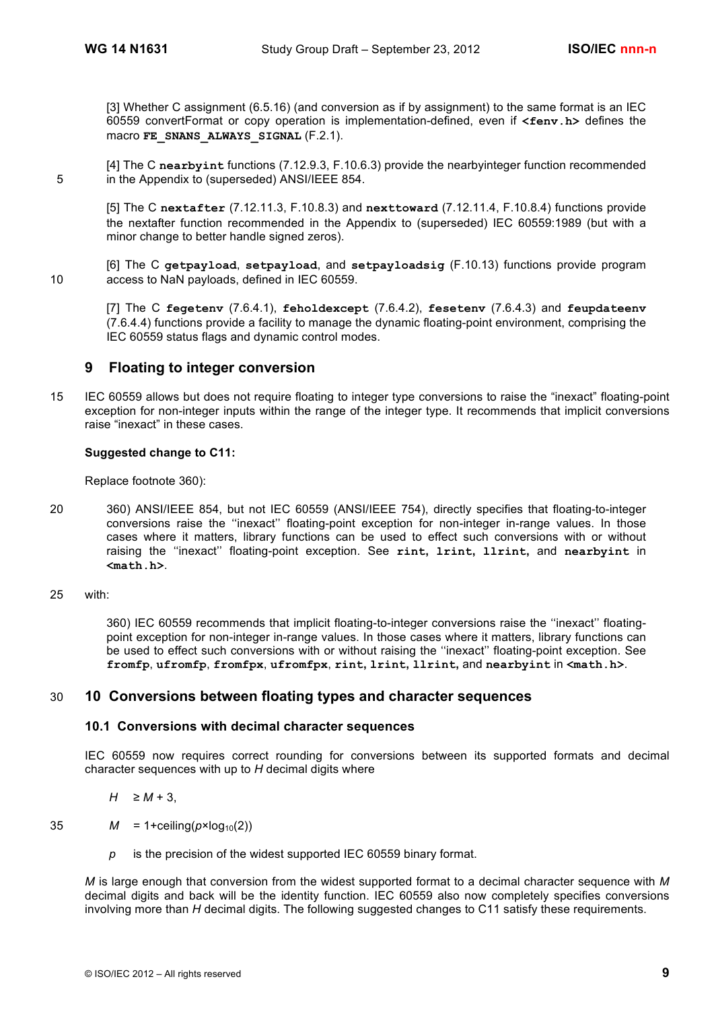[3] Whether C assignment (6.5.16) (and conversion as if by assignment) to the same format is an IEC 60559 convertFormat or copy operation is implementation-defined, even if **<fenv.h>** defines the macro **FE\_SNANS\_ALWAYS\_SIGNAL** (F.2.1).

[4] The C **nearbyint** functions (7.12.9.3, F.10.6.3) provide the nearbyinteger function recommended 5 in the Appendix to (superseded) ANSI/IEEE 854.

[5] The C **nextafter** (7.12.11.3, F.10.8.3) and **nexttoward** (7.12.11.4, F.10.8.4) functions provide the nextafter function recommended in the Appendix to (superseded) IEC 60559:1989 (but with a minor change to better handle signed zeros).

[6] The C **getpayload**, **setpayload**, and **setpayloadsig** (F.10.13) functions provide program 10 access to NaN payloads, defined in IEC 60559.

[7] The C **fegetenv** (7.6.4.1), **feholdexcept** (7.6.4.2), **fesetenv** (7.6.4.3) and **feupdateenv** (7.6.4.4) functions provide a facility to manage the dynamic floating-point environment, comprising the IEC 60559 status flags and dynamic control modes.

## **9 Floating to integer conversion**

15 IEC 60559 allows but does not require floating to integer type conversions to raise the "inexact" floating-point exception for non-integer inputs within the range of the integer type. It recommends that implicit conversions raise "inexact" in these cases.

## **Suggested change to C11:**

Replace footnote 360):

20 360) ANSI/IEEE 854, but not IEC 60559 (ANSI/IEEE 754), directly specifies that floating-to-integer conversions raise the ''inexact'' floating-point exception for non-integer in-range values. In those cases where it matters, library functions can be used to effect such conversions with or without raising the ''inexact'' floating-point exception. See **rint, lrint, llrint,** and **nearbyint** in **<math.h>**.

#### 25 with:

360) IEC 60559 recommends that implicit floating-to-integer conversions raise the ''inexact'' floatingpoint exception for non-integer in-range values. In those cases where it matters, library functions can be used to effect such conversions with or without raising the ''inexact'' floating-point exception. See **fromfp**, **ufromfp**, **fromfpx**, **ufromfpx**, **rint, lrint, llrint,** and **nearbyint** in **<math.h>**.

## 30 **10 Conversions between floating types and character sequences**

#### **10.1 Conversions with decimal character sequences**

IEC 60559 now requires correct rounding for conversions between its supported formats and decimal character sequences with up to *H* decimal digits where

#### *H* ≥ *M* + 3,

35  $M = 1 + \text{ceiling}(p \times \text{log}_{10}(2))$ 

*p* is the precision of the widest supported IEC 60559 binary format.

*M* is large enough that conversion from the widest supported format to a decimal character sequence with *M* decimal digits and back will be the identity function. IEC 60559 also now completely specifies conversions involving more than *H* decimal digits. The following suggested changes to C11 satisfy these requirements.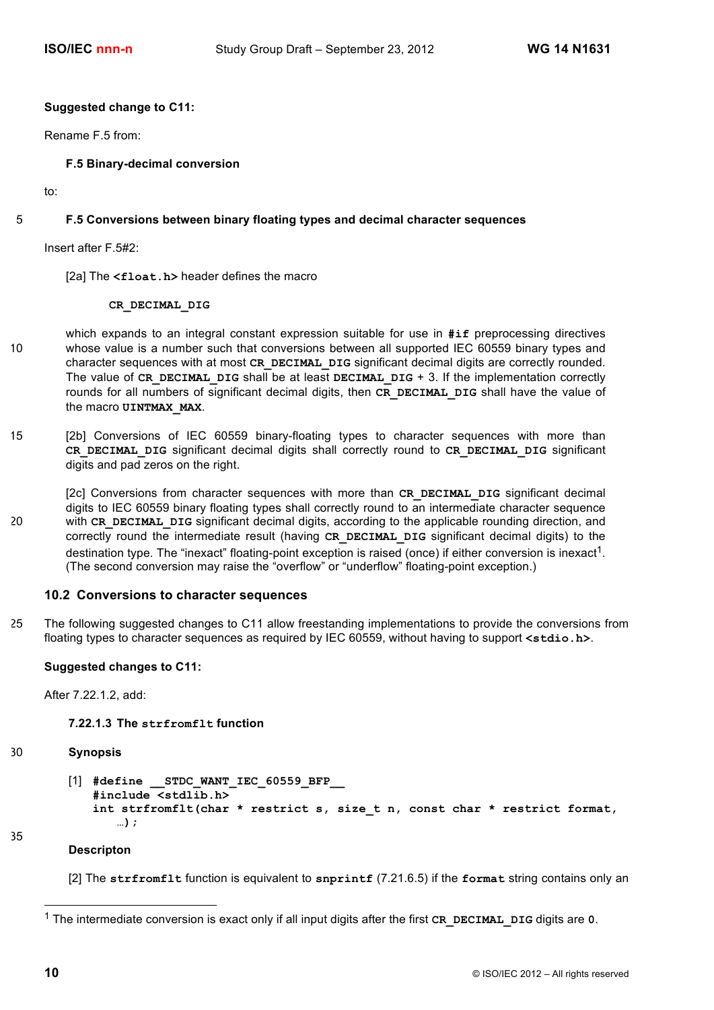#### **Suggested change to C11:**

Rename F.5 from:

**F.5 Binary-decimal conversion**

to:

## 5 **F.5 Conversions between binary floating types and decimal character sequences**

Insert after F.5#2:

[2a] The <float.h> header defines the macro

#### **CR\_DECIMAL\_DIG**

- which expands to an integral constant expression suitable for use in **#if** preprocessing directives 10 whose value is a number such that conversions between all supported IEC 60559 binary types and character sequences with at most **CR\_DECIMAL\_DIG** significant decimal digits are correctly rounded. The value of **CR\_DECIMAL\_DIG** shall be at least **DECIMAL\_DIG** + 3. If the implementation correctly rounds for all numbers of significant decimal digits, then **CR\_DECIMAL\_DIG** shall have the value of the macro **UINTMAX\_MAX**.
- 15 [2b] Conversions of IEC 60559 binary-floating types to character sequences with more than **CR\_DECIMAL\_DIG** significant decimal digits shall correctly round to **CR\_DECIMAL\_DIG** significant digits and pad zeros on the right.
- [2c] Conversions from character sequences with more than CR DECIMAL DIG significant decimal digits to IEC 60559 binary floating types shall correctly round to an intermediate character sequence 20 with **CR\_DECIMAL\_DIG** significant decimal digits, according to the applicable rounding direction, and correctly round the intermediate result (having **CR\_DECIMAL\_DIG** significant decimal digits) to the destination type. The "inexact" floating-point exception is raised (once) if either conversion is inexact<sup>1</sup>. (The second conversion may raise the "overflow" or "underflow" floating-point exception.)

#### **10.2 Conversions to character sequences**

25 The following suggested changes to C11 allow freestanding implementations to provide the conversions from floating types to character sequences as required by IEC 60559, without having to support **<stdio.h>**.

#### **Suggested changes to C11:**

After 7.22.1.2, add:

#### **7.22.1.3 The strfromflt function**

#### 30 **Synopsis**

```
[1] #define __STDC_WANT_IEC_60559_BFP__
   #include <stdlib.h>
   int strfromflt(char * restrict s, size_t n, const char * restrict format,
      …);
```
#### **Descripton**

[2] The **strfromflt** function is equivalent to **snprintf** (7.21.6.5) if the **format** string contains only an

35

 <sup>1</sup> The intermediate conversion is exact only if all input digits after the first **CR\_DECIMAL\_DIG** digits are **0**.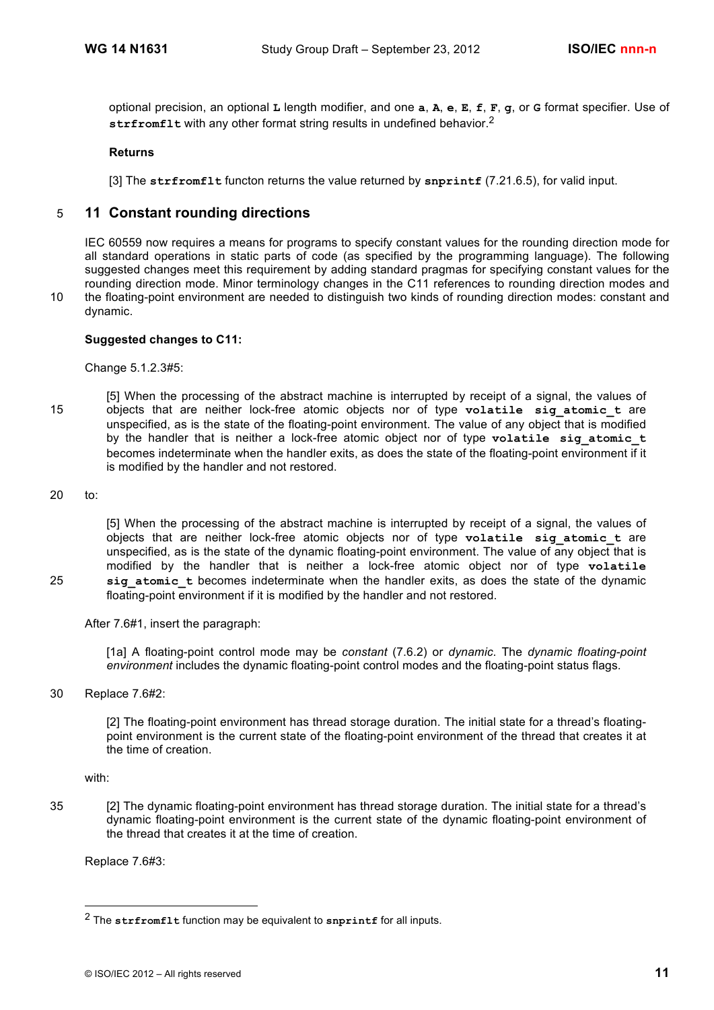optional precision, an optional **L** length modifier, and one **a**, **A**, **e**, **E**, **f**, **F**, **g**, or **G** format specifier. Use of strfromflt with any other format string results in undefined behavior.<sup>2</sup>

#### **Returns**

[3] The **strfromflt** functon returns the value returned by **snprintf** (7.21.6.5), for valid input.

## 5 **11 Constant rounding directions**

IEC 60559 now requires a means for programs to specify constant values for the rounding direction mode for all standard operations in static parts of code (as specified by the programming language). The following suggested changes meet this requirement by adding standard pragmas for specifying constant values for the rounding direction mode. Minor terminology changes in the C11 references to rounding direction modes and 10 the floating-point environment are needed to distinguish two kinds of rounding direction modes: constant and dynamic.

## **Suggested changes to C11:**

Change 5.1.2.3#5:

- [5] When the processing of the abstract machine is interrupted by receipt of a signal, the values of 15 objects that are neither lock-free atomic objects nor of type volatile sig atomic t are unspecified, as is the state of the floating-point environment. The value of any object that is modified by the handler that is neither a lock-free atomic object nor of type **volatile sig\_atomic\_t** becomes indeterminate when the handler exits, as does the state of the floating-point environment if it is modified by the handler and not restored.
- 20 to:

[5] When the processing of the abstract machine is interrupted by receipt of a signal, the values of objects that are neither lock-free atomic objects nor of type **volatile sig\_atomic\_t** are unspecified, as is the state of the dynamic floating-point environment. The value of any object that is modified by the handler that is neither a lock-free atomic object nor of type **volatile**  25 **sig\_atomic\_t** becomes indeterminate when the handler exits, as does the state of the dynamic floating-point environment if it is modified by the handler and not restored.

After 7.6#1, insert the paragraph:

[1a] A floating-point control mode may be *constant* (7.6.2) or *dynamic*. The *dynamic floating-point environment* includes the dynamic floating-point control modes and the floating-point status flags.

30 Replace 7.6#2:

[2] The floating-point environment has thread storage duration. The initial state for a thread's floatingpoint environment is the current state of the floating-point environment of the thread that creates it at the time of creation.

with:

-

35 [2] The dynamic floating-point environment has thread storage duration. The initial state for a thread's dynamic floating-point environment is the current state of the dynamic floating-point environment of the thread that creates it at the time of creation.

Replace 7.6#3:

<sup>2</sup> The **strfromflt** function may be equivalent to **snprintf** for all inputs.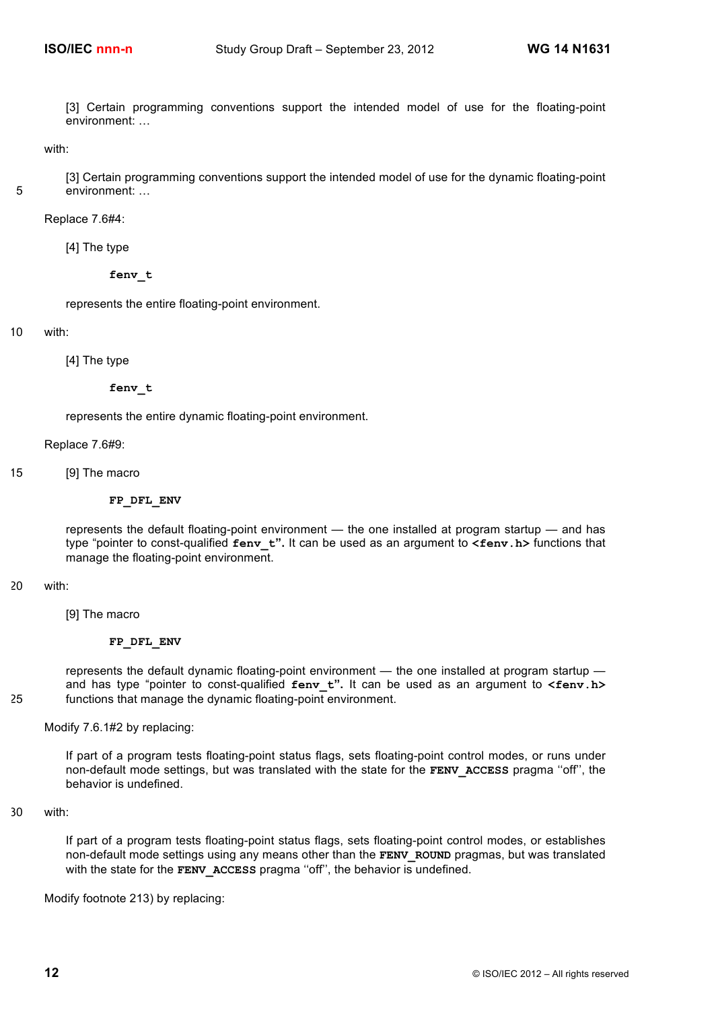[3] Certain programming conventions support the intended model of use for the floating-point environment: …

with:

[3] Certain programming conventions support the intended model of use for the dynamic floating-point 5 environment: …

Replace 7.6#4:

[4] The type

**fenv\_t**

represents the entire floating-point environment.

10 with:

[4] The type

**fenv\_t**

represents the entire dynamic floating-point environment.

Replace 7.6#9:

15 [9] The macro

#### **FP\_DFL\_ENV**

represents the default floating-point environment — the one installed at program startup — and has type "pointer to const-qualified **fenv\_t".** It can be used as an argument to **<fenv.h>** functions that manage the floating-point environment.

#### 20 with:

[9] The macro

#### **FP\_DFL\_ENV**

represents the default dynamic floating-point environment — the one installed at program startup and has type "pointer to const-qualified **fenv\_t".** It can be used as an argument to **<fenv.h>** 25 functions that manage the dynamic floating-point environment.

Modify 7.6.1#2 by replacing:

If part of a program tests floating-point status flags, sets floating-point control modes, or runs under non-default mode settings, but was translated with the state for the **FENV\_ACCESS** pragma ''off'', the behavior is undefined.

30 with:

If part of a program tests floating-point status flags, sets floating-point control modes, or establishes non-default mode settings using any means other than the **FENV\_ROUND** pragmas, but was translated with the state for the **FENV** ACCESS pragma "off", the behavior is undefined.

Modify footnote 213) by replacing: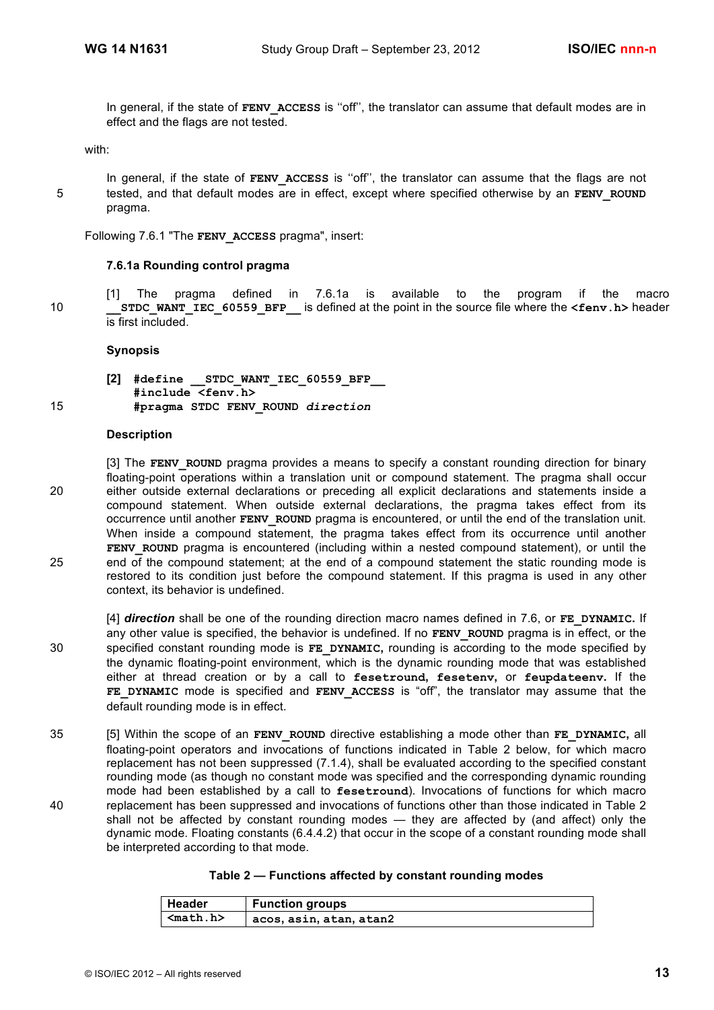In general, if the state of **FENV\_ACCESS** is ''off'', the translator can assume that default modes are in effect and the flags are not tested.

with:

In general, if the state of **FENV ACCESS** is "off", the translator can assume that the flags are not 5 tested, and that default modes are in effect, except where specified otherwise by an **FENV** ROUND pragma.

Following 7.6.1 "The **FENV\_ACCESS** pragma", insert:

#### **7.6.1a Rounding control pragma**

[1] The pragma defined in 7.6.1a is available to the program if the macro 10 **STDC WANT IEC** 60559 BFP is defined at the point in the source file where the <fenv.h> header is first included.

#### **Synopsis**

**[2] #define \_\_STDC\_WANT\_IEC\_60559\_BFP\_\_ #include <fenv.h>** 15 **#pragma STDC FENV\_ROUND** *direction*

#### **Description**

[3] The **FENV** ROUND pragma provides a means to specify a constant rounding direction for binary floating-point operations within a translation unit or compound statement. The pragma shall occur 20 either outside external declarations or preceding all explicit declarations and statements inside a compound statement. When outside external declarations, the pragma takes effect from its occurrence until another **FENV\_ROUND** pragma is encountered, or until the end of the translation unit. When inside a compound statement, the pragma takes effect from its occurrence until another **FENV** ROUND pragma is encountered (including within a nested compound statement), or until the 25 end of the compound statement; at the end of a compound statement the static rounding mode is restored to its condition just before the compound statement. If this pragma is used in any other context, its behavior is undefined.

[4] *direction* shall be one of the rounding direction macro names defined in 7.6, or **FE\_DYNAMIC.** If any other value is specified, the behavior is undefined. If no **FENV** ROUND pragma is in effect, or the 30 specified constant rounding mode is **FE\_DYNAMIC,** rounding is according to the mode specified by the dynamic floating-point environment, which is the dynamic rounding mode that was established either at thread creation or by a call to **fesetround, fesetenv,** or **feupdateenv.** If the **FE\_DYNAMIC** mode is specified and **FENV\_ACCESS** is "off", the translator may assume that the default rounding mode is in effect.

35 [5] Within the scope of an **FENV\_ROUND** directive establishing a mode other than **FE\_DYNAMIC,** all floating-point operators and invocations of functions indicated in Table 2 below, for which macro replacement has not been suppressed (7.1.4), shall be evaluated according to the specified constant rounding mode (as though no constant mode was specified and the corresponding dynamic rounding mode had been established by a call to **fesetround**). Invocations of functions for which macro 40 replacement has been suppressed and invocations of functions other than those indicated in Table 2 shall not be affected by constant rounding modes — they are affected by (and affect) only the dynamic mode. Floating constants (6.4.4.2) that occur in the scope of a constant rounding mode shall be interpreted according to that mode.

|  | Table 2 — Functions affected by constant rounding modes |  |  |  |  |  |
|--|---------------------------------------------------------|--|--|--|--|--|
|--|---------------------------------------------------------|--|--|--|--|--|

| <b>∣Header</b> | <b>Function groups</b>  |
|----------------|-------------------------|
| $nab.h>$       | acos, asin, atan, atan2 |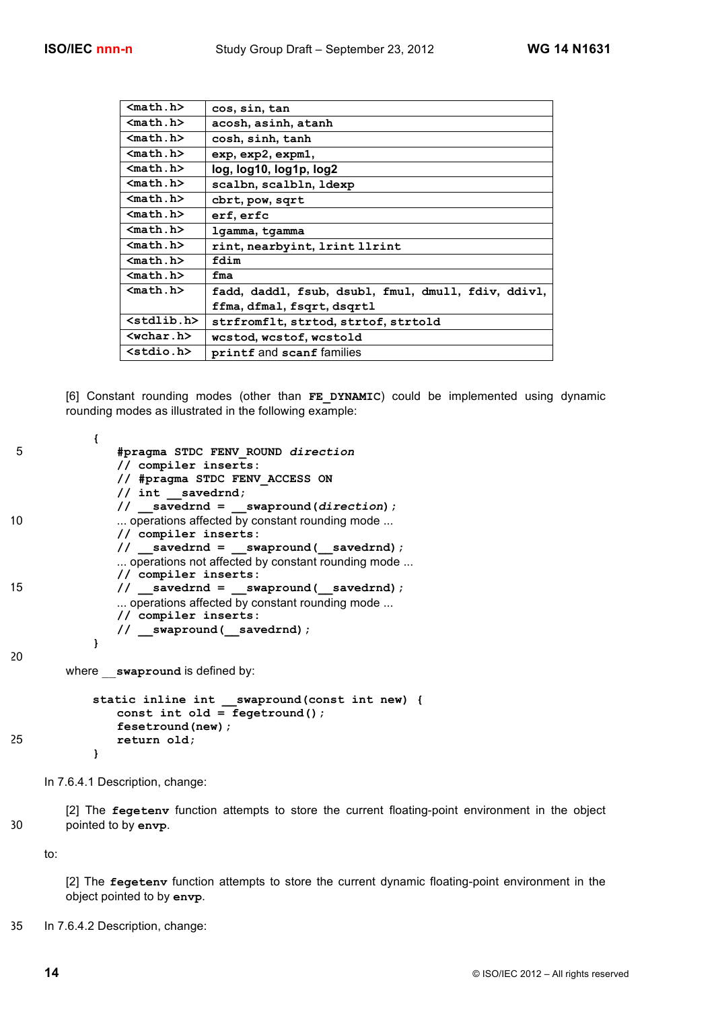| $math. h>$            | cos, sin, tan                                       |
|-----------------------|-----------------------------------------------------|
| $nath.h$              | acosh, asinh, atanh                                 |
| $math. h>$            | cosh, sinh, tanh                                    |
| $nath.h$              | exp, exp2, expm1,                                   |
| $nath.h$              | log, log10, log1p, log2                             |
| $nath.h$              | scalbn, scalbln, ldexp                              |
| $nath.h$              | cbrt, pow, sqrt                                     |
| $nath.h$              | erf, erfc                                           |
| $nath.h$              | lgamma, tgamma                                      |
| $nath.h$              | rint, nearbyint, 1rint 11rint                       |
| $nath.h$              | fdim                                                |
| $nath.h$              | fma                                                 |
| $nath.h$              | fadd, daddl, fsub, dsubl, fmul, dmull, fdiv, ddivl, |
|                       | ffma, dfmal, fsqrt, dsqrtl                          |
| <stdlib.h></stdlib.h> | strfromflt, strtod, strtof, strtold                 |
| $wchar.h$             | wcstod, wcstof, wcstold                             |
| $<$ stdio.h $>$       | printf and scanf families                           |

[6] Constant rounding modes (other than **FE\_DYNAMIC**) could be implemented using dynamic rounding modes as illustrated in the following example:

```
{
5 #pragma STDC FENV_ROUND direction
               // compiler inserts:
               // #pragma STDC FENV_ACCESS ON
               // int __savedrnd;
               // __savedrnd = __swapround(direction);
10 ... operations affected by constant rounding mode ...
               // compiler inserts:
               // __savedrnd = __swapround(__savedrnd);
               ... operations not affected by constant rounding mode ...
               // compiler inserts:
15 // savedrnd = swapround(savedrnd);
               ... operations affected by constant rounding mode ...
               // compiler inserts:
               // __swapround(__savedrnd);
           }
20
       where swapround is defined by:
           static inline int __swapround(const int new) {
               const int old = fegetround();
               fesetround(new);
25 return old;
           }
```
In 7.6.4.1 Description, change:

[2] The **fegetenv** function attempts to store the current floating-point environment in the object 30 pointed to by **envp**.

to:

[2] The **fegetenv** function attempts to store the current dynamic floating-point environment in the object pointed to by **envp**.

35 In 7.6.4.2 Description, change: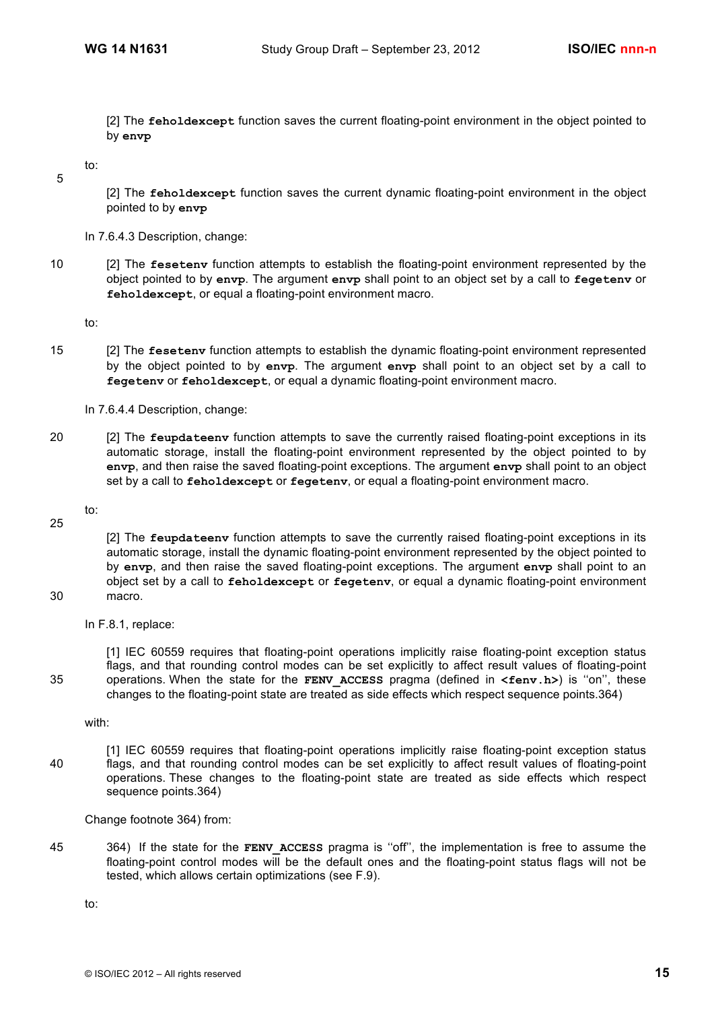[2] The **feholdexcept** function saves the current floating-point environment in the object pointed to by **envp**

to:

5

[2] The **feholdexcept** function saves the current dynamic floating-point environment in the object pointed to by **envp**

In 7.6.4.3 Description, change:

10 [2] The **fesetenv** function attempts to establish the floating-point environment represented by the object pointed to by **envp**. The argument **envp** shall point to an object set by a call to **fegetenv** or **feholdexcept**, or equal a floating-point environment macro.

to:

15 [2] The **fesetenv** function attempts to establish the dynamic floating-point environment represented by the object pointed to by **envp**. The argument **envp** shall point to an object set by a call to **fegetenv** or **feholdexcept**, or equal a dynamic floating-point environment macro.

In 7.6.4.4 Description, change:

20 [2] The **feupdateenv** function attempts to save the currently raised floating-point exceptions in its automatic storage, install the floating-point environment represented by the object pointed to by **envp**, and then raise the saved floating-point exceptions. The argument **envp** shall point to an object set by a call to **feholdexcept** or **fegetenv**, or equal a floating-point environment macro.

to: 25

[2] The **feupdateenv** function attempts to save the currently raised floating-point exceptions in its automatic storage, install the dynamic floating-point environment represented by the object pointed to by **envp**, and then raise the saved floating-point exceptions. The argument **envp** shall point to an object set by a call to **feholdexcept** or **fegetenv**, or equal a dynamic floating-point environment 30 macro.

In F.8.1, replace:

[1] IEC 60559 requires that floating-point operations implicitly raise floating-point exception status flags, and that rounding control modes can be set explicitly to affect result values of floating-point 35 operations. When the state for the **FENV\_ACCESS** pragma (defined in **<fenv.h>**) is ''on'', these changes to the floating-point state are treated as side effects which respect sequence points.364)

with:

[1] IEC 60559 requires that floating-point operations implicitly raise floating-point exception status 40 flags, and that rounding control modes can be set explicitly to affect result values of floating-point operations. These changes to the floating-point state are treated as side effects which respect sequence points.364)

Change footnote 364) from:

45 364) If the state for the **FENV\_ACCESS** pragma is ''off'', the implementation is free to assume the floating-point control modes will be the default ones and the floating-point status flags will not be tested, which allows certain optimizations (see F.9).

to: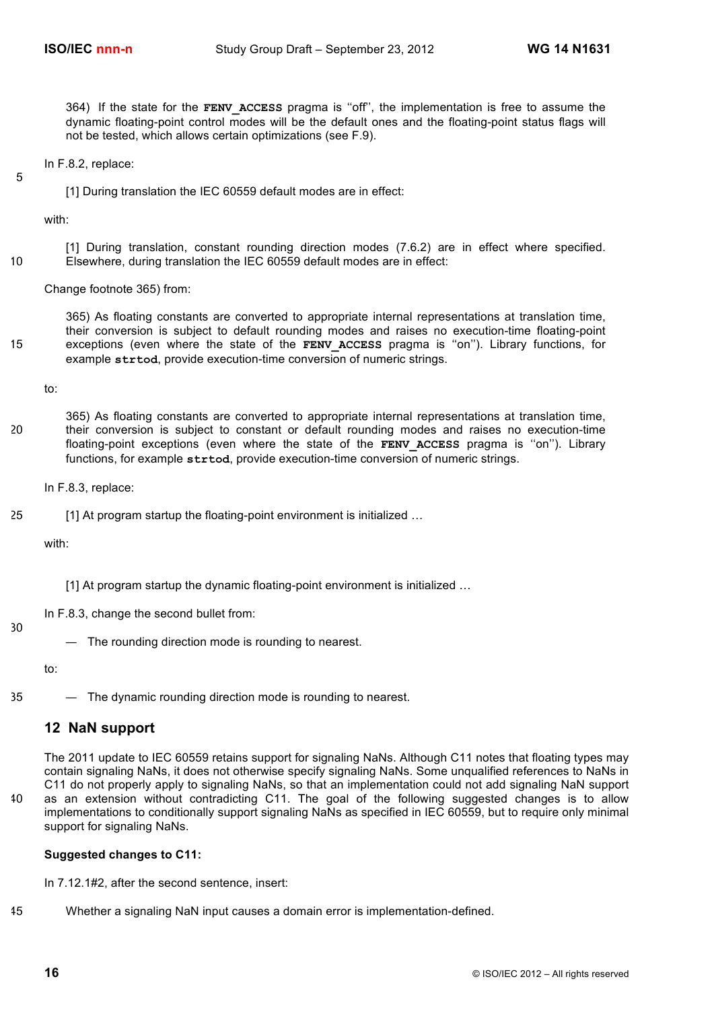364) If the state for the **FENV\_ACCESS** pragma is ''off'', the implementation is free to assume the dynamic floating-point control modes will be the default ones and the floating-point status flags will not be tested, which allows certain optimizations (see F.9).

In F.8.2, replace:

5

[1] During translation the IEC 60559 default modes are in effect:

with:

[1] During translation, constant rounding direction modes (7.6.2) are in effect where specified. 10 Elsewhere, during translation the IEC 60559 default modes are in effect:

Change footnote 365) from:

365) As floating constants are converted to appropriate internal representations at translation time, their conversion is subject to default rounding modes and raises no execution-time floating-point 15 exceptions (even where the state of the **FENV\_ACCESS** pragma is ''on''). Library functions, for example **strtod**, provide execution-time conversion of numeric strings.

to:

365) As floating constants are converted to appropriate internal representations at translation time, 20 their conversion is subject to constant or default rounding modes and raises no execution-time floating-point exceptions (even where the state of the **FENV ACCESS** pragma is "on"). Library functions, for example **strtod**, provide execution-time conversion of numeric strings.

In F.8.3, replace:

25 [1] At program startup the floating-point environment is initialized …

with:

[1] At program startup the dynamic floating-point environment is initialized ...

In F.8.3, change the second bullet from:

30

— The rounding direction mode is rounding to nearest.

to:

35 — The dynamic rounding direction mode is rounding to nearest.

## **12 NaN support**

The 2011 update to IEC 60559 retains support for signaling NaNs. Although C11 notes that floating types may contain signaling NaNs, it does not otherwise specify signaling NaNs. Some unqualified references to NaNs in C11 do not properly apply to signaling NaNs, so that an implementation could not add signaling NaN support 40 as an extension without contradicting C11. The goal of the following suggested changes is to allow

implementations to conditionally support signaling NaNs as specified in IEC 60559, but to require only minimal support for signaling NaNs.

## **Suggested changes to C11:**

In 7.12.1#2, after the second sentence, insert:

45 Whether a signaling NaN input causes a domain error is implementation-defined.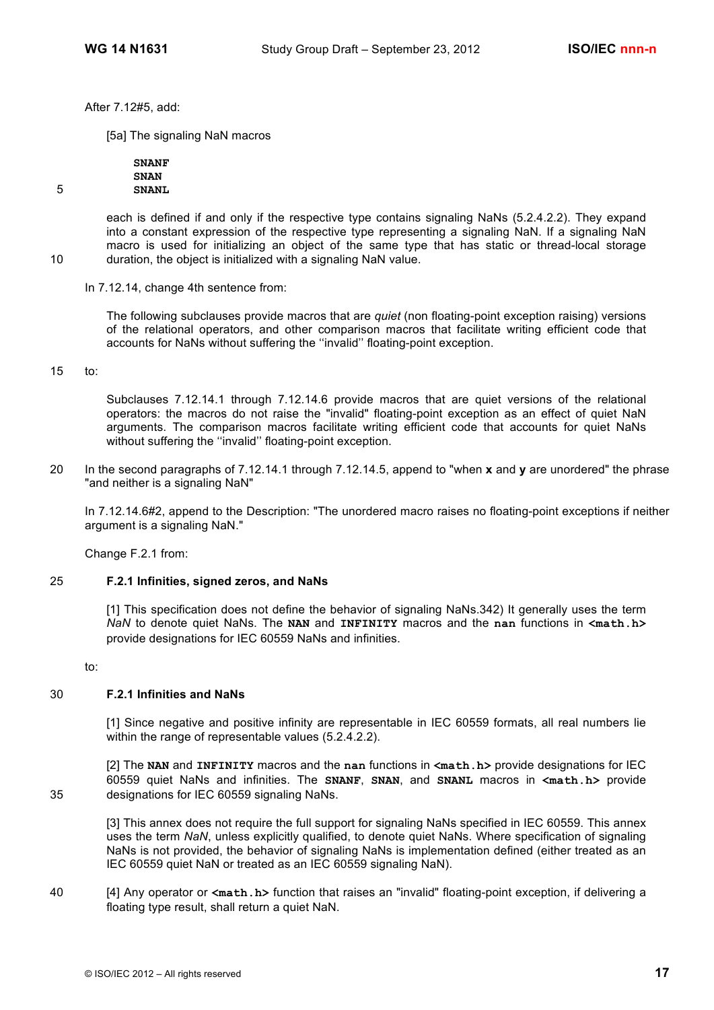After 7.12#5, add:

[5a] The signaling NaN macros

**SNANF SNAN** 5 **SNANL**

each is defined if and only if the respective type contains signaling NaNs (5.2.4.2.2). They expand into a constant expression of the respective type representing a signaling NaN. If a signaling NaN macro is used for initializing an object of the same type that has static or thread-local storage 10 duration, the object is initialized with a signaling NaN value.

In 7.12.14, change 4th sentence from:

The following subclauses provide macros that are *quiet* (non floating-point exception raising) versions of the relational operators, and other comparison macros that facilitate writing efficient code that accounts for NaNs without suffering the ''invalid'' floating-point exception.

15 to:

Subclauses 7.12.14.1 through 7.12.14.6 provide macros that are quiet versions of the relational operators: the macros do not raise the "invalid" floating-point exception as an effect of quiet NaN arguments. The comparison macros facilitate writing efficient code that accounts for quiet NaNs without suffering the ''invalid'' floating-point exception.

20 In the second paragraphs of 7.12.14.1 through 7.12.14.5, append to "when **x** and **y** are unordered" the phrase "and neither is a signaling NaN"

In 7.12.14.6#2, append to the Description: "The unordered macro raises no floating-point exceptions if neither argument is a signaling NaN."

Change F.2.1 from:

#### 25 **F.2.1 Infinities, signed zeros, and NaNs**

[1] This specification does not define the behavior of signaling NaNs.342) It generally uses the term *NaN* to denote quiet NaNs. The **NAN** and **INFINITY** macros and the **nan** functions in **<math.h>** provide designations for IEC 60559 NaNs and infinities.

to:

## 30 **F.2.1 Infinities and NaNs**

[1] Since negative and positive infinity are representable in IEC 60559 formats, all real numbers lie within the range of representable values (5.2.4.2.2).

[2] The **NAN** and **INFINITY** macros and the **nan** functions in **<math.h>** provide designations for IEC 60559 quiet NaNs and infinities. The **SNANF**, **SNAN**, and **SNANL** macros in **<math.h>** provide 35 designations for IEC 60559 signaling NaNs.

[3] This annex does not require the full support for signaling NaNs specified in IEC 60559. This annex uses the term *NaN*, unless explicitly qualified, to denote quiet NaNs. Where specification of signaling NaNs is not provided, the behavior of signaling NaNs is implementation defined (either treated as an IEC 60559 quiet NaN or treated as an IEC 60559 signaling NaN).

40 [4] Any operator or **<math.h>** function that raises an "invalid" floating-point exception, if delivering a floating type result, shall return a quiet NaN.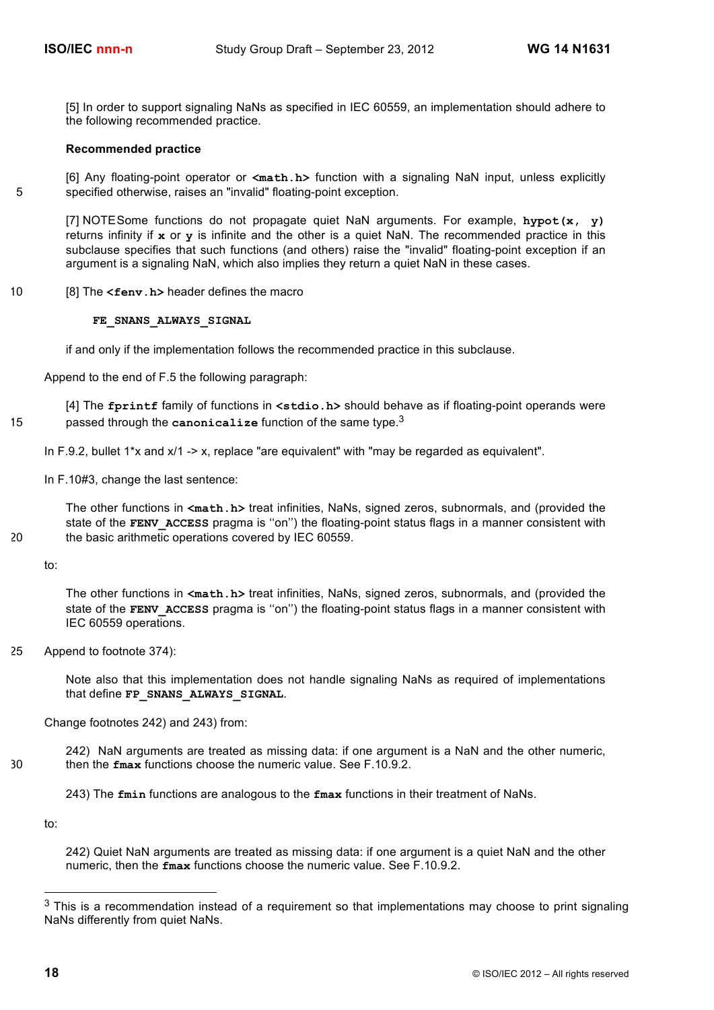[5] In order to support signaling NaNs as specified in IEC 60559, an implementation should adhere to the following recommended practice.

#### **Recommended practice**

[6] Any floating-point operator or **<math.h>** function with a signaling NaN input, unless explicitly 5 specified otherwise, raises an "invalid" floating-point exception.

[7] NOTESome functions do not propagate quiet NaN arguments. For example, **hypot(x, y)** returns infinity if **x** or **y** is infinite and the other is a quiet NaN. The recommended practice in this subclause specifies that such functions (and others) raise the "invalid" floating-point exception if an argument is a signaling NaN, which also implies they return a quiet NaN in these cases.

10 [8] The **<fenv.h>** header defines the macro

#### **FE\_SNANS\_ALWAYS\_SIGNAL**

if and only if the implementation follows the recommended practice in this subclause.

Append to the end of F.5 the following paragraph:

[4] The **fprintf** family of functions in **<stdio.h>** should behave as if floating-point operands were passed through the **canonicalize** function of the same type. <sup>3</sup> 15

In F.9.2, bullet  $1*x$  and  $x/1 - x$ , replace "are equivalent" with "may be regarded as equivalent".

In F.10#3, change the last sentence:

The other functions in **<math.h>** treat infinities, NaNs, signed zeros, subnormals, and (provided the state of the **FENV** ACCESS pragma is "on") the floating-point status flags in a manner consistent with 20 the basic arithmetic operations covered by IEC 60559.

to:

The other functions in **<math.h>** treat infinities, NaNs, signed zeros, subnormals, and (provided the state of the **FENV** ACCESS pragma is "on") the floating-point status flags in a manner consistent with IEC 60559 operations.

25 Append to footnote 374):

Note also that this implementation does not handle signaling NaNs as required of implementations that define **FP\_SNANS\_ALWAYS\_SIGNAL**.

Change footnotes 242) and 243) from:

242) NaN arguments are treated as missing data: if one argument is a NaN and the other numeric, 30 then the **fmax** functions choose the numeric value. See F.10.9.2.

243) The **fmin** functions are analogous to the **fmax** functions in their treatment of NaNs.

to:

242) Quiet NaN arguments are treated as missing data: if one argument is a quiet NaN and the other numeric, then the **fmax** functions choose the numeric value. See F.10.9.2.

 $3$  This is a recommendation instead of a requirement so that implementations may choose to print signaling NaNs differently from quiet NaNs.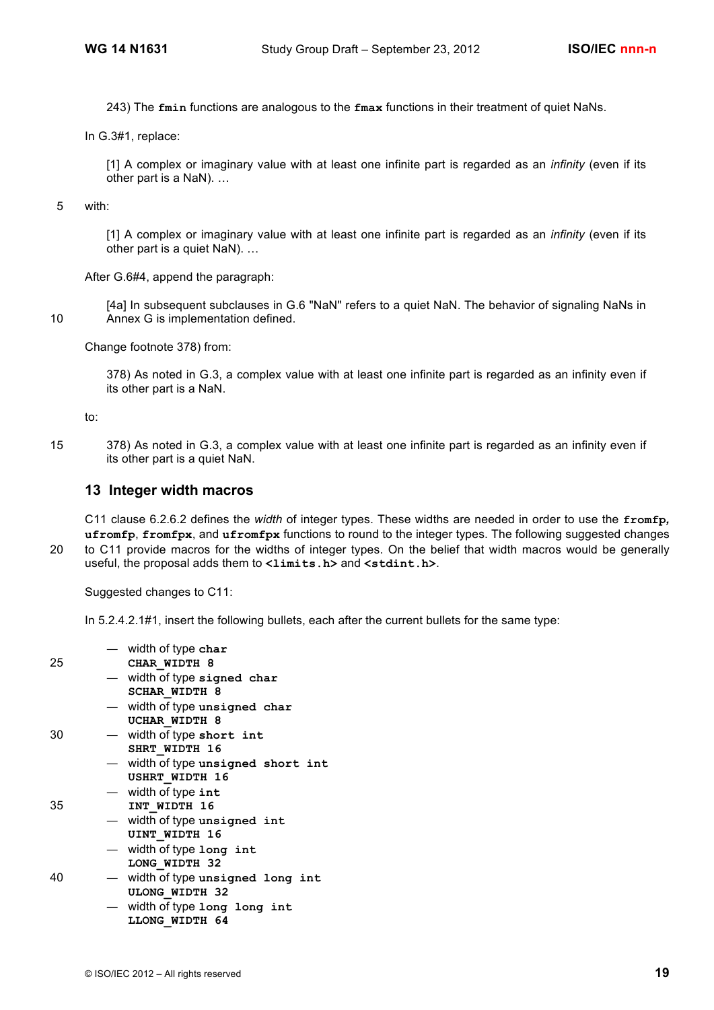243) The **fmin** functions are analogous to the **fmax** functions in their treatment of quiet NaNs.

In G.3#1, replace:

[1] A complex or imaginary value with at least one infinite part is regarded as an *infinity* (even if its other part is a NaN). …

5 with:

[1] A complex or imaginary value with at least one infinite part is regarded as an *infinity* (even if its other part is a quiet NaN). …

After G.6#4, append the paragraph:

[4a] In subsequent subclauses in G.6 "NaN" refers to a quiet NaN. The behavior of signaling NaNs in 10 Annex G is implementation defined.

Change footnote 378) from:

378) As noted in G.3, a complex value with at least one infinite part is regarded as an infinity even if its other part is a NaN.

to:

15 378) As noted in G.3, a complex value with at least one infinite part is regarded as an infinity even if its other part is a quiet NaN.

## **13 Integer width macros**

C11 clause 6.2.6.2 defines the *width* of integer types. These widths are needed in order to use the **fromfp***,*  **ufromfp**, **fromfpx**, and **ufromfpx** functions to round to the integer types. The following suggested changes 20 to C11 provide macros for the widths of integer types. On the belief that width macros would be generally useful, the proposal adds them to  $\langle$ limits.h> and  $\langle$ stdint.h>.

Suggested changes to C11:

In 5.2.4.2.1#1, insert the following bullets, each after the current bullets for the same type:

|    | $-$ width of type char           |
|----|----------------------------------|
| 25 | CHAR WIDTH 8                     |
|    | - width of type signed char      |
|    | <b>SCHAR WIDTH 8</b>             |
|    | - width of type unsigned char    |
|    | UCHAR WIDTH 8                    |
| 30 | - width of type short int        |
|    | SHRT WIDTH 16                    |
|    | width of type unsigned short int |
|    | <b>USHRT WIDTH 16</b>            |
|    | $-$ width of type int            |
| 35 | INT WIDTH 16                     |
|    | $-$ width of type unsigned int   |
|    | UINT WIDTH 16                    |
|    | width of type long int           |
|    | LONG WIDTH 32                    |
| 40 | width of type unsigned long int  |
|    | <b>ULONG WIDTH 32</b>            |
|    | width of type long long int      |
|    | LLONG WIDTH 64                   |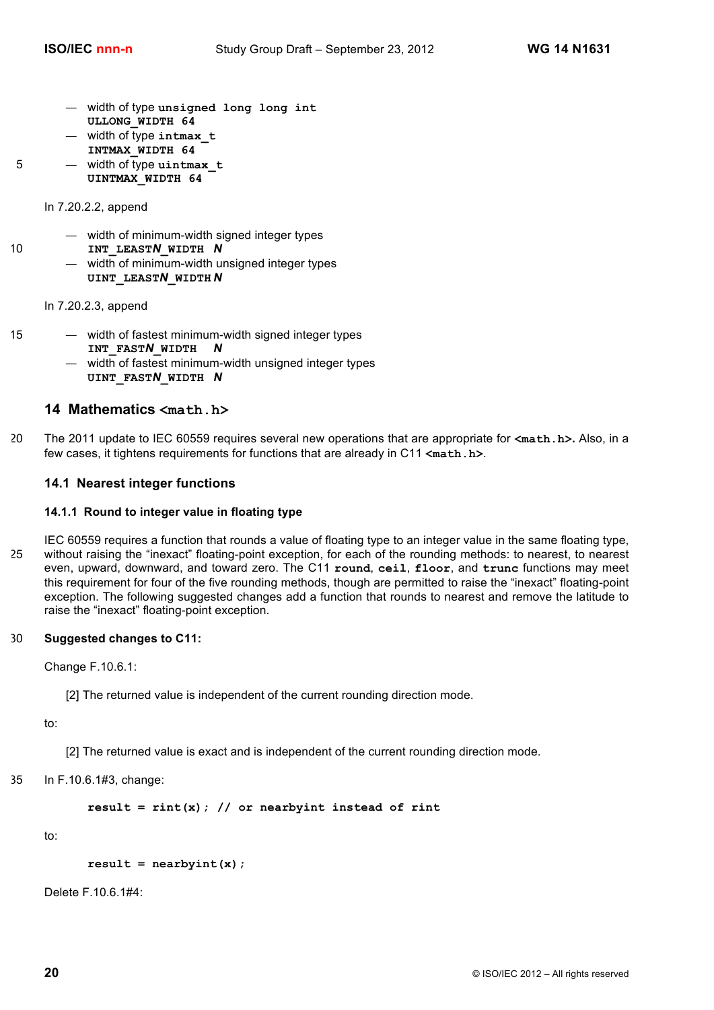- width of type **unsigned long long int ULLONG\_WIDTH 64**
- width of type **intmax\_t INTMAX\_WIDTH 64**
- 5 width of type **uintmax\_t**
	- **UINTMAX\_WIDTH 64**

In 7.20.2.2, append

- width of minimum-width signed integer types
- 10 **INT\_LEAST***N***\_WIDTH** *N*
	- width of minimum-width unsigned integer types **UINT\_LEAST***N***\_WIDTH** *N*

In 7.20.2.3, append

- 
- 15 width of fastest minimum-width signed integer types **INT\_FAST***N***\_WIDTH** *N*
	- width of fastest minimum-width unsigned integer types **UINT\_FAST***N***\_WIDTH** *N*

## **14 Mathematics <math.h>**

20 The 2011 update to IEC 60559 requires several new operations that are appropriate for **<math.h>.** Also, in a few cases, it tightens requirements for functions that are already in C11 **<math.h>**.

## **14.1 Nearest integer functions**

## **14.1.1 Round to integer value in floating type**

IEC 60559 requires a function that rounds a value of floating type to an integer value in the same floating type, 25 without raising the "inexact" floating-point exception, for each of the rounding methods: to nearest, to nearest even, upward, downward, and toward zero. The C11 **round**, **ceil**, **floor**, and **trunc** functions may meet this requirement for four of the five rounding methods, though are permitted to raise the "inexact" floating-point exception. The following suggested changes add a function that rounds to nearest and remove the latitude to raise the "inexact" floating-point exception.

## 30 **Suggested changes to C11:**

Change F.10.6.1:

[2] The returned value is independent of the current rounding direction mode.

to:

[2] The returned value is exact and is independent of the current rounding direction mode.

35 In F.10.6.1#3, change:

**result = rint(x); // or nearbyint instead of rint**

to:

```
result = nearbyint(x);
```
Delete F.10.6.1#4: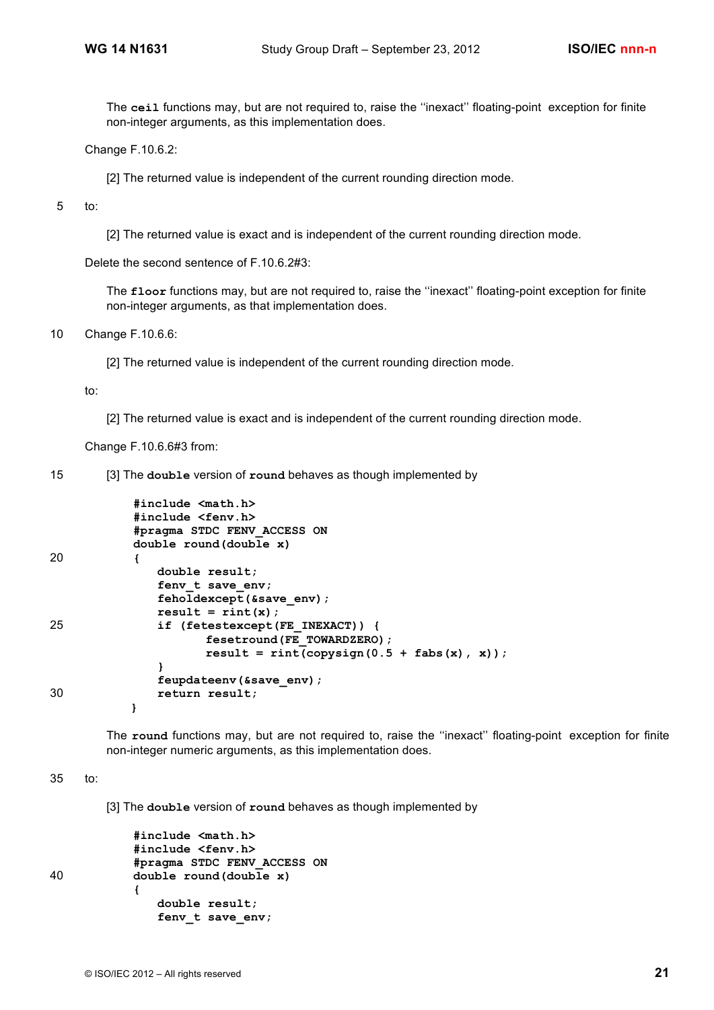The **ceil** functions may, but are not required to, raise the ''inexact'' floating-point exception for finite non-integer arguments, as this implementation does.

Change F.10.6.2:

[2] The returned value is independent of the current rounding direction mode.

5 to:

[2] The returned value is exact and is independent of the current rounding direction mode.

Delete the second sentence of F.10.6.2#3:

The **floor** functions may, but are not required to, raise the "inexact" floating-point exception for finite non-integer arguments, as that implementation does.

10 Change F.10.6.6:

[2] The returned value is independent of the current rounding direction mode.

to:

[2] The returned value is exact and is independent of the current rounding direction mode.

Change F.10.6.6#3 from:

15 [3] The **double** version of **round** behaves as though implemented by

```
#include <math.h>
           #include <fenv.h>
           #pragma STDC FENV_ACCESS ON
           double round(double x)
20 {
              double result;
              fenv_t save_env;
              feholdexcept(&save_env);
              result = rint(x);25 if (fetestexcept(FE_INEXACT)) {
                     fesetround(FE_TOWARDZERO);
                    result = rint(copysign(0.5 + fabs(x), x));}
              feupdateenv(&save_env);
30 return result;
          }
```
The round functions may, but are not required to, raise the "inexact" floating-point exception for finite non-integer numeric arguments, as this implementation does.

35 to:

[3] The **double** version of **round** behaves as though implemented by

```
#include <math.h>
           #include <fenv.h>
           #pragma STDC FENV_ACCESS ON
40 double round(double x)
           {
              double result;
              fenv_t save_env;
```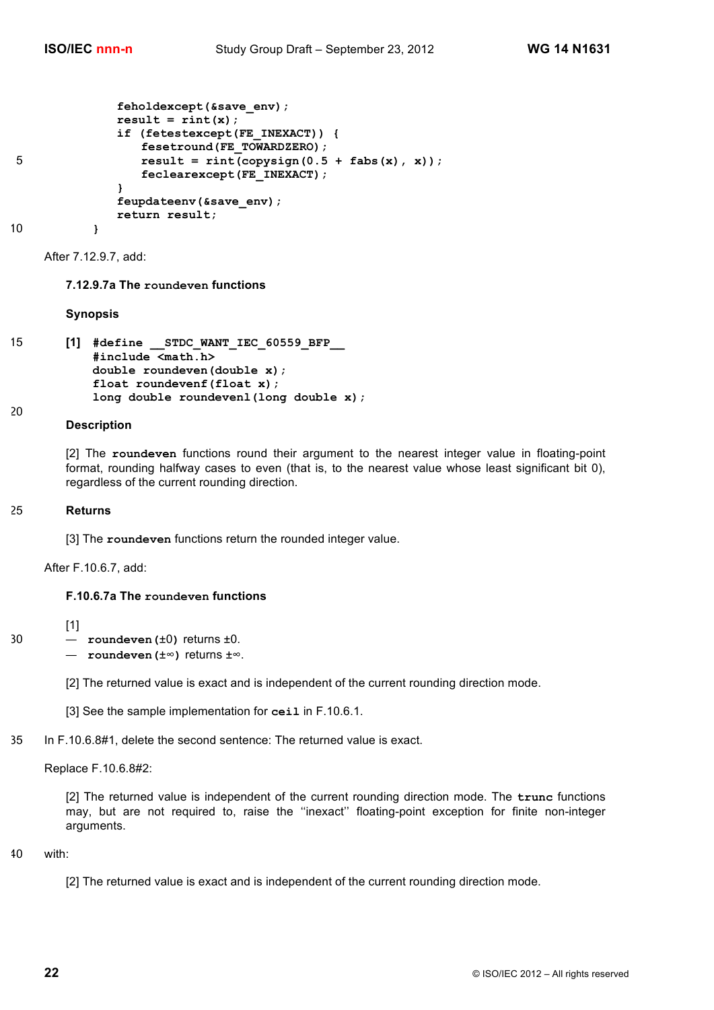```
feholdexcept(&save_env);
             result = rint(x);if (fetestexcept(FE_INEXACT)) {
                fesetround(FE_TOWARDZERO);
5 result = rint(copysign(0.5 + fabs(x), x));
                feclearexcept(FE_INEXACT);
             }
             feupdateenv(&save_env);
             return result;
```
10 **}** 

After 7.12.9.7, add:

#### **7.12.9.7a The roundeven functions**

#### **Synopsis**

```
15 [1] #define __STDC_WANT_IEC_60559_BFP__
           #include <math.h>
           double roundeven(double x);
           float roundevenf(float x);
           long double roundevenl(long double x);
20
```
## **Description**

[2] The **roundeven** functions round their argument to the nearest integer value in floating-point format, rounding halfway cases to even (that is, to the nearest value whose least significant bit 0), regardless of the current rounding direction.

#### 25 **Returns**

[1]

[3] The **roundeven** functions return the rounded integer value.

After F.10.6.7, add:

#### **F.10.6.7a The roundeven functions**

- 30 **roundeven(**±0**)** returns ±0.
	- **roundeven(**±∞**)** returns ±∞.

[2] The returned value is exact and is independent of the current rounding direction mode.

[3] See the sample implementation for **ceil** in F.10.6.1.

35 In F.10.6.8#1, delete the second sentence: The returned value is exact.

Replace F.10.6.8#2:

[2] The returned value is independent of the current rounding direction mode. The **trunc** functions may, but are not required to, raise the ''inexact'' floating-point exception for finite non-integer arguments.

#### 40 with:

```
[2] The returned value is exact and is independent of the current rounding direction mode.
```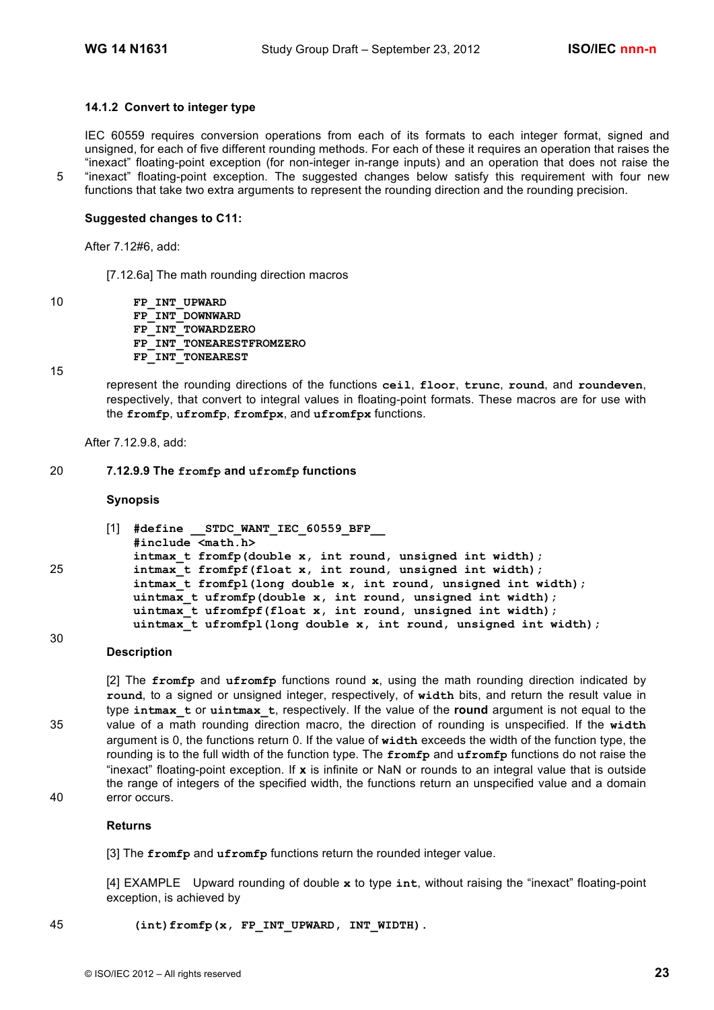### **14.1.2 Convert to integer type**

IEC 60559 requires conversion operations from each of its formats to each integer format, signed and unsigned, for each of five different rounding methods. For each of these it requires an operation that raises the "inexact" floating-point exception (for non-integer in-range inputs) and an operation that does not raise the 5 "inexact" floating-point exception. The suggested changes below satisfy this requirement with four new functions that take two extra arguments to represent the rounding direction and the rounding precision.

#### **Suggested changes to C11:**

After 7.12#6, add:

[7.12.6a] The math rounding direction macros

10 **FP\_INT\_UPWARD FP\_INT\_DOWNWARD FP\_INT\_TOWARDZERO FP\_INT\_TONEARESTFROMZERO FP\_INT\_TONEAREST**

15

30

represent the rounding directions of the functions **ceil**, **floor**, **trunc**, **round**, and **roundeven**, respectively, that convert to integral values in floating-point formats. These macros are for use with the **fromfp**, **ufromfp**, **fromfpx**, and **ufromfpx** functions.

After 7.12.9.8, add:

#### 20 **7.12.9.9 The fromfp and ufromfp functions**

#### **Synopsis**

```
[1] #define __STDC_WANT_IEC_60559_BFP__
           #include <math.h>
           intmax_t fromfp(double x, int round, unsigned int width);
25 intmax_t fromfpf(float x, int round, unsigned int width);
           intmax_t fromfpl(long double x, int round, unsigned int width);
           uintmax t ufromfp(double x, int round, unsigned int width);
           uintmax t ufromfpf(float x, int round, unsigned int width);
           uintmax_t ufromfpl(long double x, int round, unsigned int width);
```
#### **Description**

[2] The **fromfp** and **ufromfp** functions round **x**, using the math rounding direction indicated by **round**, to a signed or unsigned integer, respectively, of **width** bits, and return the result value in type **intmax\_t** or **uintmax\_t**, respectively. If the value of the **round** argument is not equal to the 35 value of a math rounding direction macro, the direction of rounding is unspecified. If the **width** argument is 0, the functions return 0. If the value of **width** exceeds the width of the function type, the rounding is to the full width of the function type. The **fromfp** and **ufromfp** functions do not raise the "inexact" floating-point exception. If **x** is infinite or NaN or rounds to an integral value that is outside the range of integers of the specified width, the functions return an unspecified value and a domain 40 error occurs.

### **Returns**

[3] The **fromfp** and **ufromfp** functions return the rounded integer value.

[4] EXAMPLE Upward rounding of double **x** to type **int**, without raising the "inexact" floating-point exception, is achieved by

45 **(int)fromfp(x, FP\_INT\_UPWARD, INT\_WIDTH)**.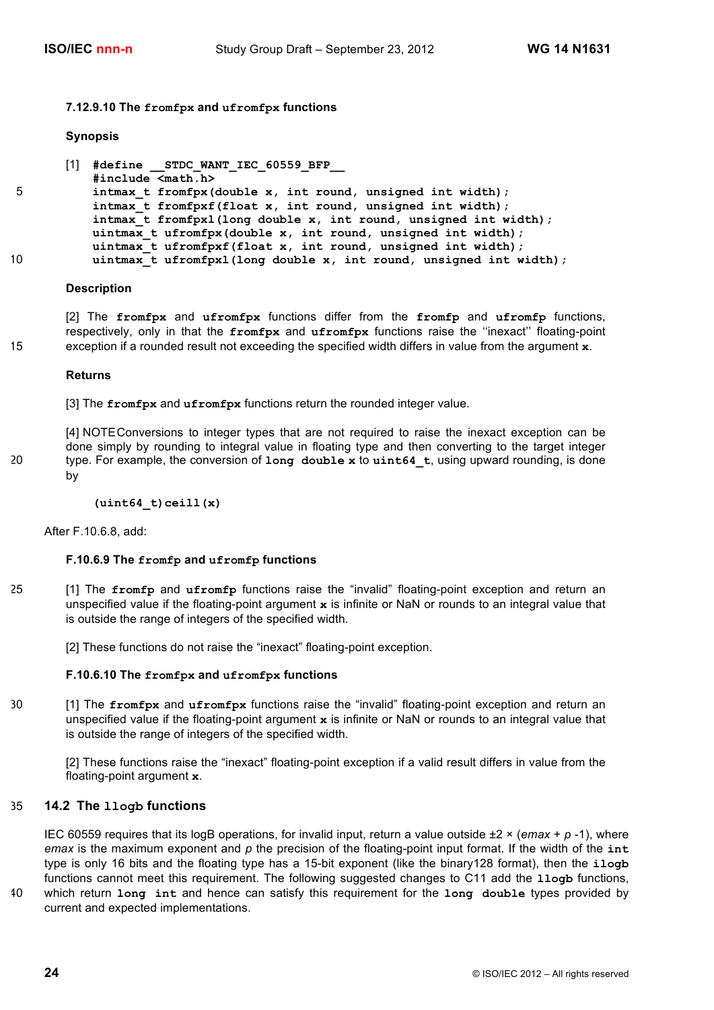#### **7.12.9.10 The fromfpx and ufromfpx functions**

#### **Synopsis**

```
[1] #define __STDC_WANT_IEC_60559_BFP__
           #include <math.h>
5 intmax_t fromfpx(double x, int round, unsigned int width);
           intmax_t fromfpxf(float x, int round, unsigned int width);
           intmax_t fromfpxl(long double x, int round, unsigned int width);
           uintmax t ufromfpx(double x, int round, unsigned int width);
           uintmax_t ufromfpxf(float x, int round, unsigned int width);
10 uintmax_t ufromfpxl(long double x, int round, unsigned int width);
```
#### **Description**

[2] The **fromfpx** and **ufromfpx** functions differ from the **fromfp** and **ufromfp** functions, respectively, only in that the **fromfpx** and **ufromfpx** functions raise the ''inexact'' floating-point 15 exception if a rounded result not exceeding the specified width differs in value from the argument **x**.

#### **Returns**

[3] The **fromfpx** and **ufromfpx** functions return the rounded integer value.

[4] NOTEConversions to integer types that are not required to raise the inexact exception can be done simply by rounding to integral value in floating type and then converting to the target integer 20 type. For example, the conversion of **long double x** to **uint64\_t**, using upward rounding, is done by

**(uint64\_t)ceill(x)**

After F.10.6.8, add:

#### **F.10.6.9 The fromfp and ufromfp functions**

25 [1] The **fromfp** and **ufromfp** functions raise the "invalid" floating-point exception and return an unspecified value if the floating-point argument **x** is infinite or NaN or rounds to an integral value that is outside the range of integers of the specified width.

[2] These functions do not raise the "inexact" floating-point exception.

#### **F.10.6.10 The fromfpx and ufromfpx functions**

30 [1] The **fromfpx** and **ufromfpx** functions raise the "invalid" floating-point exception and return an unspecified value if the floating-point argument **x** is infinite or NaN or rounds to an integral value that is outside the range of integers of the specified width.

[2] These functions raise the "inexact" floating-point exception if a valid result differs in value from the floating-point argument **x**.

## 35 **14.2 The llogb functions**

IEC 60559 requires that its logB operations, for invalid input, return a value outside ±2 × (*emax* + *p* -1), where *emax* is the maximum exponent and *p* the precision of the floating-point input format. If the width of the **int** type is only 16 bits and the floating type has a 15-bit exponent (like the binary128 format), then the **ilogb** functions cannot meet this requirement. The following suggested changes to C11 add the **llogb** functions, 40 which return **long int** and hence can satisfy this requirement for the **long double** types provided by

current and expected implementations.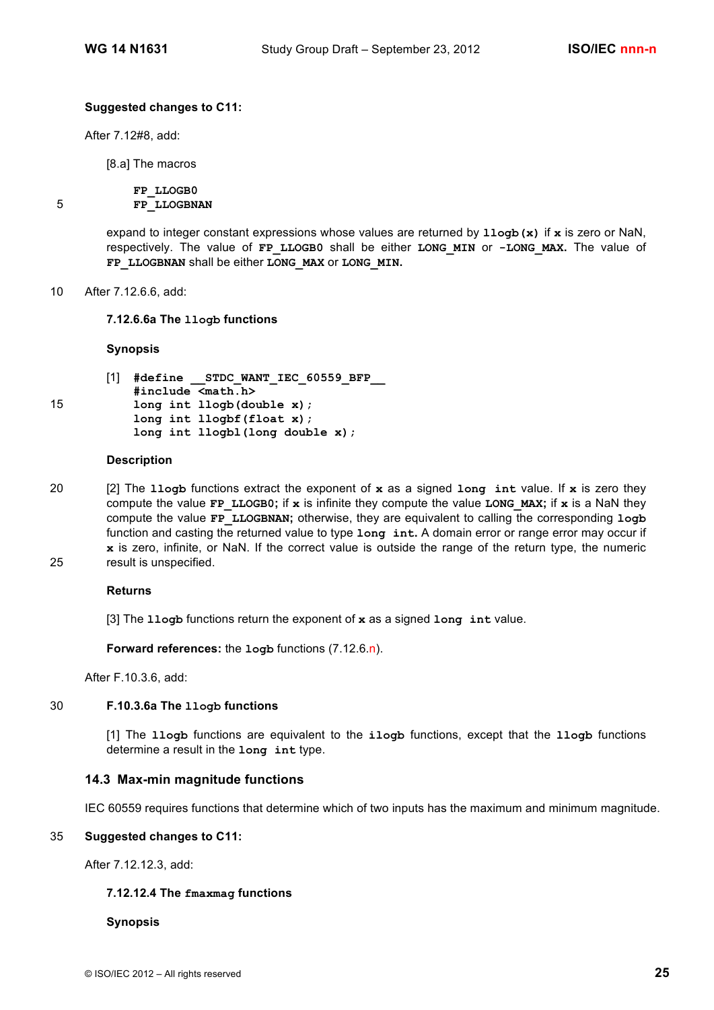### **Suggested changes to C11:**

After 7.12#8, add:

[8.a] The macros

**FP\_LLOGB0** 5 **FP\_LLOGBNAN**

> expand to integer constant expressions whose values are returned by **llogb(x)** if **x** is zero or NaN, respectively. The value of **FP\_LLOGB0** shall be either **LONG\_MIN** or **-LONG\_MAX.** The value of **FP\_LLOGBNAN** shall be either **LONG\_MAX** or **LONG\_MIN.**

#### 10 After 7.12.6.6, add:

**7.12.6.6a The llogb functions** 

#### **Synopsis**

```
[1] #define __STDC_WANT_IEC_60559_BFP__
           #include <math.h>
15 long int llogb(double x);
           long int llogbf(float x);
           long int llogbl(long double x);
```
#### **Description**

- 20 [2] The **llogb** functions extract the exponent of **x** as a signed **long int** value. If **x** is zero they compute the value **FP** LLOGB0; if **x** is infinite they compute the value LONG MAX; if **x** is a NaN they compute the value **FP\_LLOGBNAN;** otherwise, they are equivalent to calling the corresponding **logb** function and casting the returned value to type **long int.** A domain error or range error may occur if **x** is zero, infinite, or NaN. If the correct value is outside the range of the return type, the numeric 25 result is unspecified.
	-

#### **Returns**

[3] The **llogb** functions return the exponent of **x** as a signed **long int** value.

**Forward references:** the **logb** functions (7.12.6.n).

After F.10.3.6, add:

#### 30 **F.10.3.6a The llogb functions**

[1] The **llogb** functions are equivalent to the **ilogb** functions, except that the **llogb** functions determine a result in the **long int** type.

#### **14.3 Max-min magnitude functions**

IEC 60559 requires functions that determine which of two inputs has the maximum and minimum magnitude.

#### 35 **Suggested changes to C11:**

After 7.12.12.3, add:

#### **7.12.12.4 The fmaxmag functions**

#### **Synopsis**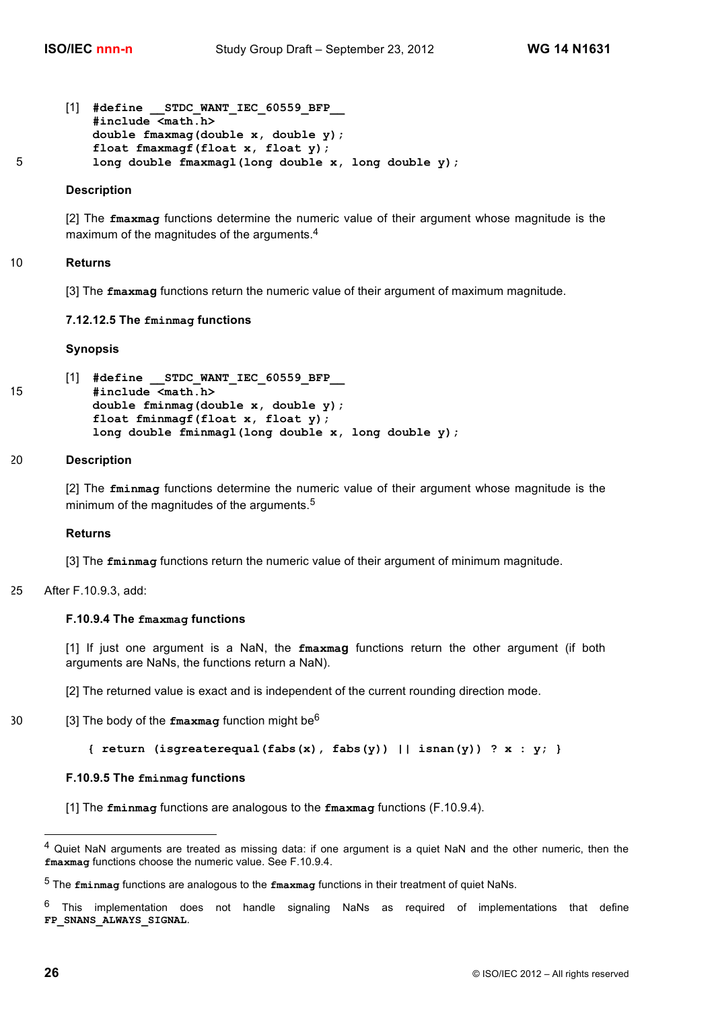```
[1] #define __STDC_WANT_IEC_60559_BFP__
          #include <math.h> 
          double fmaxmag(double x, double y);
          float fmaxmagf(float x, float y);
5 long double fmaxmagl(long double x, long double y);
```
### **Description**

[2] The **fmaxmag** functions determine the numeric value of their argument whose magnitude is the maximum of the magnitudes of the arguments.<sup>4</sup>

### 10 **Returns**

[3] The **fmaxmag** functions return the numeric value of their argument of maximum magnitude.

#### **7.12.12.5 The fminmag functions**

#### **Synopsis**

```
[1] #define __STDC_WANT_IEC_60559_BFP__
15 #include <math.h> 
           double fminmag(double x, double y);
           float fminmagf(float x, float y);
           long double fminmagl(long double x, long double y);
```
#### 20 **Description**

[2] The **fminmag** functions determine the numeric value of their argument whose magnitude is the minimum of the magnitudes of the arguments.<sup>5</sup>

#### **Returns**

[3] The **fminmag** functions return the numeric value of their argument of minimum magnitude.

### 25 After F.10.9.3, add:

#### **F.10.9.4 The fmaxmag functions**

[1] If just one argument is a NaN, the **fmaxmag** functions return the other argument (if both arguments are NaNs, the functions return a NaN).

[2] The returned value is exact and is independent of the current rounding direction mode.

```
30 \qquad [3] The body of the \bf{fmaxmag} function might be<sup>6</sup>
```

```
{ return (isgreaterequal(fabs(x), fabs(y)) || isnan(y)) ? x : y; }
```
#### **F.10.9.5 The fminmag functions**

[1] The **fminmag** functions are analogous to the **fmaxmag** functions (F.10.9.4).

<sup>&</sup>lt;sup>4</sup> Quiet NaN arguments are treated as missing data: if one argument is a quiet NaN and the other numeric, then the **fmaxmag** functions choose the numeric value. See F.10.9.4.

<sup>5</sup> The **fminmag** functions are analogous to the **fmaxmag** functions in their treatment of quiet NaNs.

 $6$  This implementation does not handle signaling NaNs as required of implementations that define **FP\_SNANS\_ALWAYS\_SIGNAL**.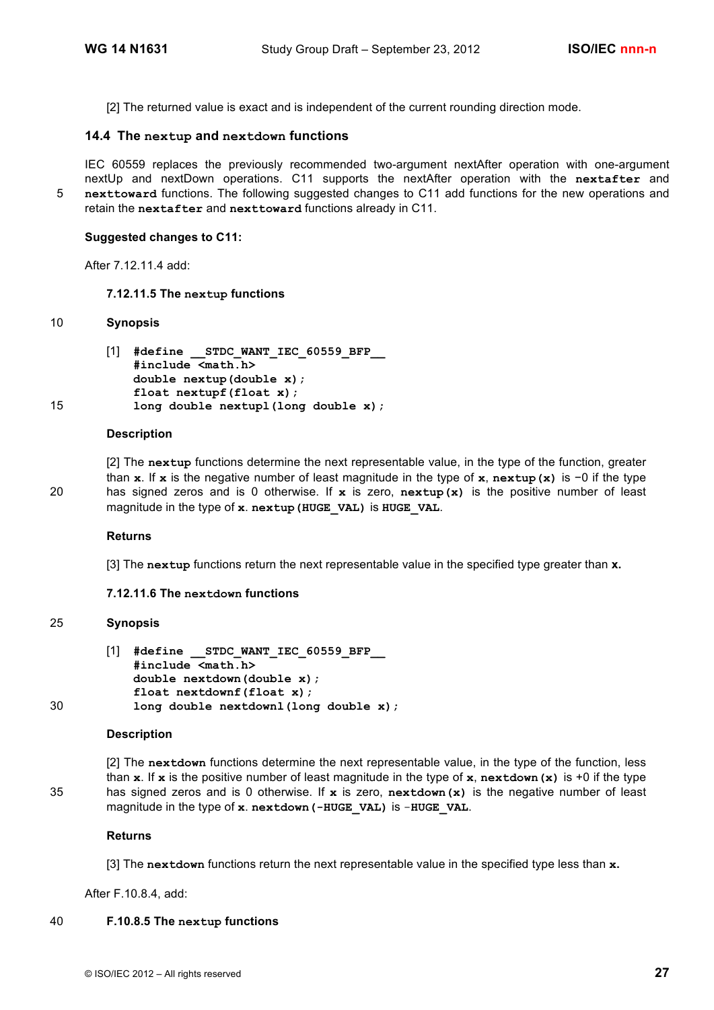[2] The returned value is exact and is independent of the current rounding direction mode.

## **14.4 The nextup and nextdown functions**

IEC 60559 replaces the previously recommended two-argument nextAfter operation with one-argument nextUp and nextDown operations. C11 supports the nextAfter operation with the **nextafter** and 5 **nexttoward** functions. The following suggested changes to C11 add functions for the new operations and retain the **nextafter** and **nexttoward** functions already in C11.

#### **Suggested changes to C11:**

After 7.12.11.4 add:

#### **7.12.11.5 The nextup functions**

## 10 **Synopsis**

```
[1] #define __STDC_WANT_IEC_60559_BFP__
           #include <math.h>
           double nextup(double x);
           float nextupf(float x);
15 long double nextupl(long double x);
```
#### **Description**

[2] The **nextup** functions determine the next representable value, in the type of the function, greater than **x**. If **x** is the negative number of least magnitude in the type of **x**, **nextup(x)** is −0 if the type 20 has signed zeros and is 0 otherwise. If **x** is zero, **nextup(x)** is the positive number of least magnitude in the type of **x**. **nextup(HUGE\_VAL)** is **HUGE\_VAL**.

#### **Returns**

[3] The **nextup** functions return the next representable value in the specified type greater than **x.**

#### **7.12.11.6 The nextdown functions**

#### 25 **Synopsis**

|    | $\begin{bmatrix} 1 \end{bmatrix}$ #define STDC WANT IEC 60559 BFP |
|----|-------------------------------------------------------------------|
|    | $#include$ $\langlemath.h\rangle$                                 |
|    | double nextdown(double x);                                        |
|    | float $nextdownf(f$ loat x);                                      |
| 30 | long double nextdownl(long double $x$ );                          |

#### **Description**

```
[2] The nextdown functions determine the next representable value, in the type of the function, less 
          than x. If x is the positive number of least magnitude in the type of x, nextdown(x) is +0 if the type 
35 has signed zeros and is 0 otherwise. If x is zero, nextdown(x) is the negative number of least 
          magnitude in the type of x. nextdown(-HUGE_VAL) is -HUGE_VAL.
```
#### **Returns**

[3] The **nextdown** functions return the next representable value in the specified type less than **x.**

After F.10.8.4, add:

#### 40 **F.10.8.5 The nextup functions**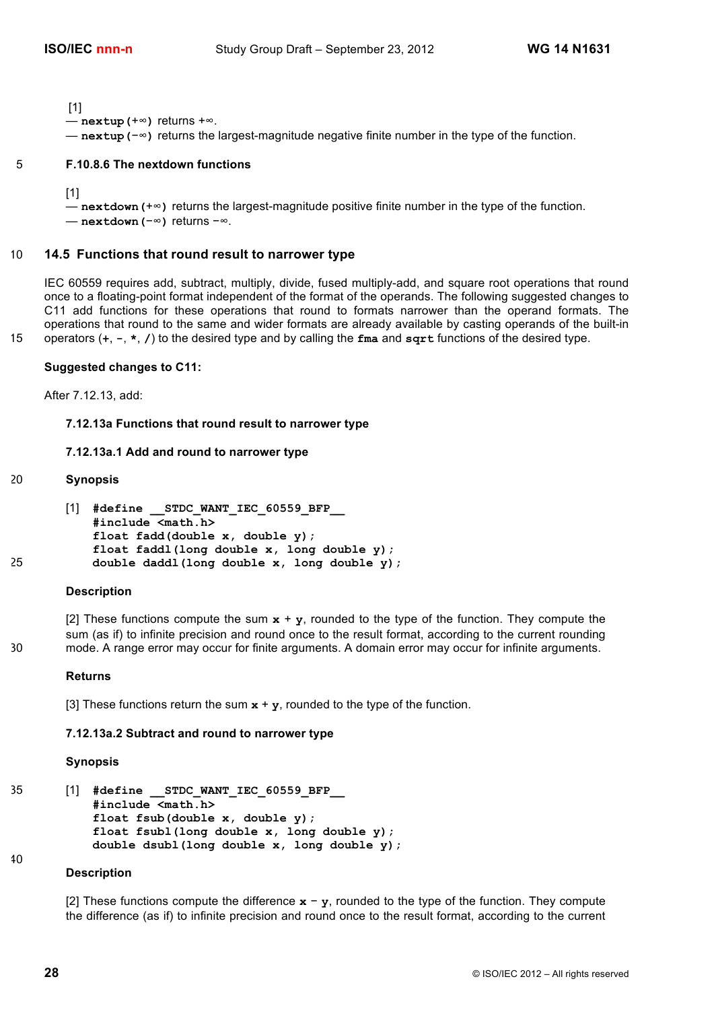[1]

— **nextup(**+∞**)** returns +∞.

— **nextup(**−∞**)** returns the largest-magnitude negative finite number in the type of the function.

#### 5 **F.10.8.6 The nextdown functions**

[1]

— **nextdown(**+∞**)** returns the largest-magnitude positive finite number in the type of the function. — **nextdown(**−∞**)** returns −∞.

#### 10 **14.5 Functions that round result to narrower type**

IEC 60559 requires add, subtract, multiply, divide, fused multiply-add, and square root operations that round once to a floating-point format independent of the format of the operands. The following suggested changes to C11 add functions for these operations that round to formats narrower than the operand formats. The operations that round to the same and wider formats are already available by casting operands of the built-in 15 operators (**+**, **-**, **\***, **/**) to the desired type and by calling the **fma** and **sqrt** functions of the desired type.

#### **Suggested changes to C11:**

After 7.12.13, add:

#### **7.12.13a Functions that round result to narrower type**

#### **7.12.13a.1 Add and round to narrower type**

```
20 Synopsis
```

```
[1] #define __STDC_WANT_IEC_60559_BFP__
           #include <math.h>
           float fadd(double x, double y); 
           float faddl(long double x, long double y); 
25 double daddl(long double x, long double y);
```
#### **Description**

[2] These functions compute the sum **x** + **y**, rounded to the type of the function. They compute the sum (as if) to infinite precision and round once to the result format, according to the current rounding 30 mode. A range error may occur for finite arguments. A domain error may occur for infinite arguments.

#### **Returns**

[3] These functions return the sum **x** + **y**, rounded to the type of the function.

#### **7.12.13a.2 Subtract and round to narrower type**

#### **Synopsis**

```
35 [1] #define __STDC_WANT_IEC_60559_BFP__
           #include <math.h>
           float fsub(double x, double y); 
           float fsubl(long double x, long double y); 
           double dsubl(long double x, long double y);
40
```
## **Description**

[2] These functions compute the difference **x** − **y**, rounded to the type of the function. They compute the difference (as if) to infinite precision and round once to the result format, according to the current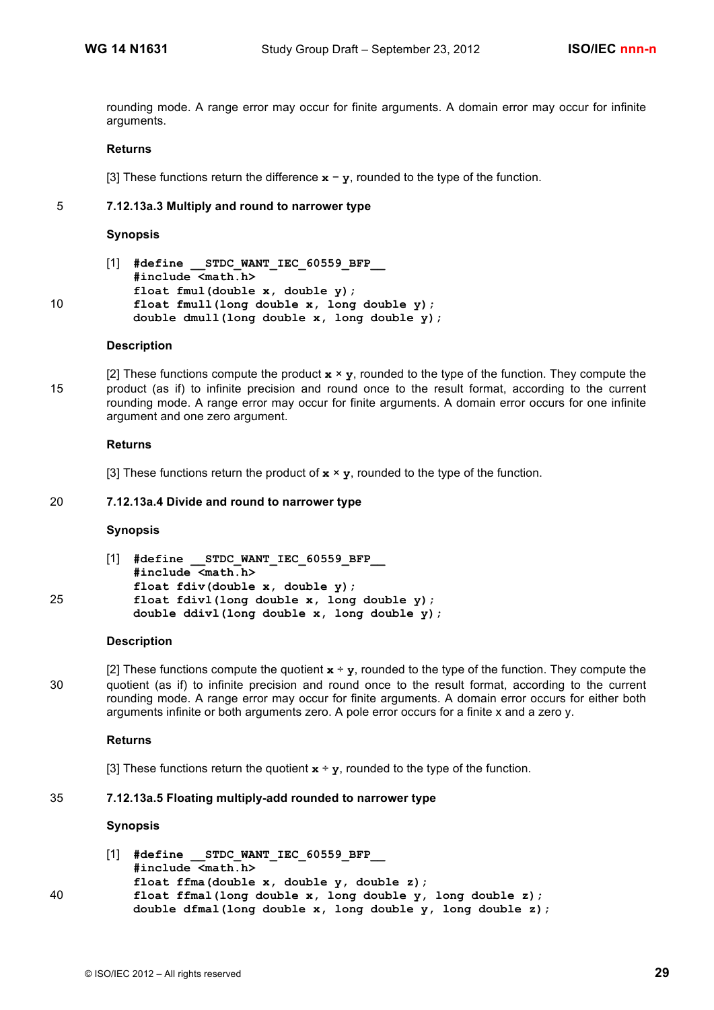rounding mode. A range error may occur for finite arguments. A domain error may occur for infinite arguments.

#### **Returns**

[3] These functions return the difference **x** − **y**, rounded to the type of the function.

#### 5 **7.12.13a.3 Multiply and round to narrower type**

#### **Synopsis**

```
[1] #define __STDC_WANT_IEC_60559_BFP__
           #include <math.h>
           float fmul(double x, double y); 
10 float fmull(long double x, long double y); 
           double dmull(long double x, long double y);
```
#### **Description**

[2] These functions compute the product  $\mathbf{x} \times \mathbf{y}$ , rounded to the type of the function. They compute the 15 product (as if) to infinite precision and round once to the result format, according to the current rounding mode. A range error may occur for finite arguments. A domain error occurs for one infinite argument and one zero argument.

#### **Returns**

[3] These functions return the product of  $x \times y$ , rounded to the type of the function.

#### 20 **7.12.13a.4 Divide and round to narrower type**

#### **Synopsis**

```
[1] #define __STDC_WANT_IEC_60559_BFP__
           #include <math.h>
           float fdiv(double x, double y); 
25 float fdivl(long double x, long double y); 
           double ddivl(long double x, long double y);
```
#### **Description**

[2] These functions compute the quotient  $x \div y$ , rounded to the type of the function. They compute the 30 quotient (as if) to infinite precision and round once to the result format, according to the current rounding mode. A range error may occur for finite arguments. A domain error occurs for either both arguments infinite or both arguments zero. A pole error occurs for a finite x and a zero y.

#### **Returns**

[3] These functions return the quotient  $\mathbf{x} \div \mathbf{y}$ , rounded to the type of the function.

## 35 **7.12.13a.5 Floating multiply-add rounded to narrower type**

#### **Synopsis**

|    | [1] #define STDC WANT IEC 60559 BFP                        |
|----|------------------------------------------------------------|
|    | #include <math.h></math.h>                                 |
|    | float ffma(double x, double y, double z);                  |
| 40 | float ffmal(long double x, long double y, long double z);  |
|    | double dfmal(long double x, long double y, long double z); |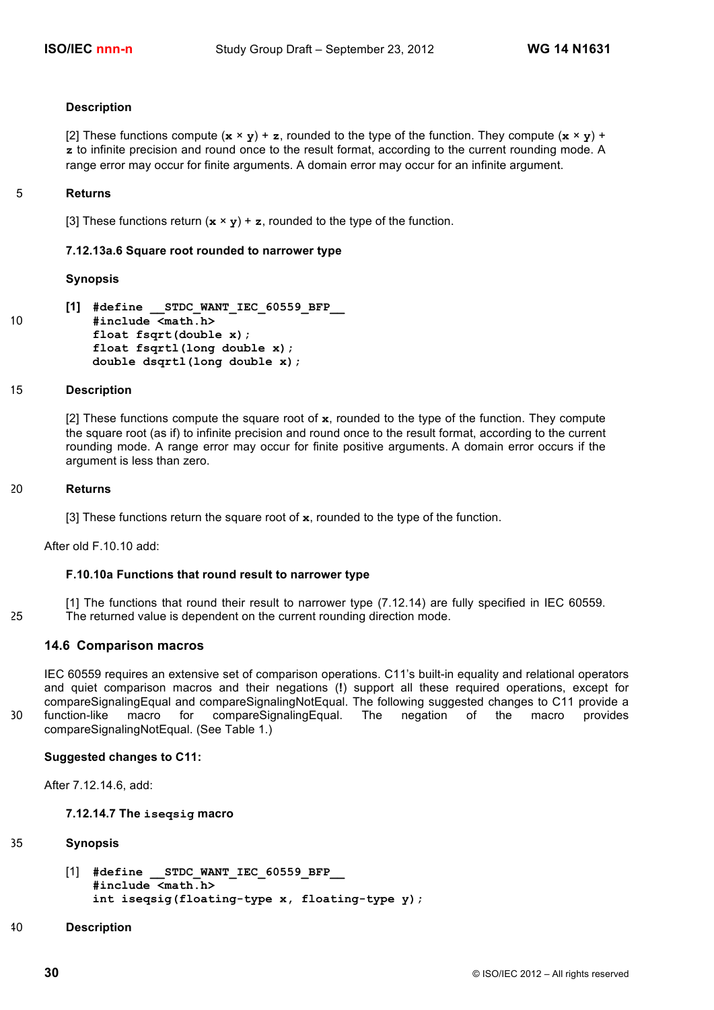#### **Description**

[2] These functions compute  $(\mathbf{x} \times \mathbf{y}) + \mathbf{z}$ , rounded to the type of the function. They compute  $(\mathbf{x} \times \mathbf{y}) + \mathbf{z}$ **z** to infinite precision and round once to the result format, according to the current rounding mode. A range error may occur for finite arguments. A domain error may occur for an infinite argument.

#### 5 **Returns**

[3] These functions return  $(\mathbf{x} \times \mathbf{y}) + \mathbf{z}$ , rounded to the type of the function.

## **7.12.13a.6 Square root rounded to narrower type**

#### **Synopsis**

```
[1] #define __STDC_WANT_IEC_60559_BFP__
10 #include <math.h>
           float fsqrt(double x); 
           float fsqrtl(long double x); 
           double dsqrtl(long double x);
```
#### 15 **Description**

[2] These functions compute the square root of **x**, rounded to the type of the function. They compute the square root (as if) to infinite precision and round once to the result format, according to the current rounding mode. A range error may occur for finite positive arguments. A domain error occurs if the argument is less than zero.

#### 20 **Returns**

[3] These functions return the square root of **x**, rounded to the type of the function.

After old F.10.10 add:

#### **F.10.10a Functions that round result to narrower type**

[1] The functions that round their result to narrower type (7.12.14) are fully specified in IEC 60559. 25 The returned value is dependent on the current rounding direction mode.

#### **14.6 Comparison macros**

IEC 60559 requires an extensive set of comparison operations. C11's built-in equality and relational operators and quiet comparison macros and their negations (**!**) support all these required operations, except for compareSignalingEqual and compareSignalingNotEqual. The following suggested changes to C11 provide a 30 function-like macro for compareSignalingEqual. The negation of the macro provides compareSignalingNotEqual. (See Table 1.)

**Suggested changes to C11:**

After 7.12.14.6, add:

#### **7.12.14.7 The iseqsig macro**

#### 35 **Synopsis**

[1] **#define \_\_STDC\_WANT\_IEC\_60559\_BFP\_\_ #include <math.h> int iseqsig(floating-type x, floating-type y);** 

#### 40 **Description**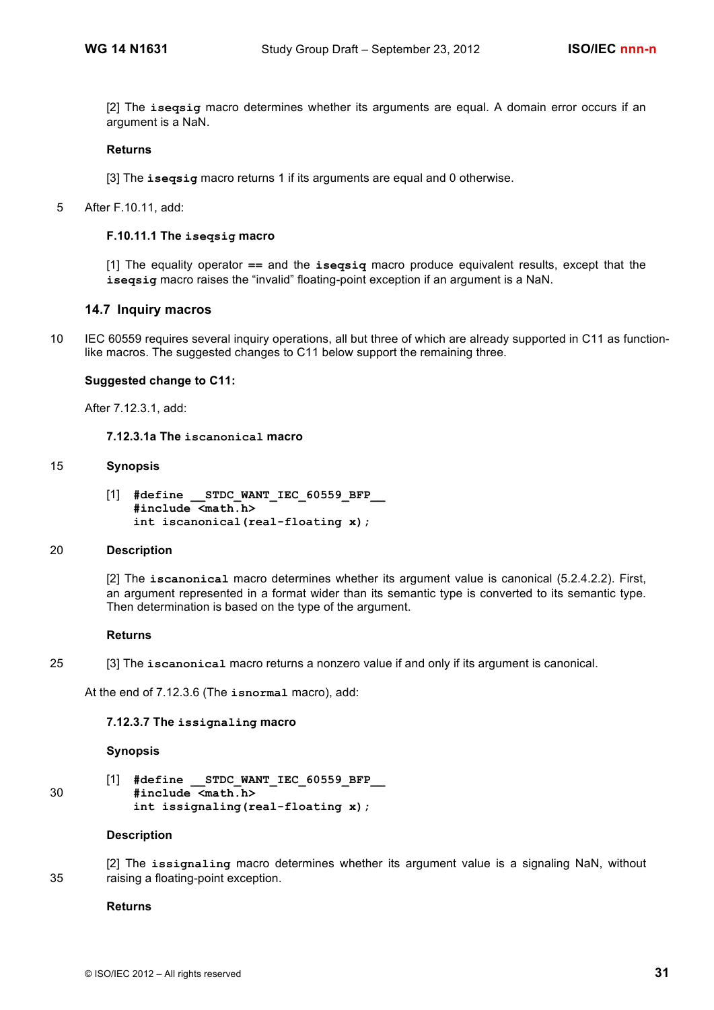[2] The **iseqsig** macro determines whether its arguments are equal. A domain error occurs if an argument is a NaN.

#### **Returns**

[3] The **iseqsig** macro returns 1 if its arguments are equal and 0 otherwise.

5 After F.10.11, add:

## **F.10.11.1 The iseqsig macro**

[1] The equality operator **==** and the **iseqsiq** macro produce equivalent results, except that the **iseqsig** macro raises the "invalid" floating-point exception if an argument is a NaN.

## **14.7 Inquiry macros**

10 IEC 60559 requires several inquiry operations, all but three of which are already supported in C11 as functionlike macros. The suggested changes to C11 below support the remaining three.

#### **Suggested change to C11:**

After 7.12.3.1, add:

**7.12.3.1a The iscanonical macro**

#### 15 **Synopsis**

[1] **#define \_\_STDC\_WANT\_IEC\_60559\_BFP\_\_ #include <math.h> int iscanonical(real-floating x);**

#### 20 **Description**

[2] The **iscanonical** macro determines whether its argument value is canonical (5.2.4.2.2). First, an argument represented in a format wider than its semantic type is converted to its semantic type. Then determination is based on the type of the argument.

#### **Returns**

25 [3] The **iscanonical** macro returns a nonzero value if and only if its argument is canonical.

At the end of 7.12.3.6 (The **isnormal** macro), add:

#### **7.12.3.7 The issignaling macro**

#### **Synopsis**

[1] **#define \_\_STDC\_WANT\_IEC\_60559\_BFP\_\_** 30 **#include <math.h> int issignaling(real-floating x);**

#### **Description**

[2] The **issignaling** macro determines whether its argument value is a signaling NaN, without 35 raising a floating-point exception.

### **Returns**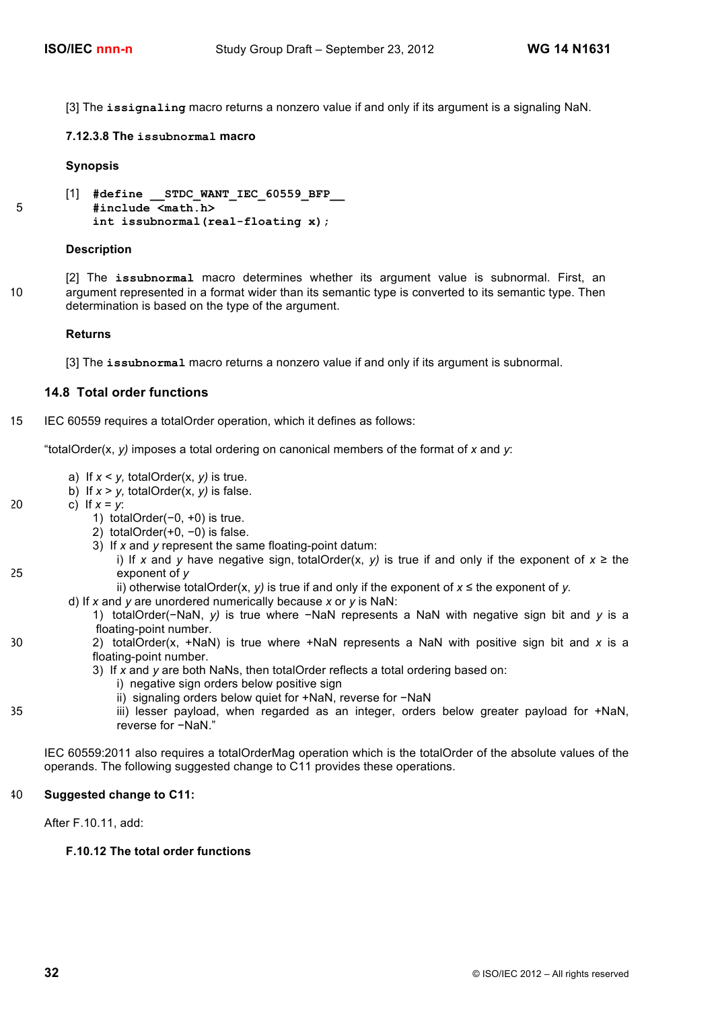[3] The **issignaling** macro returns a nonzero value if and only if its argument is a signaling NaN.

**7.12.3.8 The issubnormal macro**

#### **Synopsis**

```
[1] #define __STDC_WANT_IEC_60559_BFP__
5 #include <math.h> 
          int issubnormal(real-floating x);
```
#### **Description**

[2] The **issubnormal** macro determines whether its argument value is subnormal. First, an 10 argument represented in a format wider than its semantic type is converted to its semantic type. Then determination is based on the type of the argument.

### **Returns**

[3] The **issubnormal** macro returns a nonzero value if and only if its argument is subnormal.

#### **14.8 Total order functions**

15 IEC 60559 requires a totalOrder operation, which it defines as follows:

"totalOrder(x, *y)* imposes a total ordering on canonical members of the format of *x* and *y*:

- a) If *x* < *y,* totalOrder(x, *y)* is true.
- b) If  $x > y$ , totalOrder(x, y) is false.
- 20 c) If  $x = y$ :
	- 1) totalOrder(−0, +0) is true.
	- 2) totalOrder(+0, −0) is false.
		- 3) If *x* and *y* represent the same floating-point datum:
- i) If *x* and *y* have negative sign, totalOrder(x, *y)* is true if and only if the exponent of *x* ≥ the 25 exponent of *y*
	- ii) otherwise totalOrder(x, *y)* is true if and only if the exponent of *x* ≤ the exponent of *y.*
	- d) If *x* and *y* are unordered numerically because *x* or *y* is NaN:
		- 1) totalOrder(−NaN, *y)* is true where −NaN represents a NaN with negative sign bit and *y* is a floating-point number.
- 30 2) totalOrder(x, +NaN) is true where +NaN represents a NaN with positive sign bit and *x* is a floating-point number.
	- 3) If *x* and *y* are both NaNs, then totalOrder reflects a total ordering based on:
		- i) negative sign orders below positive sign
		- ii) signaling orders below quiet for +NaN, reverse for −NaN
- 35 iii) lesser payload, when regarded as an integer, orders below greater payload for +NaN, reverse for −NaN."

IEC 60559:2011 also requires a totalOrderMag operation which is the totalOrder of the absolute values of the operands. The following suggested change to C11 provides these operations.

## 40 **Suggested change to C11:**

After F.10.11, add:

## **F.10.12 The total order functions**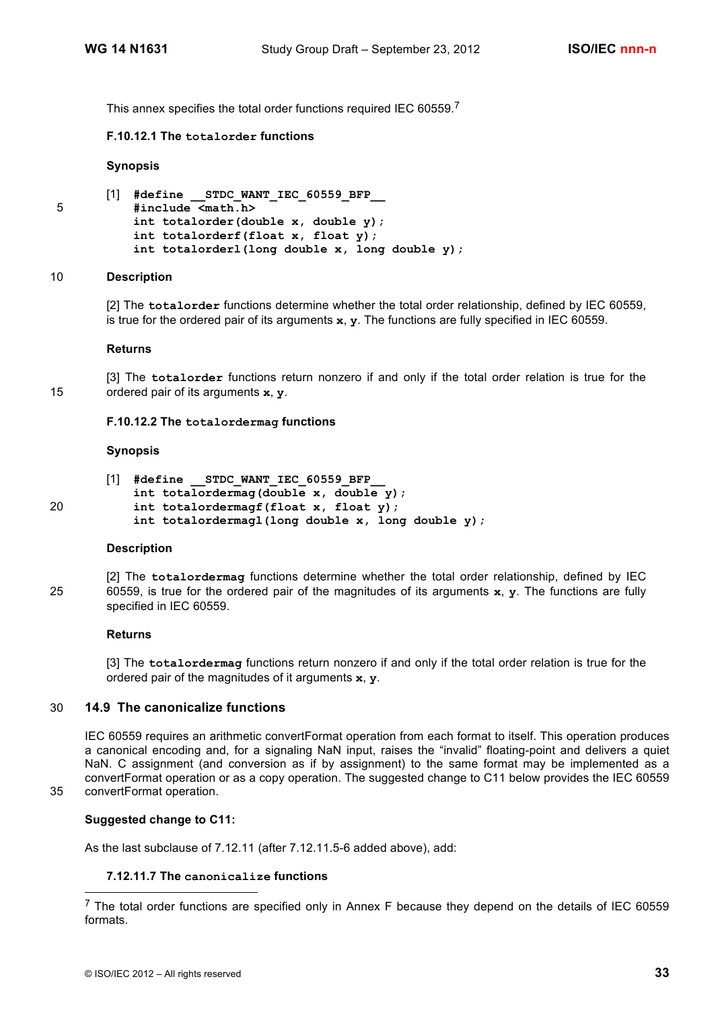This annex specifies the total order functions required IEC 60559.<sup>7</sup>

## **F.10.12.1 The totalorder functions**

#### **Synopsis**

```
[1] #define __STDC_WANT_IEC_60559_BFP__
5 #include <math.h>
          int totalorder(double x, double y);
          int totalorderf(float x, float y);
          int totalorderl(long double x, long double y);
```
#### 10 **Description**

[2] The **totalorder** functions determine whether the total order relationship, defined by IEC 60559, is true for the ordered pair of its arguments **x**, **y**. The functions are fully specified in IEC 60559.

#### **Returns**

[3] The **totalorder** functions return nonzero if and only if the total order relation is true for the 15 ordered pair of its arguments **x**, **y**.

#### **F.10.12.2 The totalordermag functions**

#### **Synopsis**

|    | $\begin{bmatrix} 1 \end{bmatrix}$ #define STDC WANT IEC 60559 BFP |
|----|-------------------------------------------------------------------|
|    | int totalordermag(double x, double $y$ );                         |
| 20 | int totalordermagf(float $x$ , float $y$ );                       |
|    | int totalordermagl(long double x, long double $y$ );              |

#### **Description**

[2] The **totalordermag** functions determine whether the total order relationship, defined by IEC 25 60559, is true for the ordered pair of the magnitudes of its arguments **x**, **y**. The functions are fully specified in IEC 60559.

#### **Returns**

[3] The **totalordermag** functions return nonzero if and only if the total order relation is true for the ordered pair of the magnitudes of it arguments **x**, **y**.

## 30 **14.9 The canonicalize functions**

IEC 60559 requires an arithmetic convertFormat operation from each format to itself. This operation produces a canonical encoding and, for a signaling NaN input, raises the "invalid" floating-point and delivers a quiet NaN. C assignment (and conversion as if by assignment) to the same format may be implemented as a convertFormat operation or as a copy operation. The suggested change to C11 below provides the IEC 60559 35 convertFormat operation.

## **Suggested change to C11:**

As the last subclause of 7.12.11 (after 7.12.11.5-6 added above), add:

### **7.12.11.7 The canonicalize functions**

 $<sup>7</sup>$  The total order functions are specified only in Annex F because they depend on the details of IEC 60559</sup> formats.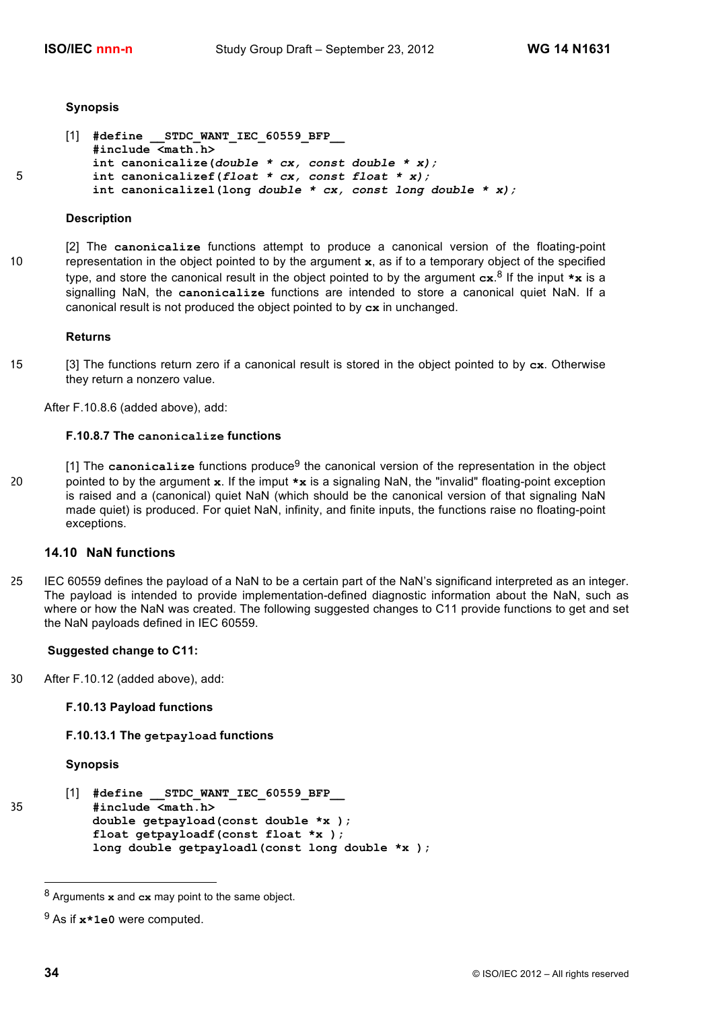#### **Synopsis**

```
[1] #define __STDC_WANT_IEC_60559_BFP__
          #include <math.h>
          int canonicalize(double * cx, const double * x);
5 int canonicalizef(float * cx, const float * x);
          int canonicalizel(long double * cx, const long double * x);
```
#### **Description**

[2] The **canonicalize** functions attempt to produce a canonical version of the floating-point 10 representation in the object pointed to by the argument **x**, as if to a temporary object of the specified type, and store the canonical result in the object pointed to by the argument **cx**. <sup>8</sup> If the input **\*x** is a signalling NaN, the **canonicalize** functions are intended to store a canonical quiet NaN. If a canonical result is not produced the object pointed to by **cx** in unchanged.

#### **Returns**

15 [3] The functions return zero if a canonical result is stored in the object pointed to by **cx**. Otherwise they return a nonzero value.

After F.10.8.6 (added above), add:

#### **F.10.8.7 The canonicalize functions**

[1] The **canonicalize** functions produce9 the canonical version of the representation in the object 20 pointed to by the argument **x**. If the imput **\*x** is a signaling NaN, the "invalid" floating-point exception is raised and a (canonical) quiet NaN (which should be the canonical version of that signaling NaN made quiet) is produced. For quiet NaN, infinity, and finite inputs, the functions raise no floating-point exceptions.

## **14.10 NaN functions**

25 IEC 60559 defines the payload of a NaN to be a certain part of the NaN's significand interpreted as an integer. The payload is intended to provide implementation-defined diagnostic information about the NaN, such as where or how the NaN was created. The following suggested changes to C11 provide functions to get and set the NaN payloads defined in IEC 60559.

### **Suggested change to C11:**

30 After F.10.12 (added above), add:

## **F.10.13 Payload functions**

#### **F.10.13.1 The getpayload functions**

#### **Synopsis**

```
[1] #define __STDC_WANT_IEC_60559_BFP__
35 #include <math.h>
           double getpayload(const double *x );
           float getpayloadf(const float *x );
           long double getpayloadl(const long double *x );
```
 <sup>8</sup> Arguments **x** and **cx** may point to the same object.

<sup>9</sup> As if **x\*1e0** were computed.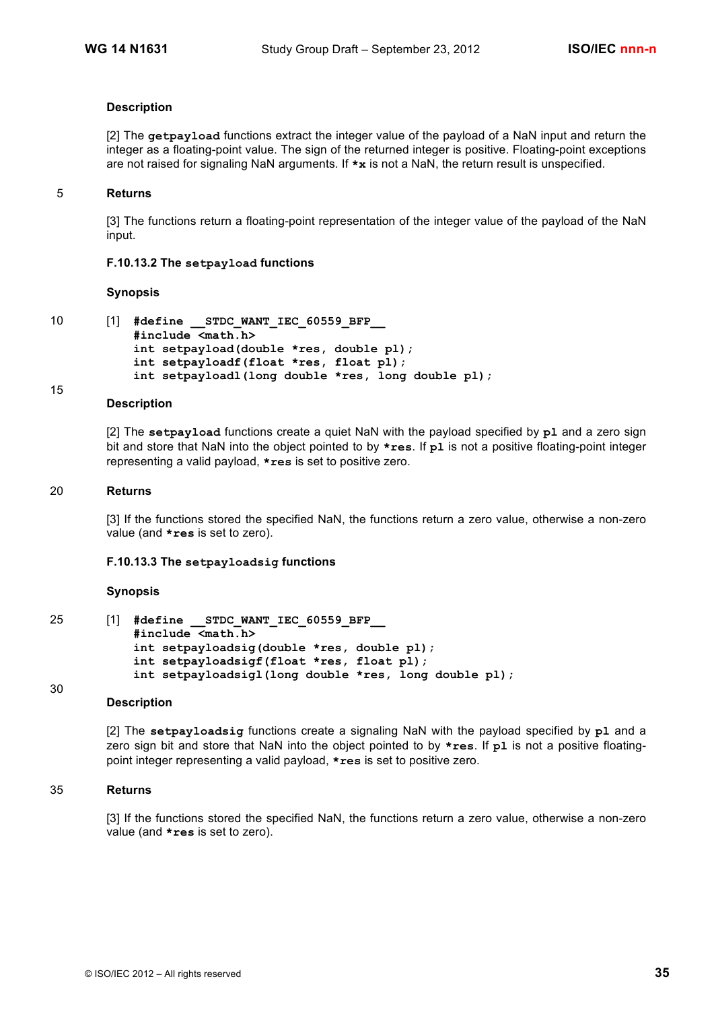## **Description**

[2] The **getpayload** functions extract the integer value of the payload of a NaN input and return the integer as a floating-point value. The sign of the returned integer is positive. Floating-point exceptions are not raised for signaling NaN arguments. If **\*x** is not a NaN, the return result is unspecified.

#### 5 **Returns**

[3] The functions return a floating-point representation of the integer value of the payload of the NaN input.

#### **F.10.13.2 The setpayload functions**

#### **Synopsis**

15

```
10 [1] #define __STDC_WANT_IEC_60559_BFP__
           #include <math.h>
           int setpayload(double *res, double pl);
           int setpayloadf(float *res, float pl);
           int setpayloadl(long double *res, long double pl);
```
#### **Description**

[2] The **setpayload** functions create a quiet NaN with the payload specified by **pl** and a zero sign bit and store that NaN into the object pointed to by **\*res**. If **pl** is not a positive floating-point integer representing a valid payload, **\*res** is set to positive zero.

#### 20 **Returns**

[3] If the functions stored the specified NaN, the functions return a zero value, otherwise a non-zero value (and **\*res** is set to zero).

#### **F.10.13.3 The setpayloadsig functions**

#### **Synopsis**

30

25 [1] **#define \_\_STDC\_WANT\_IEC\_60559\_BFP\_\_ #include <math.h> int setpayloadsig(double \*res, double pl); int setpayloadsigf(float \*res, float pl); int setpayloadsigl(long double \*res, long double pl);**

## **Description**

[2] The **setpayloadsig** functions create a signaling NaN with the payload specified by **pl** and a zero sign bit and store that NaN into the object pointed to by **\*res**. If **pl** is not a positive floatingpoint integer representing a valid payload, **\*res** is set to positive zero.

#### 35 **Returns**

[3] If the functions stored the specified NaN, the functions return a zero value, otherwise a non-zero value (and **\*res** is set to zero).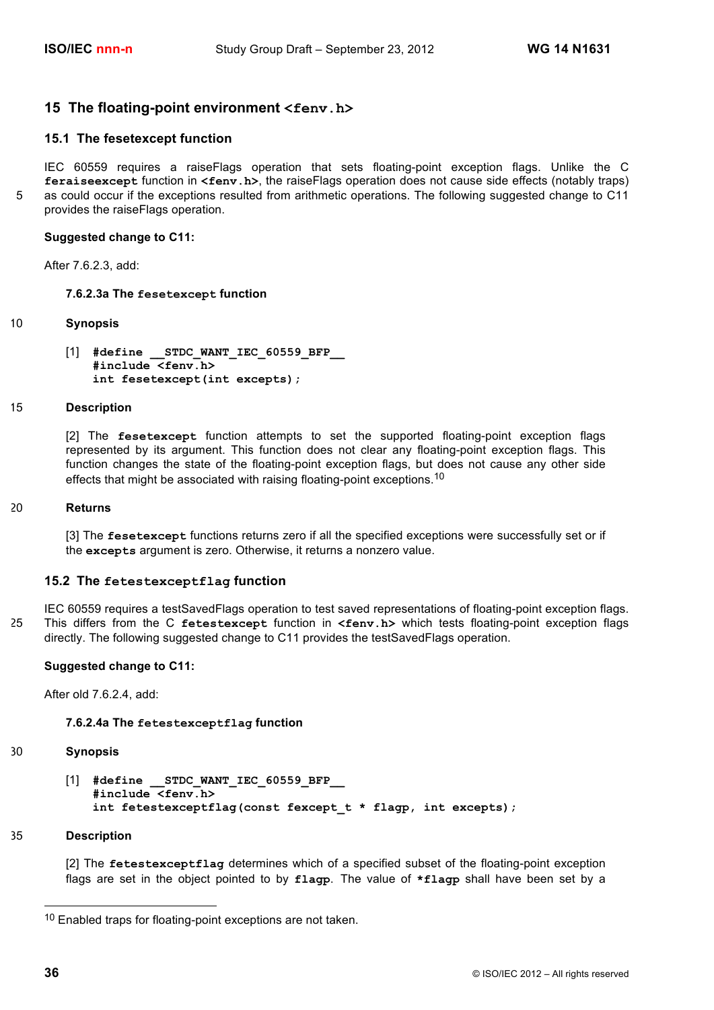## **15 The floating-point environment <fenv.h>**

## **15.1 The fesetexcept function**

IEC 60559 requires a raiseFlags operation that sets floating-point exception flags. Unlike the C **feraiseexcept** function in **<fenv.h>**, the raiseFlags operation does not cause side effects (notably traps) 5 as could occur if the exceptions resulted from arithmetic operations. The following suggested change to C11 provides the raiseFlags operation.

#### **Suggested change to C11:**

After 7.6.2.3, add:

#### **7.6.2.3a The fesetexcept function**

### 10 **Synopsis**

[1] **#define \_\_STDC\_WANT\_IEC\_60559\_BFP\_\_ #include <fenv.h> int fesetexcept(int excepts);**

#### 15 **Description**

[2] The **fesetexcept** function attempts to set the supported floating-point exception flags represented by its argument. This function does not clear any floating-point exception flags. This function changes the state of the floating-point exception flags, but does not cause any other side effects that might be associated with raising floating-point exceptions.<sup>10</sup>

#### 20 **Returns**

[3] The **fesetexcept** functions returns zero if all the specified exceptions were successfully set or if the **excepts** argument is zero. Otherwise, it returns a nonzero value.

#### **15.2 The fetestexceptflag function**

IEC 60559 requires a testSavedFlags operation to test saved representations of floating-point exception flags. 25 This differs from the C **fetestexcept** function in **<fenv.h>** which tests floating-point exception flags directly. The following suggested change to C11 provides the testSavedFlags operation.

#### **Suggested change to C11:**

After old 7.6.2.4, add:

#### **7.6.2.4a The fetestexceptflag function**

#### 30 **Synopsis**

[1] **#define \_\_STDC\_WANT\_IEC\_60559\_BFP\_\_ #include <fenv.h> int fetestexceptflag(const fexcept\_t \* flagp, int excepts);**

#### 35 **Description**

[2] The **fetestexceptflag** determines which of a specified subset of the floating-point exception flags are set in the object pointed to by **flagp**. The value of **\*flagp** shall have been set by a

<sup>&</sup>lt;sup>10</sup> Enabled traps for floating-point exceptions are not taken.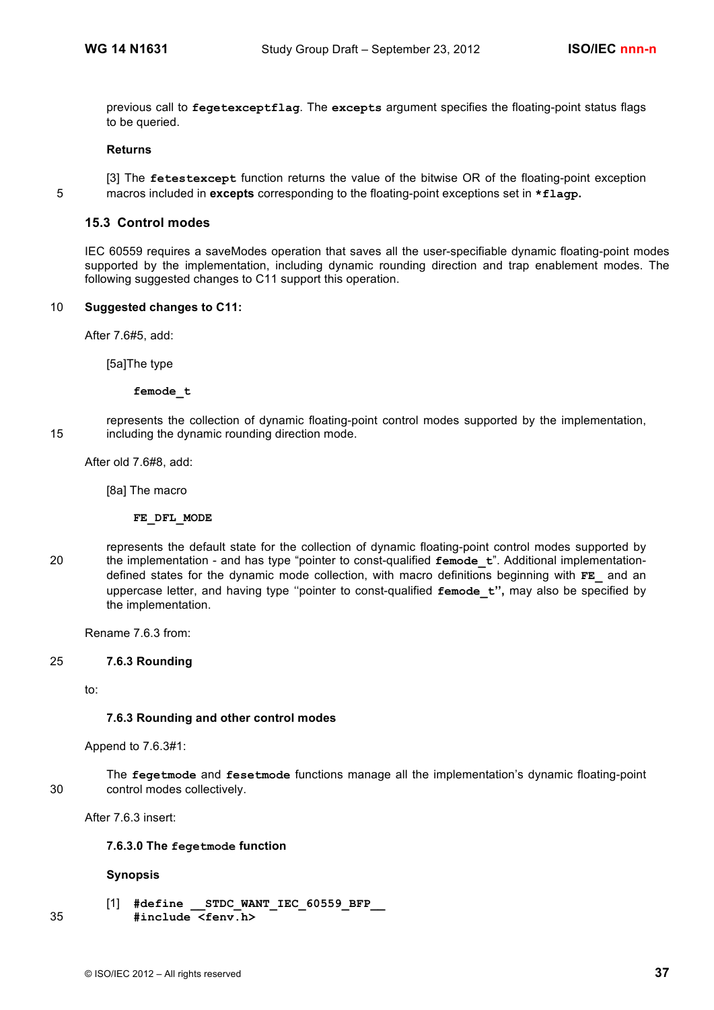previous call to **fegetexceptflag**. The **excepts** argument specifies the floating-point status flags to be queried.

#### **Returns**

[3] The **fetestexcept** function returns the value of the bitwise OR of the floating-point exception 5 macros included in **excepts** corresponding to the floating-point exceptions set in **\*flagp.**

#### **15.3 Control modes**

IEC 60559 requires a saveModes operation that saves all the user-specifiable dynamic floating-point modes supported by the implementation, including dynamic rounding direction and trap enablement modes. The following suggested changes to C11 support this operation.

### 10 **Suggested changes to C11:**

After 7.6#5, add:

[5a]The type

**femode\_t**

represents the collection of dynamic floating-point control modes supported by the implementation, 15 including the dynamic rounding direction mode.

After old 7.6#8, add:

[8a] The macro

**FE\_DFL\_MODE**

represents the default state for the collection of dynamic floating-point control modes supported by 20 the implementation - and has type "pointer to const-qualified **femode\_t**". Additional implementationdefined states for the dynamic mode collection, with macro definitions beginning with **FE\_** and an uppercase letter, and having type ''pointer to const-qualified **femode\_t'',** may also be specified by the implementation.

Rename 7.6.3 from:

### 25 **7.6.3 Rounding**

to:

#### **7.6.3 Rounding and other control modes**

Append to 7.6.3#1:

The **fegetmode** and **fesetmode** functions manage all the implementation's dynamic floating-point 30 control modes collectively.

After 7.6.3 insert:

### **7.6.3.0 The fegetmode function**

### **Synopsis**

[1] **#define \_\_STDC\_WANT\_IEC\_60559\_BFP\_\_** 35 **#include <fenv.h>**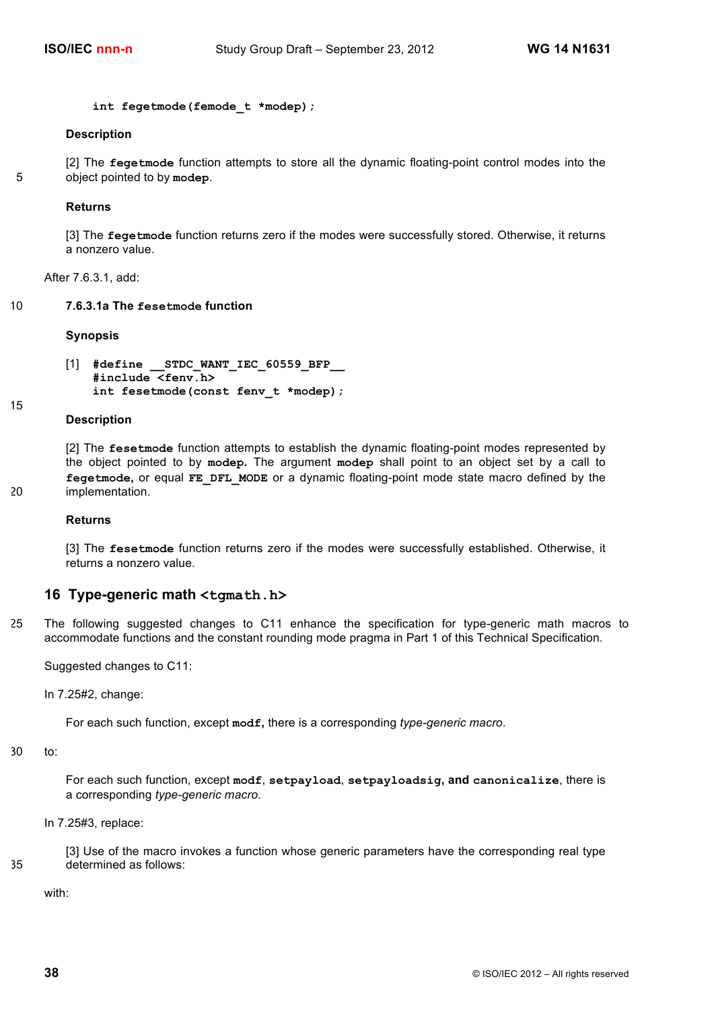```
int fegetmode(femode_t *modep);
```
#### **Description**

[2] The **fegetmode** function attempts to store all the dynamic floating-point control modes into the 5 object pointed to by **modep**.

#### **Returns**

[3] The **fegetmode** function returns zero if the modes were successfully stored. Otherwise, it returns a nonzero value.

After 7.6.3.1, add:

10 **7.6.3.1a The fesetmode function** 

#### **Synopsis**

```
[1] #define __STDC_WANT_IEC_60559_BFP__
   #include <fenv.h>
   int fesetmode(const fenv_t *modep);
```
**Description**

15

[2] The **fesetmode** function attempts to establish the dynamic floating-point modes represented by the object pointed to by **modep.** The argument **modep** shall point to an object set by a call to **fegetmode,** or equal **FE\_DFL\_MODE** or a dynamic floating-point mode state macro defined by the 20 implementation.

#### **Returns**

[3] The **fesetmode** function returns zero if the modes were successfully established. Otherwise, it returns a nonzero value.

#### **16 Type-generic math <tgmath.h>**

25 The following suggested changes to C11 enhance the specification for type-generic math macros to accommodate functions and the constant rounding mode pragma in Part 1 of this Technical Specification.

Suggested changes to C11:

In 7.25#2, change:

For each such function, except **modf,** there is a corresponding *type-generic macro*.

```
30 to:
```
For each such function, except **modf**, **setpayload**, **setpayloadsig, and canonicalize**, there is a corresponding *type-generic macro*.

In 7.25#3, replace:

[3] Use of the macro invokes a function whose generic parameters have the corresponding real type 35 determined as follows:

with: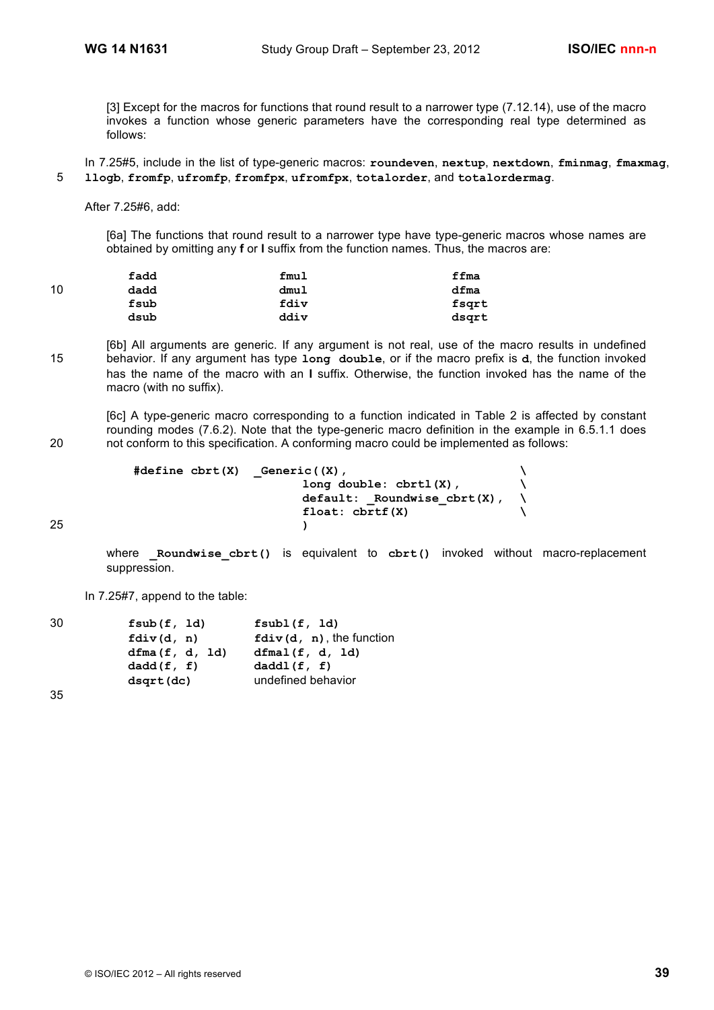[3] Except for the macros for functions that round result to a narrower type (7.12.14), use of the macro invokes a function whose generic parameters have the corresponding real type determined as follows:

In 7.25#5, include in the list of type-generic macros: **roundeven**, **nextup**, **nextdown**, **fminmag**, **fmaxmag**, 5 **llogb**, **fromfp**, **ufromfp**, **fromfpx**, **ufromfpx**, **totalorder**, and **totalordermag**.

After 7.25#6, add:

[6a] The functions that round result to a narrower type have type-generic macros whose names are obtained by omitting any **f** or **l** suffix from the function names. Thus, the macros are:

|    | fadd | fmul | ffma  |
|----|------|------|-------|
| 10 | dadd | dmul | dfma  |
|    | fsub | fdiv | fsgrt |
|    | dsub | ddiv | dsgrt |

[6b] All arguments are generic. If any argument is not real, use of the macro results in undefined 15 behavior. If any argument has type **long double**, or if the macro prefix is **d**, the function invoked has the name of the macro with an **l** suffix. Otherwise, the function invoked has the name of the macro (with no suffix).

[6c] A type-generic macro corresponding to a function indicated in Table 2 is affected by constant rounding modes (7.6.2). Note that the type-generic macro definition in the example in 6.5.1.1 does 20 not conform to this specification. A conforming macro could be implemented as follows:

```
#define cbrt(X) _Generic((X), \
                             long double: cbrtl(X), \
                             default: _Roundwise_cbrt(X), \
                             float: cbrtf(X) \
25 )
```
where **Roundwise cbrt()** is equivalent to cbrt() invoked without macro-replacement suppression.

In 7.25#7, append to the table:

| 30 | fsub(f, 1d)    | fsub1(f, 1d)                |
|----|----------------|-----------------------------|
|    | fdiv(d, n)     | $fdiv(d, n)$ , the function |
|    | dfma(f, d, Id) | dfmal(f, d, 1d)             |
|    | dadd(f, f)     | daddl(f, f)                 |
|    | dsqrt(dc)      | undefined behavior          |

35